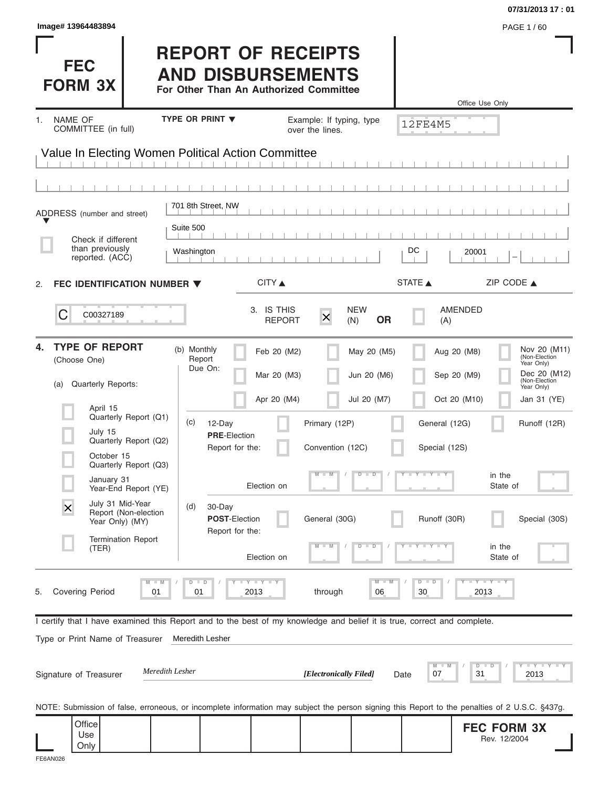|                                  |                   |                                                                                                                                                |                                                                                                                                     |                                                                                                                                                                                                                                                     | 07/31/2013 17:01                                                                                                                                                               |
|----------------------------------|-------------------|------------------------------------------------------------------------------------------------------------------------------------------------|-------------------------------------------------------------------------------------------------------------------------------------|-----------------------------------------------------------------------------------------------------------------------------------------------------------------------------------------------------------------------------------------------------|--------------------------------------------------------------------------------------------------------------------------------------------------------------------------------|
|                                  |                   |                                                                                                                                                |                                                                                                                                     |                                                                                                                                                                                                                                                     | PAGE 1/60                                                                                                                                                                      |
|                                  |                   |                                                                                                                                                |                                                                                                                                     |                                                                                                                                                                                                                                                     | Office Use Only                                                                                                                                                                |
|                                  |                   |                                                                                                                                                |                                                                                                                                     |                                                                                                                                                                                                                                                     |                                                                                                                                                                                |
|                                  |                   |                                                                                                                                                |                                                                                                                                     |                                                                                                                                                                                                                                                     |                                                                                                                                                                                |
|                                  |                   |                                                                                                                                                |                                                                                                                                     |                                                                                                                                                                                                                                                     |                                                                                                                                                                                |
|                                  |                   |                                                                                                                                                |                                                                                                                                     |                                                                                                                                                                                                                                                     |                                                                                                                                                                                |
|                                  |                   |                                                                                                                                                |                                                                                                                                     |                                                                                                                                                                                                                                                     |                                                                                                                                                                                |
|                                  |                   |                                                                                                                                                |                                                                                                                                     |                                                                                                                                                                                                                                                     |                                                                                                                                                                                |
| Suite 500                        |                   |                                                                                                                                                |                                                                                                                                     |                                                                                                                                                                                                                                                     |                                                                                                                                                                                |
|                                  |                   |                                                                                                                                                |                                                                                                                                     | DC                                                                                                                                                                                                                                                  | 20001                                                                                                                                                                          |
|                                  |                   |                                                                                                                                                |                                                                                                                                     |                                                                                                                                                                                                                                                     |                                                                                                                                                                                |
| FEC IDENTIFICATION NUMBER ▼      | CITY              |                                                                                                                                                |                                                                                                                                     |                                                                                                                                                                                                                                                     | ZIP CODE $\triangle$                                                                                                                                                           |
|                                  | 3. IS THIS        | $\overline{\mathsf{x}}$                                                                                                                        | <b>OR</b>                                                                                                                           | (A)                                                                                                                                                                                                                                                 | AMENDED                                                                                                                                                                        |
| (b) Monthly<br>Report<br>Due On: |                   |                                                                                                                                                |                                                                                                                                     |                                                                                                                                                                                                                                                     | Nov 20 (M11)<br>Aug 20 (M8)<br>(Non-Election<br>Year Only)<br>Dec 20 (M12)<br>Sep 20 (M9)                                                                                      |
|                                  |                   |                                                                                                                                                |                                                                                                                                     |                                                                                                                                                                                                                                                     | (Non-Election<br>Year Only)                                                                                                                                                    |
|                                  |                   |                                                                                                                                                |                                                                                                                                     |                                                                                                                                                                                                                                                     | Jan 31 (YE)                                                                                                                                                                    |
|                                  |                   |                                                                                                                                                |                                                                                                                                     |                                                                                                                                                                                                                                                     | Runoff (12R)                                                                                                                                                                   |
|                                  |                   |                                                                                                                                                |                                                                                                                                     | Special (12S)                                                                                                                                                                                                                                       |                                                                                                                                                                                |
|                                  |                   |                                                                                                                                                | $\overline{D}$<br>$\Box$                                                                                                            | $Y - Y - Y$                                                                                                                                                                                                                                         | in the                                                                                                                                                                         |
|                                  | Election on       |                                                                                                                                                |                                                                                                                                     |                                                                                                                                                                                                                                                     | State of                                                                                                                                                                       |
| (d)                              |                   |                                                                                                                                                |                                                                                                                                     | Runoff (30R)                                                                                                                                                                                                                                        | Special (30S)                                                                                                                                                                  |
|                                  | Election on       |                                                                                                                                                | $\overline{D}$<br>D                                                                                                                 |                                                                                                                                                                                                                                                     | in the<br>State of                                                                                                                                                             |
| $D$ $D$<br>01                    | Y I Y I Y<br>2013 | through                                                                                                                                        | $M - M$<br>06                                                                                                                       | $D - D$<br>30                                                                                                                                                                                                                                       | $-Y - Y - Y$<br>2013                                                                                                                                                           |
|                                  |                   |                                                                                                                                                |                                                                                                                                     |                                                                                                                                                                                                                                                     |                                                                                                                                                                                |
|                                  |                   |                                                                                                                                                |                                                                                                                                     |                                                                                                                                                                                                                                                     |                                                                                                                                                                                |
| Meredith Lesher                  |                   |                                                                                                                                                |                                                                                                                                     |                                                                                                                                                                                                                                                     |                                                                                                                                                                                |
|                                  |                   |                                                                                                                                                |                                                                                                                                     |                                                                                                                                                                                                                                                     |                                                                                                                                                                                |
| Meredith Lesher                  |                   | [Electronically Filed]                                                                                                                         |                                                                                                                                     | M<br>M<br>07<br>Date                                                                                                                                                                                                                                | <b>LYLY</b><br>$D$ $D$<br>31<br>2013                                                                                                                                           |
|                                  |                   |                                                                                                                                                |                                                                                                                                     |                                                                                                                                                                                                                                                     | NOTE: Submission of false, erroneous, or incomplete information may subject the person signing this Report to the penalties of 2 U.S.C. §437g.                                 |
|                                  | Washington<br>(c) | <b>TYPE OR PRINT ▼</b><br>701 8th Street, NW<br>12-Day<br><b>PRE-Election</b><br>Report for the:<br>30-Day<br>POST-Election<br>Report for the: | over the lines.<br>Value In Electing Women Political Action Committee<br><b>REPORT</b><br>Feb 20 (M2)<br>Mar 20 (M3)<br>Apr 20 (M4) | <b>REPORT OF RECEIPTS</b><br><b>AND DISBURSEMENTS</b><br>For Other Than An Authorized Committee<br>Example: If typing, type<br><b>NEW</b><br>(N)<br>May 20 (M5)<br>Jun 20 (M6)<br>Jul 20 (M7)<br>Primary (12P)<br>Convention (12C)<br>General (30G) | 12FE4M5<br>STATE A<br>Oct 20 (M10)<br>General (12G)<br>I certify that I have examined this Report and to the best of my knowledge and belief it is true, correct and complete. |

FE6AN026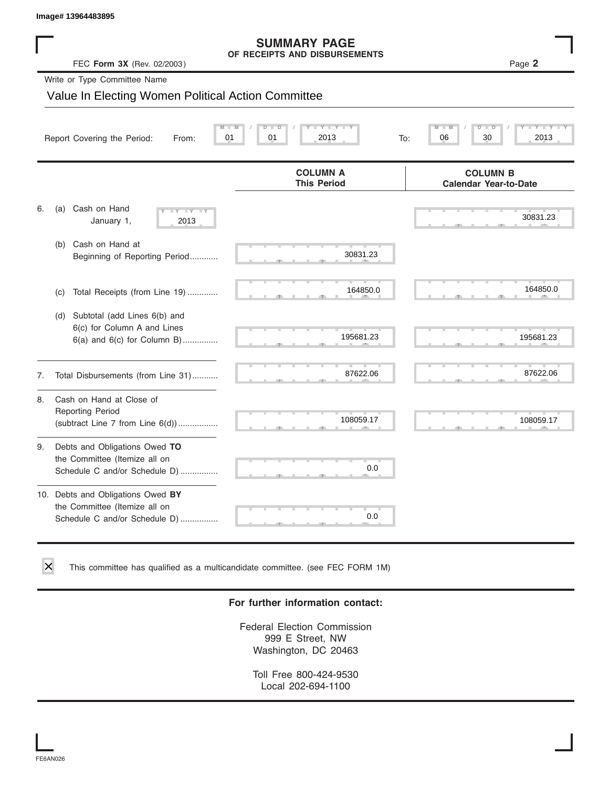### **SUMMARY PAGE OF RECEIPTS AND DISBURSEMENTS**

|    | Image# 13964483895                                                                                  |                                                      |                                                 |
|----|-----------------------------------------------------------------------------------------------------|------------------------------------------------------|-------------------------------------------------|
|    | FEC Form 3X (Rev. 02/2003)                                                                          | <b>SUMMARY PAGE</b><br>OF RECEIPTS AND DISBURSEMENTS | Page 2                                          |
|    | Write or Type Committee Name                                                                        |                                                      |                                                 |
|    | Value In Electing Women Political Action Committee                                                  |                                                      |                                                 |
|    | Report Covering the Period:<br>From:                                                                | $Y - Y - I$<br>01<br>01<br>2013<br>To:               | D<br>06<br>30<br>2013                           |
|    |                                                                                                     | <b>COLUMN A</b><br><b>This Period</b>                | <b>COLUMN B</b><br><b>Calendar Year-to-Date</b> |
| 6. | Cash on Hand<br>(a)<br>$-1$ $Y - 1$ $Y$<br>January 1,<br>2013                                       |                                                      | 30831.23                                        |
|    | Cash on Hand at<br>(b)<br>Beginning of Reporting Period                                             | 30831.23                                             |                                                 |
|    | Total Receipts (from Line 19)<br>(c)                                                                | 164850.0                                             | 164850.0                                        |
|    | Subtotal (add Lines 6(b) and<br>(d)<br>6(c) for Column A and Lines<br>6(a) and 6(c) for Column B)   | 195681.23                                            | 195681.23                                       |
| 7. | Total Disbursements (from Line 31)                                                                  | 87622.06                                             | 87622.06                                        |
| 8. | Cash on Hand at Close of<br><b>Reporting Period</b><br>(subtract Line 7 from Line 6(d))             | 108059.17                                            | 108059.17                                       |
| 9. | Debts and Obligations Owed TO<br>the Committee (Itemize all on<br>Schedule C and/or Schedule D)     | 0.0                                                  |                                                 |
|    | 10. Debts and Obligations Owed BY<br>the Committee (Itemize all on<br>Schedule C and/or Schedule D) | 0.0                                                  |                                                 |

This committee has qualified as a multicandidate committee. (see FEC FORM 1M)

### **For further information contact:**

Federal Election Commission 999 E Street, NW Washington, DC 20463

Toll Free 800-424-9530 Local 202-694-1100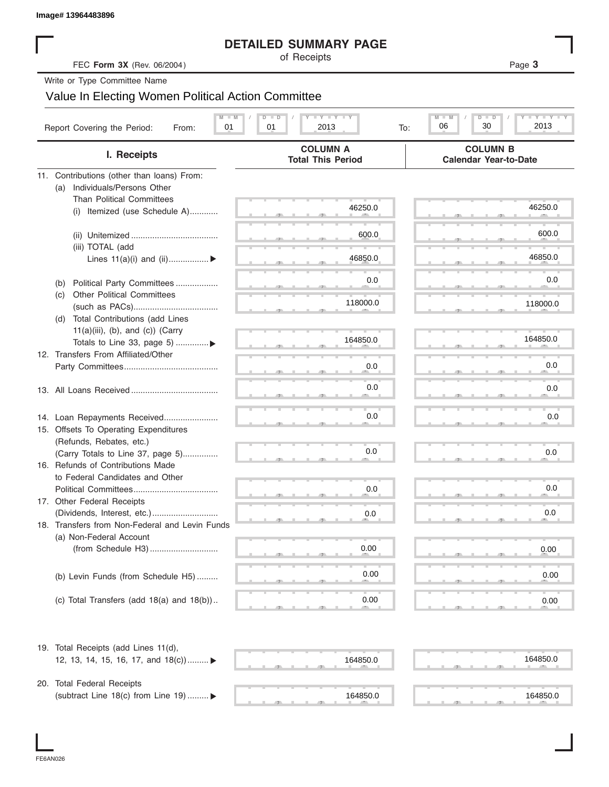|                                                                               | <b>DETAILED SUMMARY PAGE</b>                                         |                                                           |
|-------------------------------------------------------------------------------|----------------------------------------------------------------------|-----------------------------------------------------------|
| FEC Form 3X (Rev. 06/2004)                                                    | of Receipts                                                          | Page 3                                                    |
| Write or Type Committee Name                                                  |                                                                      |                                                           |
| Value In Electing Women Political Action Committee                            |                                                                      |                                                           |
|                                                                               |                                                                      |                                                           |
| Report Covering the Period:<br>From:                                          | <b>LY LY LY</b><br>$M - M$<br>$\Box$<br>D<br>01<br>01<br>2013<br>To: | $T - Y = T - Y$<br>$M - M$<br>$D$ $D$<br>06<br>30<br>2013 |
| I. Receipts                                                                   | <b>COLUMN A</b><br><b>Total This Period</b>                          | <b>COLUMN B</b><br><b>Calendar Year-to-Date</b>           |
| 11. Contributions (other than loans) From:                                    |                                                                      |                                                           |
| Individuals/Persons Other<br>(a)                                              |                                                                      |                                                           |
| <b>Than Political Committees</b>                                              | 46250.0                                                              | 46250.0                                                   |
| Itemized (use Schedule A)<br>(i)                                              |                                                                      |                                                           |
|                                                                               | 600.0                                                                | 600.0                                                     |
| (iii) TOTAL (add                                                              |                                                                      |                                                           |
| Lines $11(a)(i)$ and $(ii)$                                                   | 46850.0                                                              | 46850.0                                                   |
|                                                                               |                                                                      |                                                           |
| Political Party Committees<br>(b)                                             | 0.0                                                                  | 0.0                                                       |
| <b>Other Political Committees</b><br>(C)                                      |                                                                      |                                                           |
|                                                                               | 118000.0                                                             | 118000.0                                                  |
| Total Contributions (add Lines<br>(d)                                         |                                                                      |                                                           |
| $11(a)(iii)$ , (b), and (c)) (Carry                                           | 164850.0                                                             | 164850.0                                                  |
| Totals to Line 33, page 5) ▶<br>12. Transfers From Affiliated/Other           |                                                                      |                                                           |
|                                                                               | 0.0                                                                  | 0.0                                                       |
|                                                                               |                                                                      |                                                           |
|                                                                               | 0.0                                                                  | 0.0                                                       |
|                                                                               |                                                                      |                                                           |
| 14. Loan Repayments Received                                                  | 0.0                                                                  | 0.0                                                       |
| 15. Offsets To Operating Expenditures                                         |                                                                      |                                                           |
| (Refunds, Rebates, etc.)                                                      |                                                                      |                                                           |
| (Carry Totals to Line 37, page 5)                                             | 0.0                                                                  | 0.0                                                       |
| 16. Refunds of Contributions Made                                             |                                                                      |                                                           |
| to Federal Candidates and Other                                               |                                                                      |                                                           |
| Political Committees                                                          | 0.0                                                                  | 0.0                                                       |
| 17. Other Federal Receipts                                                    |                                                                      |                                                           |
| (Dividends, Interest, etc.)<br>18. Transfers from Non-Federal and Levin Funds | 0.0                                                                  | 0.0                                                       |
| (a) Non-Federal Account                                                       |                                                                      |                                                           |
|                                                                               | 0.00                                                                 | 0.00                                                      |
|                                                                               |                                                                      |                                                           |
| (b) Levin Funds (from Schedule H5)                                            | 0.00                                                                 | 0.00                                                      |
|                                                                               |                                                                      |                                                           |
| (c) Total Transfers (add $18(a)$ and $18(b)$ )                                | 0.00                                                                 | 0.00                                                      |
|                                                                               |                                                                      |                                                           |
| 19. Total Receipts (add Lines 11(d),                                          |                                                                      |                                                           |
| 12, 13, 14, 15, 16, 17, and $18(c)$                                           | 164850.0                                                             | 164850.0                                                  |
|                                                                               |                                                                      |                                                           |
| 20. Total Federal Receipts                                                    |                                                                      |                                                           |
| (subtract Line 18(c) from Line 19)  ▶                                         | 164850.0                                                             | 164850.0                                                  |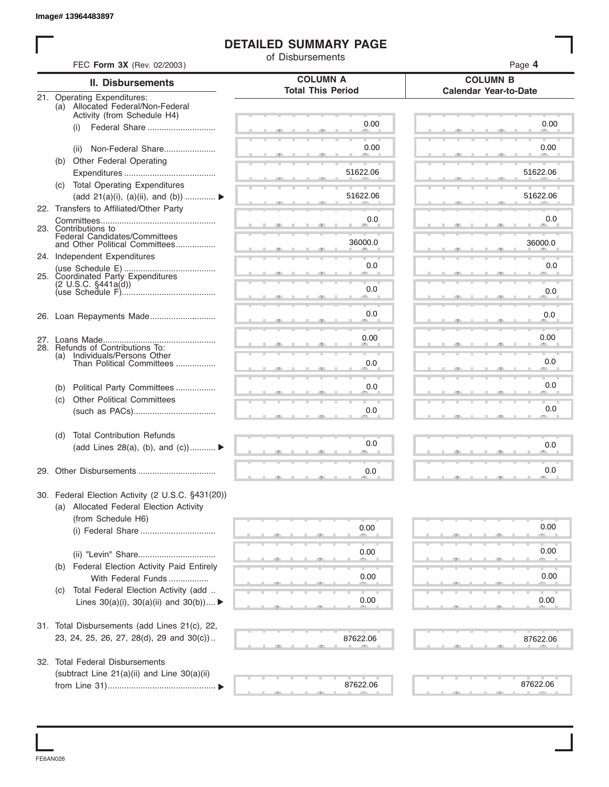### **DETAILED SUMMARY PAGE**

|     |                                                                  | <b>DETAILED SUMMARY PAGE</b><br>of Disbursements |                                                 |
|-----|------------------------------------------------------------------|--------------------------------------------------|-------------------------------------------------|
|     | FEC Form 3X (Rev. 02/2003)                                       |                                                  | Page 4                                          |
|     | <b>II. Disbursements</b>                                         | <b>COLUMN A</b><br><b>Total This Period</b>      | <b>COLUMN B</b><br><b>Calendar Year-to-Date</b> |
|     | 21. Operating Expenditures:<br>(a) Allocated Federal/Non-Federal |                                                  |                                                 |
|     | Activity (from Schedule H4)                                      |                                                  |                                                 |
|     | Federal Share<br>(i)                                             | 0.00                                             | 0.00                                            |
|     | Non-Federal Share<br>(ii)                                        | 0.00                                             | 0.00                                            |
|     | (b) Other Federal Operating                                      |                                                  |                                                 |
|     |                                                                  | 51622.06                                         | 51622.06                                        |
|     | (c) Total Operating Expenditures                                 |                                                  |                                                 |
|     | (add 21(a)(i), (a)(ii), and (b))                                 | 51622.06                                         | 51622.06                                        |
|     | 22. Transfers to Affiliated/Other Party                          |                                                  |                                                 |
|     | 23. Contributions to                                             | 0.0                                              | 0.0                                             |
|     | Federal Candidates/Committees<br>and Other Political Committees  | 36000.0                                          | 36000.0                                         |
|     | 24. Independent Expenditures                                     | 0.0                                              | 0.0                                             |
|     | 25. Coordinated Party Expenditures                               |                                                  |                                                 |
|     | (2 U.S.C. §441a(d))                                              | 0.0                                              | 0.0                                             |
|     |                                                                  | 0.0                                              | 0.0                                             |
|     |                                                                  | 0.00                                             | 0.00                                            |
|     | 28. Refunds of Contributions To:                                 |                                                  |                                                 |
| (a) | Individuals/Persons Other<br>Than Political Committees           | 0.0                                              | 0.0                                             |
| (b) | Political Party Committees                                       | 0.0                                              | 0.0                                             |
| (c) | <b>Other Political Committees</b>                                |                                                  |                                                 |
|     |                                                                  | 0.0                                              | 0.0                                             |
| (d) | <b>Total Contribution Refunds</b>                                |                                                  |                                                 |
|     | (add Lines 28(a), (b), and (c))                                  | 0.0                                              | 0.0                                             |
|     | 29. Other Disbursements                                          | 0.0                                              | 0.0                                             |
|     | 30. Federal Election Activity (2 U.S.C. §431(20))                |                                                  |                                                 |
|     | (a) Allocated Federal Election Activity                          |                                                  |                                                 |
|     | (from Schedule H6)                                               |                                                  |                                                 |
|     |                                                                  | 0.00                                             | 0.00                                            |
|     |                                                                  | 0.00                                             | 0.00                                            |
|     | (b) Federal Election Activity Paid Entirely                      |                                                  |                                                 |
|     | With Federal Funds                                               | 0.00                                             | 0.00                                            |
| (C) | Total Federal Election Activity (add                             |                                                  |                                                 |
|     | Lines $30(a)(i)$ , $30(a)(ii)$ and $30(b))$                      | 0.00                                             | 0.00                                            |
|     | 31. Total Disbursements (add Lines 21(c), 22,                    |                                                  |                                                 |
|     | 23, 24, 25, 26, 27, 28(d), 29 and 30(c))                         | 87622.06                                         | 87622.06                                        |
|     | 32. Total Federal Disbursements                                  |                                                  |                                                 |
|     | (subtract Line 21(a)(ii) and Line 30(a)(ii)                      |                                                  |                                                 |
|     |                                                                  | 87622.06                                         | 87622.06                                        |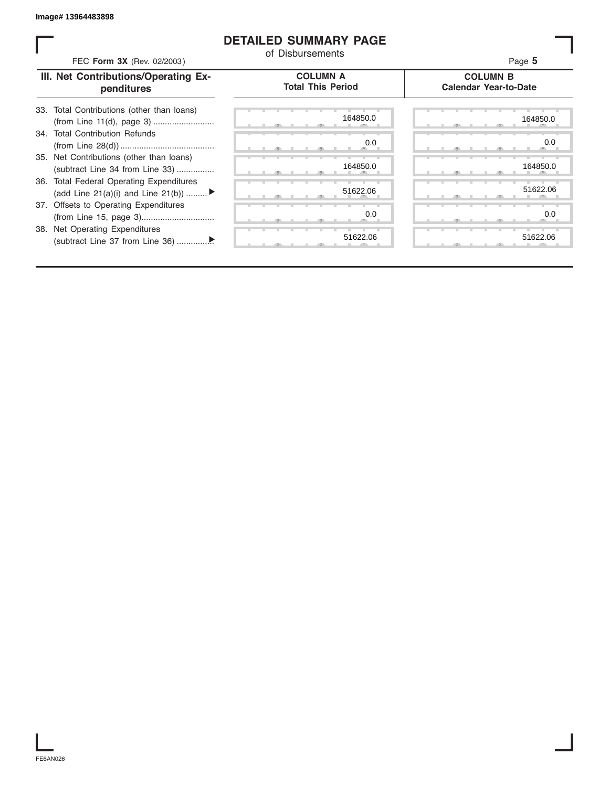### **DETAILED SUMMARY PAGE**

| FEC Form 3X (Rev. 02/2003)                                                     | <b>DETAILED SUMMARY PAGE</b><br>of Disbursements | Page 5                                          |
|--------------------------------------------------------------------------------|--------------------------------------------------|-------------------------------------------------|
| III. Net Contributions/Operating Ex-<br>penditures                             | <b>COLUMN A</b><br><b>Total This Period</b>      | <b>COLUMN B</b><br><b>Calendar Year-to-Date</b> |
| Total Contributions (other than loans)<br>33.                                  | 164850.0                                         | 164850.0                                        |
| 34. Total Contribution Refunds                                                 | 0.0                                              | 0.0                                             |
| 35. Net Contributions (other than loans)<br>(subtract Line 34 from Line 33)    | 164850.0                                         | 164850.0                                        |
| 36. Total Federal Operating Expenditures<br>(add Line 21(a)(i) and Line 21(b)) | 51622.06                                         | 51622.06                                        |
| 37. Offsets to Operating Expenditures                                          | 0.0                                              | 0.0                                             |
| 38. Net Operating Expenditures                                                 | 51622.06                                         | 51622.06                                        |

FE6AN026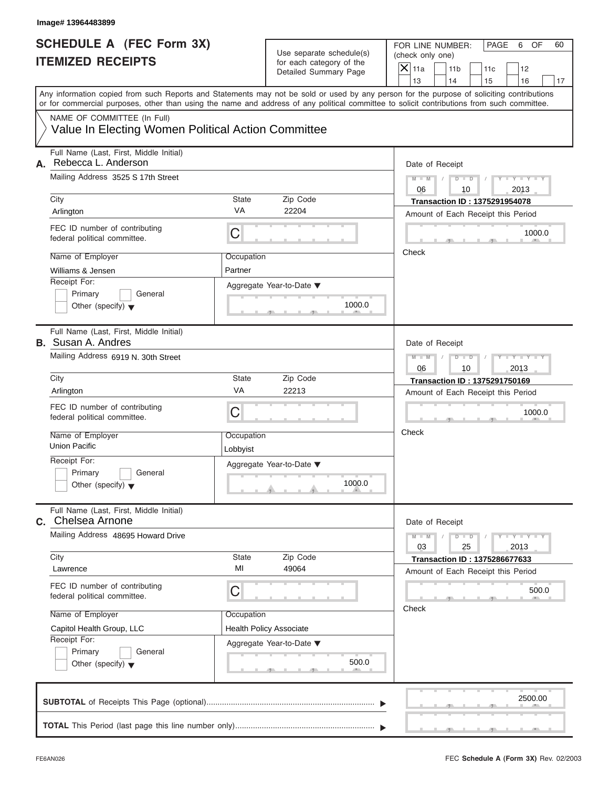FOR LINE NUMBER: PAGE 6 OF<br>(check only one)

| SCHEDULE A (FEC Form 3X)<br><b>ITEMIZED RECEIPTS</b>                                                                                                                                                                                                                                                                   |                        | Use separate schedule(s)<br>for each category of the<br>Detailed Summary Page | FOR LINE NUMBER:<br>PAGE<br>6<br>OF<br>60<br>(check only one)<br>$X$ 11a<br>11 <sub>b</sub><br>12<br>11c<br>13<br>14<br>16<br>15<br>17 |
|------------------------------------------------------------------------------------------------------------------------------------------------------------------------------------------------------------------------------------------------------------------------------------------------------------------------|------------------------|-------------------------------------------------------------------------------|----------------------------------------------------------------------------------------------------------------------------------------|
| Any information copied from such Reports and Statements may not be sold or used by any person for the purpose of soliciting contributions<br>or for commercial purposes, other than using the name and address of any political committee to solicit contributions from such committee.<br>NAME OF COMMITTEE (In Full) |                        |                                                                               |                                                                                                                                        |
| Value In Electing Women Political Action Committee                                                                                                                                                                                                                                                                     |                        |                                                                               |                                                                                                                                        |
| Full Name (Last, First, Middle Initial)<br>Rebecca L. Anderson<br>А.                                                                                                                                                                                                                                                   |                        |                                                                               | Date of Receipt                                                                                                                        |
| Mailing Address 3525 S 17th Street<br>City                                                                                                                                                                                                                                                                             | State                  | Zip Code                                                                      | $M - M$<br>$Y = Y$<br>$D$ $D$<br>06<br>10<br>2013<br><b>Transaction ID: 1375291954078</b>                                              |
| Arlington                                                                                                                                                                                                                                                                                                              | VA                     | 22204                                                                         | Amount of Each Receipt this Period                                                                                                     |
| FEC ID number of contributing<br>federal political committee.                                                                                                                                                                                                                                                          | C                      |                                                                               | 1000.0                                                                                                                                 |
| Name of Employer                                                                                                                                                                                                                                                                                                       | Occupation             |                                                                               | Check                                                                                                                                  |
| Williams & Jensen                                                                                                                                                                                                                                                                                                      | Partner                |                                                                               |                                                                                                                                        |
| Receipt For:<br>Primary<br>General<br>Other (specify) $\blacktriangledown$                                                                                                                                                                                                                                             |                        | Aggregate Year-to-Date ▼<br>1000.0                                            |                                                                                                                                        |
| Full Name (Last, First, Middle Initial)<br><b>B.</b> Susan A. Andres                                                                                                                                                                                                                                                   |                        |                                                                               | Date of Receipt                                                                                                                        |
| Mailing Address 6919 N. 30th Street                                                                                                                                                                                                                                                                                    |                        |                                                                               | $M - M$<br>$Y - Y$<br>$D$ $D$<br>2013<br>06<br>10                                                                                      |
| City                                                                                                                                                                                                                                                                                                                   | State                  | Zip Code                                                                      | <b>Transaction ID: 1375291750169</b>                                                                                                   |
| Arlington                                                                                                                                                                                                                                                                                                              | VA                     | 22213                                                                         | Amount of Each Receipt this Period                                                                                                     |
| FEC ID number of contributing<br>federal political committee.                                                                                                                                                                                                                                                          | C                      |                                                                               | 1000.0                                                                                                                                 |
| Name of Employer<br><b>Union Pacific</b>                                                                                                                                                                                                                                                                               | Occupation<br>Lobbyist |                                                                               | Check                                                                                                                                  |
| Receipt For:                                                                                                                                                                                                                                                                                                           |                        | Aggregate Year-to-Date ▼                                                      |                                                                                                                                        |
| Primary<br>General<br>Other (specify) $\blacktriangledown$                                                                                                                                                                                                                                                             |                        | 1000.0<br><b>Contract Contract</b>                                            |                                                                                                                                        |
| Full Name (Last, First, Middle Initial)<br>C. Chelsea Arnone                                                                                                                                                                                                                                                           |                        |                                                                               | Date of Receipt                                                                                                                        |
| Mailing Address 48695 Howard Drive                                                                                                                                                                                                                                                                                     |                        |                                                                               | $Y - Y - Y - Y - Y$<br>$M - M$<br>$D$ $D$<br>03<br>25<br>2013                                                                          |
| City<br>Lawrence                                                                                                                                                                                                                                                                                                       | State<br>MI            | Zip Code<br>49064                                                             | <b>Transaction ID: 1375286677633</b><br>Amount of Each Receipt this Period                                                             |
| FEC ID number of contributing<br>federal political committee.                                                                                                                                                                                                                                                          | C                      |                                                                               | 500.0                                                                                                                                  |
| Name of Employer                                                                                                                                                                                                                                                                                                       | Occupation             |                                                                               | Check                                                                                                                                  |
| Capitol Health Group, LLC                                                                                                                                                                                                                                                                                              |                        | <b>Health Policy Associate</b>                                                |                                                                                                                                        |
| Receipt For:<br>Primary<br>General<br>Other (specify) $\blacktriangledown$                                                                                                                                                                                                                                             |                        | Aggregate Year-to-Date ▼<br>500.0                                             |                                                                                                                                        |
|                                                                                                                                                                                                                                                                                                                        |                        |                                                                               | 2500.00                                                                                                                                |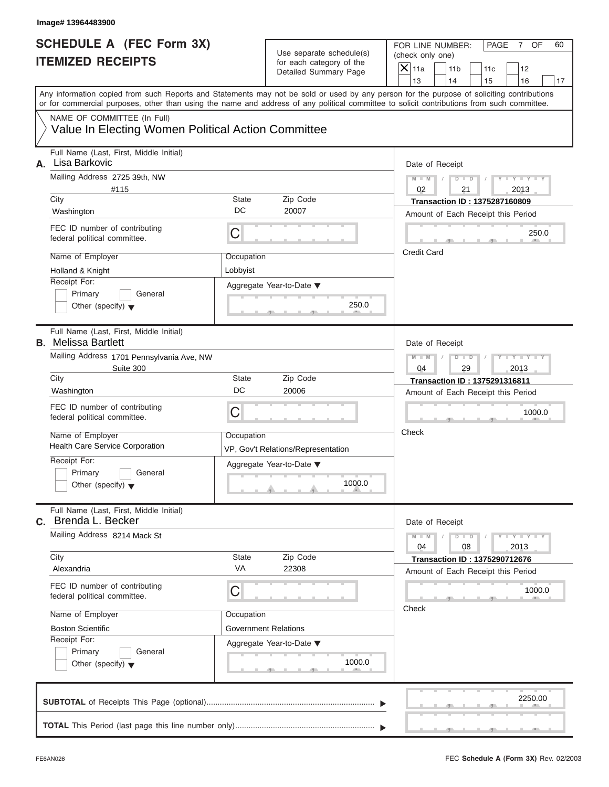| SCHEDULE A (FEC Form 3X)<br><b>ITEMIZED RECEIPTS</b>                                                                                       |                        | Use separate schedule(s)<br>for each category of the<br>Detailed Summary Page          | FOR LINE NUMBER:<br>PAGE<br>OF<br>60<br>7<br>(check only one)<br>$\overline{X}$ 11a<br>11 <sub>b</sub><br>12<br>11c |
|--------------------------------------------------------------------------------------------------------------------------------------------|------------------------|----------------------------------------------------------------------------------------|---------------------------------------------------------------------------------------------------------------------|
| Any information copied from such Reports and Statements may not be sold or used by any person for the purpose of soliciting contributions  |                        |                                                                                        | 13<br>14<br>15<br>16<br>17                                                                                          |
| or for commercial purposes, other than using the name and address of any political committee to solicit contributions from such committee. |                        |                                                                                        |                                                                                                                     |
| NAME OF COMMITTEE (In Full)<br>Value In Electing Women Political Action Committee                                                          |                        |                                                                                        |                                                                                                                     |
| Full Name (Last, First, Middle Initial)<br>Lisa Barkovic<br>А.                                                                             |                        |                                                                                        | Date of Receipt                                                                                                     |
| Mailing Address 2725 39th, NW<br>#115<br>City                                                                                              | State                  | Zip Code                                                                               | $M - M$<br>$D$ $D$<br>$Y - Y - Y - Y - I$<br>02<br>21<br>2013<br><b>Transaction ID: 1375287160809</b>               |
| Washington                                                                                                                                 | DC                     | 20007                                                                                  | Amount of Each Receipt this Period                                                                                  |
| FEC ID number of contributing<br>federal political committee.                                                                              | C                      |                                                                                        | 250.0<br>$-1$ $-1$ $-1$<br><b>COLLEGE</b>                                                                           |
| Name of Employer<br>Holland & Knight                                                                                                       | Occupation<br>Lobbyist |                                                                                        | <b>Credit Card</b>                                                                                                  |
| Receipt For:<br>Primary<br>General<br>Other (specify) $\blacktriangledown$                                                                 |                        | Aggregate Year-to-Date ▼<br>250.0<br>$\mathcal{F}$ and $\mathcal{F}$ and $\mathcal{F}$ |                                                                                                                     |
| Full Name (Last, First, Middle Initial)<br><b>B.</b> Melissa Bartlett                                                                      |                        |                                                                                        | Date of Receipt                                                                                                     |
| Mailing Address 1701 Pennsylvania Ave, NW<br>Suite 300                                                                                     |                        |                                                                                        | $M - M$<br>$D$ $D$<br>$T - Y - T - Y - T$<br>04<br>29<br>2013                                                       |
| City<br>Washington                                                                                                                         | State<br>DC            | Zip Code<br>20006                                                                      | <b>Transaction ID: 1375291316811</b>                                                                                |
| FEC ID number of contributing<br>federal political committee.                                                                              | C                      |                                                                                        | Amount of Each Receipt this Period<br>1000.0<br>$-1$                                                                |
| Name of Employer<br><b>Health Care Service Corporation</b>                                                                                 | Occupation             | VP, Gov't Relations/Representation                                                     | Check                                                                                                               |
| Receipt For:<br>Primary<br>General<br>Other (specify) $\blacktriangledown$                                                                 |                        | Aggregate Year-to-Date ▼<br>1000.0<br>$\mathbf{r}$ and $\mathbf{r}$                    |                                                                                                                     |
| Full Name (Last, First, Middle Initial)<br>C. Brenda L. Becker                                                                             |                        |                                                                                        | Date of Receipt                                                                                                     |
| Mailing Address 8214 Mack St<br>City                                                                                                       | State                  | Zip Code                                                                               | $M - M$<br>$D$ $D$<br>$Y - Y - Y - Y - Y$<br>04<br>08<br>2013                                                       |
| Alexandria                                                                                                                                 | <b>VA</b>              | 22308                                                                                  | <b>Transaction ID: 1375290712676</b><br>Amount of Each Receipt this Period                                          |
| FEC ID number of contributing<br>federal political committee.                                                                              | С                      |                                                                                        | 1000.0                                                                                                              |
| Name of Employer                                                                                                                           | Occupation             |                                                                                        | Check                                                                                                               |
| <b>Boston Scientific</b>                                                                                                                   |                        | <b>Government Relations</b>                                                            |                                                                                                                     |
| Receipt For:<br>Primary<br>General<br>Other (specify) $\blacktriangledown$                                                                 |                        | Aggregate Year-to-Date ▼<br>1000.0<br>-90                                              |                                                                                                                     |
|                                                                                                                                            |                        |                                                                                        | 2250.00                                                                                                             |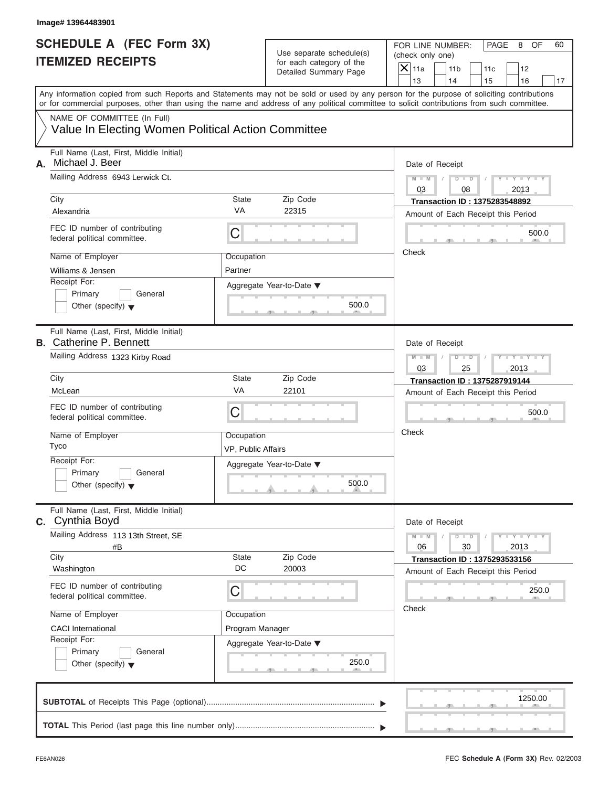### **Image# 13964483901**

## **SCHEDULE A (FEC Form 3X) ITEMIZED RECEIPTS**

| SCHEDULE A (FEC Form 3X)<br><b>ITEMIZED RECEIPTS</b>                              |                                  | Use separate schedule(s)<br>for each category of the                                                                                                                                                                                                                      | FOR LINE NUMBER:<br>PAGE<br>OF<br>60<br>8<br>(check only one)<br>$\mathsf{X}$ 11a<br>11 <sub>b</sub>                                                                                                                                                                                    |
|-----------------------------------------------------------------------------------|----------------------------------|---------------------------------------------------------------------------------------------------------------------------------------------------------------------------------------------------------------------------------------------------------------------------|-----------------------------------------------------------------------------------------------------------------------------------------------------------------------------------------------------------------------------------------------------------------------------------------|
|                                                                                   |                                  | Detailed Summary Page                                                                                                                                                                                                                                                     | 11c<br>12<br>13<br>14<br>16<br>15<br>17                                                                                                                                                                                                                                                 |
|                                                                                   |                                  |                                                                                                                                                                                                                                                                           | Any information copied from such Reports and Statements may not be sold or used by any person for the purpose of soliciting contributions<br>or for commercial purposes, other than using the name and address of any political committee to solicit contributions from such committee. |
| NAME OF COMMITTEE (In Full)<br>Value In Electing Women Political Action Committee |                                  |                                                                                                                                                                                                                                                                           |                                                                                                                                                                                                                                                                                         |
| Full Name (Last, First, Middle Initial)<br>Michael J. Beer<br>А.                  |                                  |                                                                                                                                                                                                                                                                           | Date of Receipt                                                                                                                                                                                                                                                                         |
| Mailing Address 6943 Lerwick Ct.<br>City                                          | State                            | Zip Code                                                                                                                                                                                                                                                                  | $D$ $\Box$ $D$<br>$Y - Y - Y - Y - Y$<br>$M - M$<br>03<br>08<br>2013<br><b>Transaction ID: 1375283548892</b>                                                                                                                                                                            |
| Alexandria                                                                        | <b>VA</b>                        | 22315                                                                                                                                                                                                                                                                     | Amount of Each Receipt this Period                                                                                                                                                                                                                                                      |
| FEC ID number of contributing<br>federal political committee.                     | C                                |                                                                                                                                                                                                                                                                           | 500.0<br>$\mathcal{F}$ and $\mathcal{F}$                                                                                                                                                                                                                                                |
| Name of Employer<br>Williams & Jensen                                             | Occupation<br>Partner            |                                                                                                                                                                                                                                                                           | Check                                                                                                                                                                                                                                                                                   |
| Receipt For:<br>Primary<br>General<br>Other (specify) $\blacktriangledown$        |                                  | Aggregate Year-to-Date ▼<br>500.0<br>$\mathbf{y}$ and $\mathbf{y}$ and $\mathbf{y}$                                                                                                                                                                                       |                                                                                                                                                                                                                                                                                         |
| Full Name (Last, First, Middle Initial)<br><b>B.</b> Catherine P. Bennett         |                                  |                                                                                                                                                                                                                                                                           | Date of Receipt                                                                                                                                                                                                                                                                         |
| Mailing Address 1323 Kirby Road                                                   |                                  |                                                                                                                                                                                                                                                                           | $M - M$<br>$D$ $D$<br>$T - Y = T - Y = T$<br>03<br>25<br>2013                                                                                                                                                                                                                           |
| City                                                                              | State<br>VA                      | Zip Code                                                                                                                                                                                                                                                                  | <b>Transaction ID: 1375287919144</b>                                                                                                                                                                                                                                                    |
| McLean<br>FEC ID number of contributing<br>federal political committee.           | C                                | 22101                                                                                                                                                                                                                                                                     | Amount of Each Receipt this Period<br>500.0<br>$\mathbf{y}$ and $\mathbf{y}$                                                                                                                                                                                                            |
| Name of Employer<br>Tyco                                                          | Occupation<br>VP, Public Affairs |                                                                                                                                                                                                                                                                           | Check                                                                                                                                                                                                                                                                                   |
| Receipt For:<br>Primary<br>General<br>Other (specify) $\blacktriangledown$        |                                  | Aggregate Year-to-Date ▼<br>500.0<br><u>and a strong strong and a strong strong and a strong strong strong and a strong strong strong and a strong strong strong and a strong strong strong and a strong strong strong strong strong strong strong strong strong stro</u> |                                                                                                                                                                                                                                                                                         |
| Full Name (Last, First, Middle Initial)<br><b>C.</b> Cynthia Boyd                 |                                  |                                                                                                                                                                                                                                                                           | Date of Receipt                                                                                                                                                                                                                                                                         |
| Mailing Address 113 13th Street, SE<br>#B                                         |                                  |                                                                                                                                                                                                                                                                           | $D$ $D$<br>$Y - Y - Y - Y - I$<br>$M - M$<br>30<br>06<br>2013                                                                                                                                                                                                                           |
| City<br>Washington                                                                | <b>State</b><br>DC               | Zip Code<br>20003                                                                                                                                                                                                                                                         | <b>Transaction ID: 1375293533156</b><br>Amount of Each Receipt this Period                                                                                                                                                                                                              |
| FEC ID number of contributing<br>federal political committee.                     | C                                |                                                                                                                                                                                                                                                                           | 250.0<br>Check                                                                                                                                                                                                                                                                          |
| Name of Employer                                                                  | Occupation                       |                                                                                                                                                                                                                                                                           |                                                                                                                                                                                                                                                                                         |
| <b>CACI</b> International<br>Receipt For:                                         | Program Manager                  |                                                                                                                                                                                                                                                                           |                                                                                                                                                                                                                                                                                         |
| Primary<br>General<br>Other (specify) $\blacktriangledown$                        |                                  | Aggregate Year-to-Date ▼<br>250.0<br>$-1$<br>$-7$                                                                                                                                                                                                                         |                                                                                                                                                                                                                                                                                         |
|                                                                                   |                                  |                                                                                                                                                                                                                                                                           | 1250.00                                                                                                                                                                                                                                                                                 |
|                                                                                   |                                  |                                                                                                                                                                                                                                                                           |                                                                                                                                                                                                                                                                                         |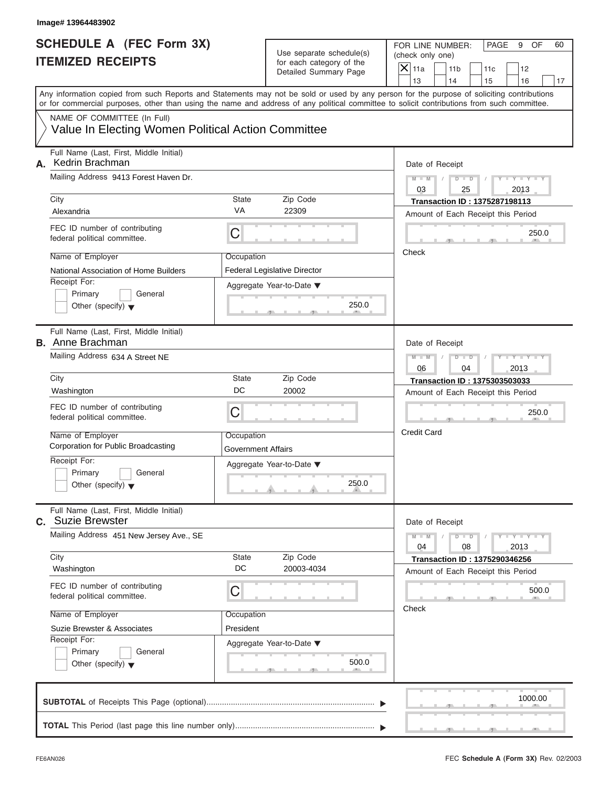| SCHEDULE A (FEC Form 3X)<br><b>ITEMIZED RECEIPTS</b>                                                                                                                                                                                                                                                                                                                         |                                                      | Use separate schedule(s)<br>for each category of the<br>Detailed Summary Page                                                                                            | FOR LINE NUMBER:<br>PAGE<br>OF<br>60<br>9<br>(check only one)<br>$\mathsf{X}$ 11a<br>11 <sub>b</sub><br>11c<br>12<br>13<br>14                                                                                                            |
|------------------------------------------------------------------------------------------------------------------------------------------------------------------------------------------------------------------------------------------------------------------------------------------------------------------------------------------------------------------------------|------------------------------------------------------|--------------------------------------------------------------------------------------------------------------------------------------------------------------------------|------------------------------------------------------------------------------------------------------------------------------------------------------------------------------------------------------------------------------------------|
| Any information copied from such Reports and Statements may not be sold or used by any person for the purpose of soliciting contributions<br>or for commercial purposes, other than using the name and address of any political committee to solicit contributions from such committee.<br>NAME OF COMMITTEE (In Full)<br>Value In Electing Women Political Action Committee |                                                      |                                                                                                                                                                          | 15<br>16<br>17                                                                                                                                                                                                                           |
| Full Name (Last, First, Middle Initial)<br>A. Kedrin Brachman<br>Mailing Address 9413 Forest Haven Dr.<br>City<br>Alexandria<br>FEC ID number of contributing<br>federal political committee.<br>Name of Employer<br>National Association of Home Builders<br>Receipt For:<br>Primary<br>General<br>Other (specify) $\blacktriangledown$                                     | <b>State</b><br><b>VA</b><br>С<br>Occupation         | Zip Code<br>22309<br>Federal Legislative Director<br>Aggregate Year-to-Date ▼<br>250.0<br><b>AREA COMPANY</b><br><b>The Contract Contract Contract Contract Contract</b> | Date of Receipt<br>$M - M$ /<br>$D$ $D$<br>$T - Y = Y + Y$<br>03<br>25<br>2013<br><b>Transaction ID: 1375287198113</b><br>Amount of Each Receipt this Period<br>250.0<br>$\sim$<br>$-1$<br>Check                                         |
| Full Name (Last, First, Middle Initial)<br><b>B.</b> Anne Brachman<br>Mailing Address 634 A Street NE<br>City<br>Washington<br>FEC ID number of contributing<br>federal political committee.<br>Name of Employer<br>Corporation for Public Broadcasting<br>Receipt For:<br>Primary<br>General<br>Other (specify) $\blacktriangledown$                                        | State<br>DC<br>С<br>Occupation<br>Government Affairs | Zip Code<br>20002<br>Aggregate Year-to-Date ▼<br>250.0<br>$\mathbf{r}$ and $\mathbf{r}$ and $\mathbf{r}$ and $\mathbf{r}$                                                | Date of Receipt<br>$M - M$<br>$D$ $D$<br>$T - Y - T - Y - T$<br>06<br>04<br>2013<br>Transaction ID: 1375303503033<br>Amount of Each Receipt this Period<br>250.0<br><b>The Contract Contract Contract Contract</b><br><b>Credit Card</b> |
| Full Name (Last, First, Middle Initial)<br>C. Suzie Brewster<br>Mailing Address 451 New Jersey Ave., SE<br>City<br>Washington<br>FEC ID number of contributing<br>federal political committee.<br>Name of Employer<br>Suzie Brewster & Associates<br>Receipt For:<br>Primary<br>General<br>Other (specify) $\blacktriangledown$                                              | <b>State</b><br>DC<br>С<br>Occupation<br>President   | Zip Code<br>20003-4034<br>Aggregate Year-to-Date ▼<br>500.0                                                                                                              | Date of Receipt<br>$M - M$<br>$D$ $D$<br>$Y = Y + Y + Y$<br>04<br>08<br>2013<br><b>Transaction ID: 1375290346256</b><br>Amount of Each Receipt this Period<br>500.0<br>Check                                                             |
|                                                                                                                                                                                                                                                                                                                                                                              |                                                      |                                                                                                                                                                          | 1000.00<br>$-7$                                                                                                                                                                                                                          |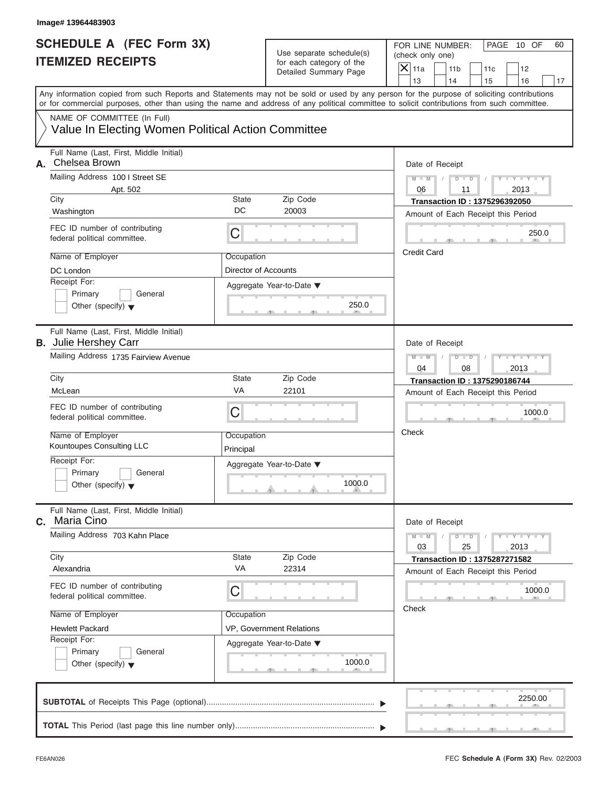| Image# 13964483903                                                                                                                                                                                                                                                                      |                                                      |                                    |                                      |                                                                            |           |                             |    |
|-----------------------------------------------------------------------------------------------------------------------------------------------------------------------------------------------------------------------------------------------------------------------------------------|------------------------------------------------------|------------------------------------|--------------------------------------|----------------------------------------------------------------------------|-----------|-----------------------------|----|
| <b>SCHEDULE A (FEC Form 3X)</b><br><b>ITEMIZED RECEIPTS</b>                                                                                                                                                                                                                             | Use separate schedule(s)<br>for each category of the |                                    | FOR LINE NUMBER:<br>(check only one) |                                                                            |           | PAGE 10 OF                  | 60 |
|                                                                                                                                                                                                                                                                                         |                                                      | Detailed Summary Page              | $X$ 11a<br>13                        | 11 <sub>b</sub><br>14                                                      | 11c<br>15 | 12<br>16                    | 17 |
| Any information copied from such Reports and Statements may not be sold or used by any person for the purpose of soliciting contributions<br>or for commercial purposes, other than using the name and address of any political committee to solicit contributions from such committee. |                                                      |                                    |                                      |                                                                            |           |                             |    |
| NAME OF COMMITTEE (In Full)<br>Value In Electing Women Political Action Committee                                                                                                                                                                                                       |                                                      |                                    |                                      |                                                                            |           |                             |    |
| Full Name (Last, First, Middle Initial)<br>Chelsea Brown<br>А.                                                                                                                                                                                                                          |                                                      |                                    | Date of Receipt                      |                                                                            |           |                             |    |
| Mailing Address 100 I Street SE<br>Apt. 502                                                                                                                                                                                                                                             |                                                      |                                    | $M - M$<br>06                        | $D$ $\Box$ $D$<br>11                                                       |           | $Y - Y - Y - Y - Y$<br>2013 |    |
| City<br>Washington                                                                                                                                                                                                                                                                      | <b>State</b><br>DC                                   | Zip Code<br>20003                  |                                      | <b>Transaction ID: 1375296392050</b>                                       |           |                             |    |
| FEC ID number of contributing<br>federal political committee.                                                                                                                                                                                                                           | C                                                    |                                    |                                      | Amount of Each Receipt this Period                                         |           | 250.0                       |    |
| Name of Employer<br>DC London                                                                                                                                                                                                                                                           | Occupation<br>Director of Accounts                   |                                    | <b>Credit Card</b>                   |                                                                            |           |                             |    |
| Receipt For:<br>Primary<br>General<br>Other (specify) $\blacktriangledown$                                                                                                                                                                                                              |                                                      | Aggregate Year-to-Date ▼<br>250.0  |                                      |                                                                            |           |                             |    |
| Full Name (Last, First, Middle Initial)<br><b>B.</b> Julie Hershey Carr                                                                                                                                                                                                                 |                                                      |                                    | Date of Receipt                      |                                                                            |           |                             |    |
| Mailing Address 1735 Fairview Avenue                                                                                                                                                                                                                                                    |                                                      |                                    | $M - M$<br>04                        | $D - I - D$<br>08                                                          |           | $Y - Y - Y - Y - Y$<br>2013 |    |
| City                                                                                                                                                                                                                                                                                    | <b>State</b>                                         | Zip Code                           |                                      | <b>Transaction ID: 1375290186744</b>                                       |           |                             |    |
| McLean                                                                                                                                                                                                                                                                                  | VA                                                   | 22101                              |                                      | Amount of Each Receipt this Period                                         |           |                             |    |
| FEC ID number of contributing<br>federal political committee.                                                                                                                                                                                                                           | C                                                    |                                    |                                      |                                                                            |           | 1000.0                      |    |
| Name of Employer<br>Kountoupes Consulting LLC                                                                                                                                                                                                                                           | Occupation<br>Principal                              |                                    | Check                                |                                                                            |           |                             |    |
| Receipt For:<br>Primary<br>General<br>Other (specify) $\blacktriangledown$                                                                                                                                                                                                              |                                                      | Aggregate Year-to-Date ▼<br>1000.0 |                                      |                                                                            |           |                             |    |
| Full Name (Last, First, Middle Initial)<br>Maria Cino<br>C.                                                                                                                                                                                                                             |                                                      |                                    | Date of Receipt                      |                                                                            |           |                             |    |
| Mailing Address 703 Kahn Place                                                                                                                                                                                                                                                          |                                                      |                                    | $M - M$<br>03                        | $D$ $\Box$ $D$<br>25                                                       |           | $Y = Y = Y - Y$<br>2013     |    |
| City<br>Alexandria                                                                                                                                                                                                                                                                      | State<br>VA                                          | Zip Code<br>22314                  |                                      | <b>Transaction ID: 1375287271582</b><br>Amount of Each Receipt this Period |           |                             |    |
| FEC ID number of contributing<br>federal political committee.                                                                                                                                                                                                                           | C                                                    |                                    |                                      |                                                                            |           | 1000.0                      |    |
| Name of Employer                                                                                                                                                                                                                                                                        | Occupation                                           |                                    | Check                                |                                                                            |           |                             |    |
| <b>Hewlett Packard</b>                                                                                                                                                                                                                                                                  |                                                      | VP, Government Relations           |                                      |                                                                            |           |                             |    |
| Receipt For:<br>Primary<br>General<br>Other (specify) $\blacktriangledown$                                                                                                                                                                                                              |                                                      | Aggregate Year-to-Date ▼<br>1000.0 |                                      |                                                                            |           |                             |    |
|                                                                                                                                                                                                                                                                                         |                                                      |                                    |                                      |                                                                            |           | 2250.00                     |    |
|                                                                                                                                                                                                                                                                                         |                                                      |                                    |                                      |                                                                            |           |                             |    |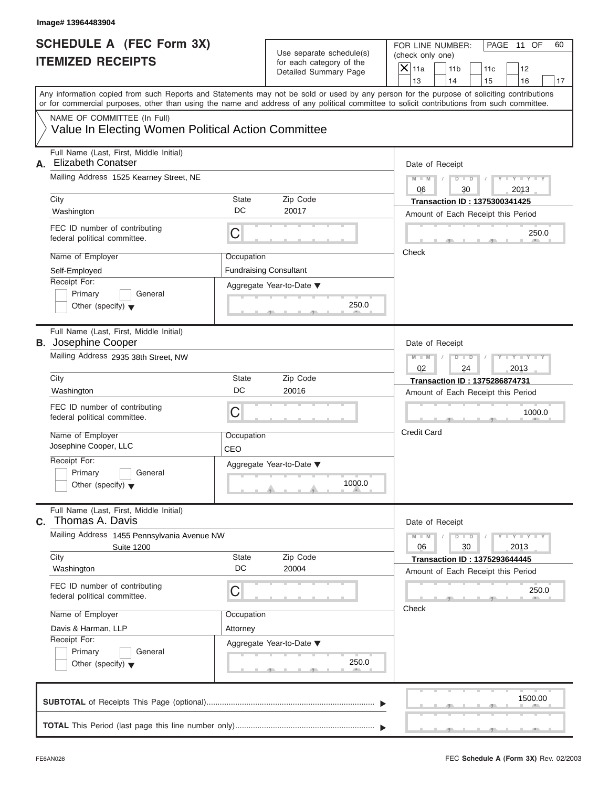| <b>SCHEDULE A (FEC Form 3X)</b><br>Use separate schedule(s)<br>(check only one)<br><b>ITEMIZED RECEIPTS</b><br>for each category of the<br>$X$ 11a<br>Detailed Summary Page<br>13<br>Any information copied from such Reports and Statements may not be sold or used by any person for the purpose of soliciting contributions<br>or for commercial purposes, other than using the name and address of any political committee to solicit contributions from such committee.<br>NAME OF COMMITTEE (In Full)<br>Value In Electing Women Political Action Committee<br>Full Name (Last, First, Middle Initial)<br><b>Elizabeth Conatser</b><br>А.<br>Mailing Address 1525 Kearney Street, NE<br>$M - M$<br>06<br>City<br>State<br>Zip Code<br>DC<br>20017<br>Washington<br>FEC ID number of contributing<br>С<br>federal political committee.<br>Check<br>Name of Employer<br>Occupation<br><b>Fundraising Consultant</b><br>Self-Employed<br>Receipt For:<br>Aggregate Year-to-Date ▼<br>Primary<br>General<br>250.0<br>Other (specify) $\blacktriangledown$<br>Full Name (Last, First, Middle Initial)<br><b>B.</b> Josephine Cooper<br>Mailing Address 2935 38th Street, NW<br>$M - M$<br>02<br>City<br>State<br>Zip Code<br>DC<br>Washington<br>20016<br>FEC ID number of contributing<br>С<br>federal political committee.<br><b>Credit Card</b><br>Name of Employer<br>Occupation<br>Josephine Cooper, LLC<br>CEO<br>Receipt For:<br>Aggregate Year-to-Date ▼<br>Primary<br>General<br>1000.0<br>Other (specify) $\blacktriangledown$<br>Full Name (Last, First, Middle Initial)<br>Thomas A. Davis<br>C.<br>Mailing Address 1455 Pennsylvania Avenue NW<br>$M - M$<br>06<br><b>Suite 1200</b><br>Zip Code<br>City<br>State<br>DC<br>20004<br>Washington<br>FEC ID number of contributing<br>С<br>federal political committee.<br>Check<br>Name of Employer<br>Occupation<br>Davis & Harman, LLP<br>Attorney |                                     |                                                                            |                              |    |
|------------------------------------------------------------------------------------------------------------------------------------------------------------------------------------------------------------------------------------------------------------------------------------------------------------------------------------------------------------------------------------------------------------------------------------------------------------------------------------------------------------------------------------------------------------------------------------------------------------------------------------------------------------------------------------------------------------------------------------------------------------------------------------------------------------------------------------------------------------------------------------------------------------------------------------------------------------------------------------------------------------------------------------------------------------------------------------------------------------------------------------------------------------------------------------------------------------------------------------------------------------------------------------------------------------------------------------------------------------------------------------------------------------------------------------------------------------------------------------------------------------------------------------------------------------------------------------------------------------------------------------------------------------------------------------------------------------------------------------------------------------------------------------------------------------------------------------------------------------------------------------------------------------------|-------------------------------------|----------------------------------------------------------------------------|------------------------------|----|
|                                                                                                                                                                                                                                                                                                                                                                                                                                                                                                                                                                                                                                                                                                                                                                                                                                                                                                                                                                                                                                                                                                                                                                                                                                                                                                                                                                                                                                                                                                                                                                                                                                                                                                                                                                                                                                                                                                                  | FOR LINE NUMBER:<br>11 <sub>b</sub> | 11c                                                                        | PAGE 11 OF<br>12             | 60 |
|                                                                                                                                                                                                                                                                                                                                                                                                                                                                                                                                                                                                                                                                                                                                                                                                                                                                                                                                                                                                                                                                                                                                                                                                                                                                                                                                                                                                                                                                                                                                                                                                                                                                                                                                                                                                                                                                                                                  | 14                                  | 15                                                                         | 16                           | 17 |
|                                                                                                                                                                                                                                                                                                                                                                                                                                                                                                                                                                                                                                                                                                                                                                                                                                                                                                                                                                                                                                                                                                                                                                                                                                                                                                                                                                                                                                                                                                                                                                                                                                                                                                                                                                                                                                                                                                                  |                                     |                                                                            |                              |    |
|                                                                                                                                                                                                                                                                                                                                                                                                                                                                                                                                                                                                                                                                                                                                                                                                                                                                                                                                                                                                                                                                                                                                                                                                                                                                                                                                                                                                                                                                                                                                                                                                                                                                                                                                                                                                                                                                                                                  |                                     |                                                                            |                              |    |
|                                                                                                                                                                                                                                                                                                                                                                                                                                                                                                                                                                                                                                                                                                                                                                                                                                                                                                                                                                                                                                                                                                                                                                                                                                                                                                                                                                                                                                                                                                                                                                                                                                                                                                                                                                                                                                                                                                                  | Date of Receipt                     |                                                                            |                              |    |
|                                                                                                                                                                                                                                                                                                                                                                                                                                                                                                                                                                                                                                                                                                                                                                                                                                                                                                                                                                                                                                                                                                                                                                                                                                                                                                                                                                                                                                                                                                                                                                                                                                                                                                                                                                                                                                                                                                                  |                                     | $D$ $D$<br>30                                                              | $Y - Y - Y - Y - Y$<br>2013  |    |
|                                                                                                                                                                                                                                                                                                                                                                                                                                                                                                                                                                                                                                                                                                                                                                                                                                                                                                                                                                                                                                                                                                                                                                                                                                                                                                                                                                                                                                                                                                                                                                                                                                                                                                                                                                                                                                                                                                                  |                                     | <b>Transaction ID: 1375300341425</b><br>Amount of Each Receipt this Period |                              |    |
|                                                                                                                                                                                                                                                                                                                                                                                                                                                                                                                                                                                                                                                                                                                                                                                                                                                                                                                                                                                                                                                                                                                                                                                                                                                                                                                                                                                                                                                                                                                                                                                                                                                                                                                                                                                                                                                                                                                  |                                     |                                                                            | 250.0                        |    |
|                                                                                                                                                                                                                                                                                                                                                                                                                                                                                                                                                                                                                                                                                                                                                                                                                                                                                                                                                                                                                                                                                                                                                                                                                                                                                                                                                                                                                                                                                                                                                                                                                                                                                                                                                                                                                                                                                                                  |                                     |                                                                            |                              |    |
|                                                                                                                                                                                                                                                                                                                                                                                                                                                                                                                                                                                                                                                                                                                                                                                                                                                                                                                                                                                                                                                                                                                                                                                                                                                                                                                                                                                                                                                                                                                                                                                                                                                                                                                                                                                                                                                                                                                  |                                     |                                                                            |                              |    |
|                                                                                                                                                                                                                                                                                                                                                                                                                                                                                                                                                                                                                                                                                                                                                                                                                                                                                                                                                                                                                                                                                                                                                                                                                                                                                                                                                                                                                                                                                                                                                                                                                                                                                                                                                                                                                                                                                                                  | Date of Receipt                     |                                                                            |                              |    |
|                                                                                                                                                                                                                                                                                                                                                                                                                                                                                                                                                                                                                                                                                                                                                                                                                                                                                                                                                                                                                                                                                                                                                                                                                                                                                                                                                                                                                                                                                                                                                                                                                                                                                                                                                                                                                                                                                                                  | $D - I$                             | 24                                                                         | Y I Y I Y I Y<br>2013        |    |
|                                                                                                                                                                                                                                                                                                                                                                                                                                                                                                                                                                                                                                                                                                                                                                                                                                                                                                                                                                                                                                                                                                                                                                                                                                                                                                                                                                                                                                                                                                                                                                                                                                                                                                                                                                                                                                                                                                                  |                                     | Transaction ID: 1375286874731                                              |                              |    |
|                                                                                                                                                                                                                                                                                                                                                                                                                                                                                                                                                                                                                                                                                                                                                                                                                                                                                                                                                                                                                                                                                                                                                                                                                                                                                                                                                                                                                                                                                                                                                                                                                                                                                                                                                                                                                                                                                                                  |                                     | Amount of Each Receipt this Period                                         |                              |    |
|                                                                                                                                                                                                                                                                                                                                                                                                                                                                                                                                                                                                                                                                                                                                                                                                                                                                                                                                                                                                                                                                                                                                                                                                                                                                                                                                                                                                                                                                                                                                                                                                                                                                                                                                                                                                                                                                                                                  |                                     |                                                                            | 1000.0                       |    |
|                                                                                                                                                                                                                                                                                                                                                                                                                                                                                                                                                                                                                                                                                                                                                                                                                                                                                                                                                                                                                                                                                                                                                                                                                                                                                                                                                                                                                                                                                                                                                                                                                                                                                                                                                                                                                                                                                                                  |                                     |                                                                            |                              |    |
|                                                                                                                                                                                                                                                                                                                                                                                                                                                                                                                                                                                                                                                                                                                                                                                                                                                                                                                                                                                                                                                                                                                                                                                                                                                                                                                                                                                                                                                                                                                                                                                                                                                                                                                                                                                                                                                                                                                  |                                     |                                                                            |                              |    |
|                                                                                                                                                                                                                                                                                                                                                                                                                                                                                                                                                                                                                                                                                                                                                                                                                                                                                                                                                                                                                                                                                                                                                                                                                                                                                                                                                                                                                                                                                                                                                                                                                                                                                                                                                                                                                                                                                                                  | Date of Receipt                     |                                                                            |                              |    |
|                                                                                                                                                                                                                                                                                                                                                                                                                                                                                                                                                                                                                                                                                                                                                                                                                                                                                                                                                                                                                                                                                                                                                                                                                                                                                                                                                                                                                                                                                                                                                                                                                                                                                                                                                                                                                                                                                                                  |                                     | $D - D$<br>30                                                              | $-1 - Y - 1 - Y - 1$<br>2013 |    |
|                                                                                                                                                                                                                                                                                                                                                                                                                                                                                                                                                                                                                                                                                                                                                                                                                                                                                                                                                                                                                                                                                                                                                                                                                                                                                                                                                                                                                                                                                                                                                                                                                                                                                                                                                                                                                                                                                                                  |                                     | <b>Transaction ID: 1375293644445</b>                                       |                              |    |
|                                                                                                                                                                                                                                                                                                                                                                                                                                                                                                                                                                                                                                                                                                                                                                                                                                                                                                                                                                                                                                                                                                                                                                                                                                                                                                                                                                                                                                                                                                                                                                                                                                                                                                                                                                                                                                                                                                                  |                                     | Amount of Each Receipt this Period                                         | 250.0                        |    |
|                                                                                                                                                                                                                                                                                                                                                                                                                                                                                                                                                                                                                                                                                                                                                                                                                                                                                                                                                                                                                                                                                                                                                                                                                                                                                                                                                                                                                                                                                                                                                                                                                                                                                                                                                                                                                                                                                                                  |                                     |                                                                            |                              |    |
|                                                                                                                                                                                                                                                                                                                                                                                                                                                                                                                                                                                                                                                                                                                                                                                                                                                                                                                                                                                                                                                                                                                                                                                                                                                                                                                                                                                                                                                                                                                                                                                                                                                                                                                                                                                                                                                                                                                  |                                     |                                                                            |                              |    |
| Receipt For:<br>Aggregate Year-to-Date ▼<br>Primary<br>General<br>250.0<br>Other (specify) $\blacktriangledown$                                                                                                                                                                                                                                                                                                                                                                                                                                                                                                                                                                                                                                                                                                                                                                                                                                                                                                                                                                                                                                                                                                                                                                                                                                                                                                                                                                                                                                                                                                                                                                                                                                                                                                                                                                                                  |                                     |                                                                            |                              |    |
|                                                                                                                                                                                                                                                                                                                                                                                                                                                                                                                                                                                                                                                                                                                                                                                                                                                                                                                                                                                                                                                                                                                                                                                                                                                                                                                                                                                                                                                                                                                                                                                                                                                                                                                                                                                                                                                                                                                  |                                     |                                                                            | 1500.00                      |    |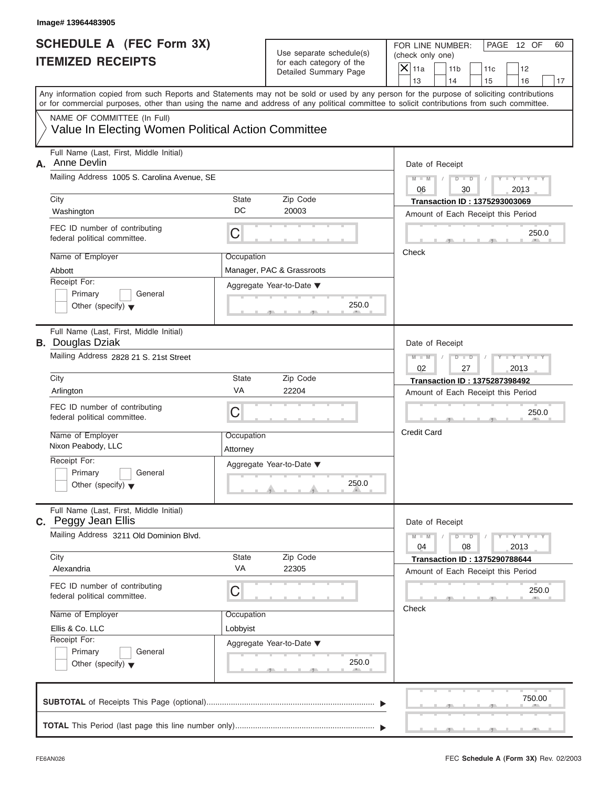| <b>SCHEDULE A (FEC Form 3X)</b>                                                                                                                                                                                                                                                         | Use separate schedule(s) |                                                   |                                                                            | PAGE 12 OF<br>60 |
|-----------------------------------------------------------------------------------------------------------------------------------------------------------------------------------------------------------------------------------------------------------------------------------------|--------------------------|---------------------------------------------------|----------------------------------------------------------------------------|------------------|
| <b>ITEMIZED RECEIPTS</b>                                                                                                                                                                                                                                                                |                          | for each category of the<br>Detailed Summary Page | $\mathsf{X}$ 11a<br>11 <sub>b</sub><br>11c<br>12<br>13<br>14<br>15<br>16   | 17               |
| Any information copied from such Reports and Statements may not be sold or used by any person for the purpose of soliciting contributions<br>or for commercial purposes, other than using the name and address of any political committee to solicit contributions from such committee. |                          |                                                   |                                                                            |                  |
| NAME OF COMMITTEE (In Full)<br>Value In Electing Women Political Action Committee                                                                                                                                                                                                       |                          |                                                   |                                                                            |                  |
| Full Name (Last, First, Middle Initial)<br>Anne Devlin<br>А.                                                                                                                                                                                                                            |                          |                                                   | Date of Receipt                                                            |                  |
| Mailing Address 1005 S. Carolina Avenue, SE                                                                                                                                                                                                                                             |                          |                                                   | $Y - Y - Y - Y - Y$<br>$M - M$<br>$D$ $D$<br>06<br>30<br>2013              |                  |
| City<br>Washington                                                                                                                                                                                                                                                                      | State<br>DC              | Zip Code<br>20003                                 | <b>Transaction ID: 1375293003069</b><br>Amount of Each Receipt this Period |                  |
| FEC ID number of contributing<br>federal political committee.                                                                                                                                                                                                                           | С                        |                                                   |                                                                            | 250.0            |
| Name of Employer<br>Abbott                                                                                                                                                                                                                                                              | Occupation               | Manager, PAC & Grassroots                         | Check                                                                      |                  |
| Receipt For:<br>Primary<br>General<br>Other (specify) $\blacktriangledown$                                                                                                                                                                                                              |                          | Aggregate Year-to-Date ▼<br>250.0                 |                                                                            |                  |
| Full Name (Last, First, Middle Initial)<br><b>B.</b> Douglas Dziak                                                                                                                                                                                                                      |                          |                                                   | Date of Receipt                                                            |                  |
| Mailing Address 2828 21 S. 21st Street                                                                                                                                                                                                                                                  |                          |                                                   | Y TYTTYTTY<br>$M - M$<br>$D$ $D$<br>02<br>27<br>2013                       |                  |
| City                                                                                                                                                                                                                                                                                    | <b>State</b><br>VA       | Zip Code<br>22204                                 | <b>Transaction ID: 1375287398492</b>                                       |                  |
| Arlington<br>FEC ID number of contributing                                                                                                                                                                                                                                              |                          |                                                   | Amount of Each Receipt this Period                                         |                  |
| federal political committee.                                                                                                                                                                                                                                                            | C                        |                                                   |                                                                            | 250.0            |
| Name of Employer<br>Nixon Peabody, LLC                                                                                                                                                                                                                                                  | Occupation<br>Attorney   |                                                   | <b>Credit Card</b>                                                         |                  |
| Receipt For:<br>Primary<br>General<br>Other (specify) $\blacktriangledown$                                                                                                                                                                                                              |                          | Aggregate Year-to-Date ▼<br>250.0                 |                                                                            |                  |
| Full Name (Last, First, Middle Initial)<br>C. Peggy Jean Ellis                                                                                                                                                                                                                          |                          |                                                   | Date of Receipt                                                            |                  |
| Mailing Address 3211 Old Dominion Blvd.                                                                                                                                                                                                                                                 |                          |                                                   | $M - M$<br>$D - D$<br>$Y - I - Y - I - Y - I$<br>04<br>08<br>2013          |                  |
| City<br>Alexandria                                                                                                                                                                                                                                                                      | State<br>VA              | Zip Code<br>22305                                 | <b>Transaction ID: 1375290788644</b><br>Amount of Each Receipt this Period |                  |
| FEC ID number of contributing<br>federal political committee.                                                                                                                                                                                                                           | С                        |                                                   |                                                                            | 250.0            |
| Name of Employer                                                                                                                                                                                                                                                                        | Occupation               |                                                   | Check                                                                      |                  |
| Ellis & Co. LLC<br>Receipt For:                                                                                                                                                                                                                                                         | Lobbyist                 | Aggregate Year-to-Date ▼                          |                                                                            |                  |
| Primary<br>General<br>Other (specify) $\blacktriangledown$                                                                                                                                                                                                                              |                          | 250.0                                             |                                                                            |                  |
|                                                                                                                                                                                                                                                                                         |                          |                                                   |                                                                            | 750.00           |
|                                                                                                                                                                                                                                                                                         |                          |                                                   |                                                                            |                  |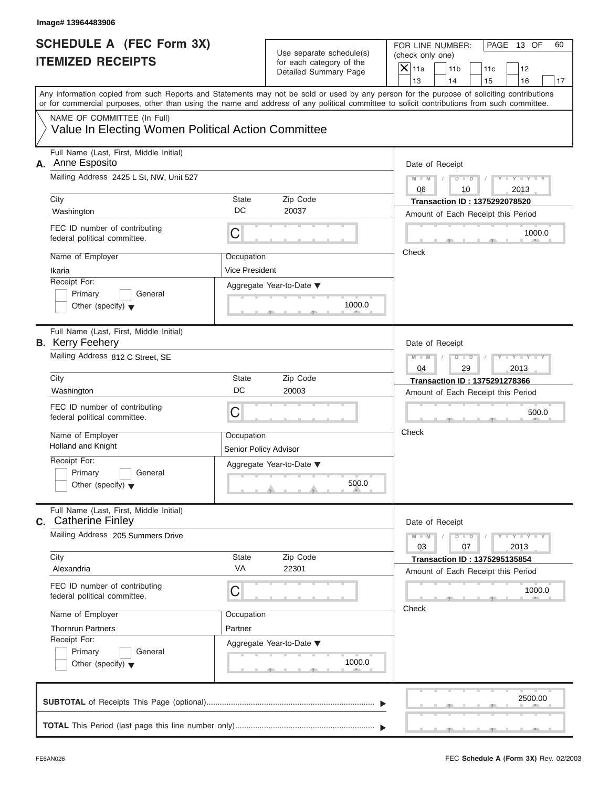| <b>ITEMIZED RECEIPTS</b>                                                                                                                                                                                                                                                                | <b>SCHEDULE A (FEC Form 3X)</b><br>Use separate schedule(s)<br>for each category of the |                                    | FOR LINE NUMBER:<br>(check only one)<br>$\mathsf{X}$ 11a |                       |                                                                            | PAGE 13 OF                      | 60 |
|-----------------------------------------------------------------------------------------------------------------------------------------------------------------------------------------------------------------------------------------------------------------------------------------|-----------------------------------------------------------------------------------------|------------------------------------|----------------------------------------------------------|-----------------------|----------------------------------------------------------------------------|---------------------------------|----|
|                                                                                                                                                                                                                                                                                         |                                                                                         | Detailed Summary Page              |                                                          | 11 <sub>b</sub><br>14 | 11c<br>15                                                                  | 12<br>16                        | 17 |
| Any information copied from such Reports and Statements may not be sold or used by any person for the purpose of soliciting contributions<br>or for commercial purposes, other than using the name and address of any political committee to solicit contributions from such committee. |                                                                                         |                                    | 13                                                       |                       |                                                                            |                                 |    |
| NAME OF COMMITTEE (In Full)<br>Value In Electing Women Political Action Committee                                                                                                                                                                                                       |                                                                                         |                                    |                                                          |                       |                                                                            |                                 |    |
| Full Name (Last, First, Middle Initial)<br>Anne Esposito<br>А.                                                                                                                                                                                                                          |                                                                                         |                                    |                                                          | Date of Receipt       |                                                                            |                                 |    |
| Mailing Address 2425 L St, NW, Unit 527                                                                                                                                                                                                                                                 |                                                                                         |                                    | $M - M$<br>06                                            | $D$ $D$<br>10         |                                                                            | $Y - Y - Y - Y - Y$<br>2013     |    |
| City<br>Washington                                                                                                                                                                                                                                                                      | <b>State</b><br>DC                                                                      | Zip Code<br>20037                  |                                                          |                       | <b>Transaction ID: 1375292078520</b><br>Amount of Each Receipt this Period |                                 |    |
| FEC ID number of contributing<br>federal political committee.                                                                                                                                                                                                                           | C                                                                                       |                                    |                                                          |                       |                                                                            | 1000.0                          |    |
| Name of Employer<br>Ikaria                                                                                                                                                                                                                                                              | Occupation<br>Vice President                                                            |                                    | Check                                                    |                       |                                                                            |                                 |    |
| Receipt For:<br>Primary<br>General<br>Other (specify) $\blacktriangledown$                                                                                                                                                                                                              |                                                                                         | Aggregate Year-to-Date ▼<br>1000.0 |                                                          |                       |                                                                            |                                 |    |
| Full Name (Last, First, Middle Initial)<br><b>B.</b> Kerry Feehery                                                                                                                                                                                                                      |                                                                                         |                                    |                                                          | Date of Receipt       |                                                                            |                                 |    |
| Mailing Address 812 C Street, SE                                                                                                                                                                                                                                                        |                                                                                         |                                    | $M - M$<br>04                                            | $D$ $D$<br>29         |                                                                            | Y TYTTYTTY<br>2013              |    |
| City<br>Washington                                                                                                                                                                                                                                                                      | <b>State</b><br>DC                                                                      | Zip Code<br>20003                  |                                                          |                       | <b>Transaction ID: 1375291278366</b>                                       |                                 |    |
|                                                                                                                                                                                                                                                                                         |                                                                                         |                                    |                                                          |                       | Amount of Each Receipt this Period                                         |                                 |    |
| FEC ID number of contributing<br>federal political committee.                                                                                                                                                                                                                           | C                                                                                       |                                    |                                                          |                       |                                                                            | 500.0                           |    |
| Name of Employer<br><b>Holland and Knight</b>                                                                                                                                                                                                                                           | Occupation<br>Senior Policy Advisor                                                     |                                    | Check                                                    |                       |                                                                            |                                 |    |
| Receipt For:<br>Primary<br>General<br>Other (specify) $\blacktriangledown$                                                                                                                                                                                                              |                                                                                         | Aggregate Year-to-Date ▼<br>500.0  |                                                          |                       |                                                                            |                                 |    |
| Full Name (Last, First, Middle Initial)<br><b>c.</b> Catherine Finley                                                                                                                                                                                                                   |                                                                                         |                                    |                                                          | Date of Receipt       |                                                                            |                                 |    |
| Mailing Address 205 Summers Drive                                                                                                                                                                                                                                                       |                                                                                         |                                    | $M - M$<br>03                                            | $D - D$<br>07         |                                                                            | $Y - I - Y - I - Y - I$<br>2013 |    |
| City<br>Alexandria                                                                                                                                                                                                                                                                      | State<br>VA                                                                             | Zip Code<br>22301                  |                                                          |                       | <b>Transaction ID: 1375295135854</b><br>Amount of Each Receipt this Period |                                 |    |
| FEC ID number of contributing<br>federal political committee.                                                                                                                                                                                                                           | С                                                                                       |                                    |                                                          |                       |                                                                            | 1000.0                          |    |
| Name of Employer<br><b>Thornrun Partners</b>                                                                                                                                                                                                                                            | Occupation<br>Partner                                                                   |                                    | Check                                                    |                       |                                                                            |                                 |    |
| Receipt For:<br>Primary<br>General<br>Other (specify) $\blacktriangledown$                                                                                                                                                                                                              |                                                                                         | Aggregate Year-to-Date ▼<br>1000.0 |                                                          |                       |                                                                            |                                 |    |
|                                                                                                                                                                                                                                                                                         |                                                                                         |                                    |                                                          |                       |                                                                            | 2500.00                         |    |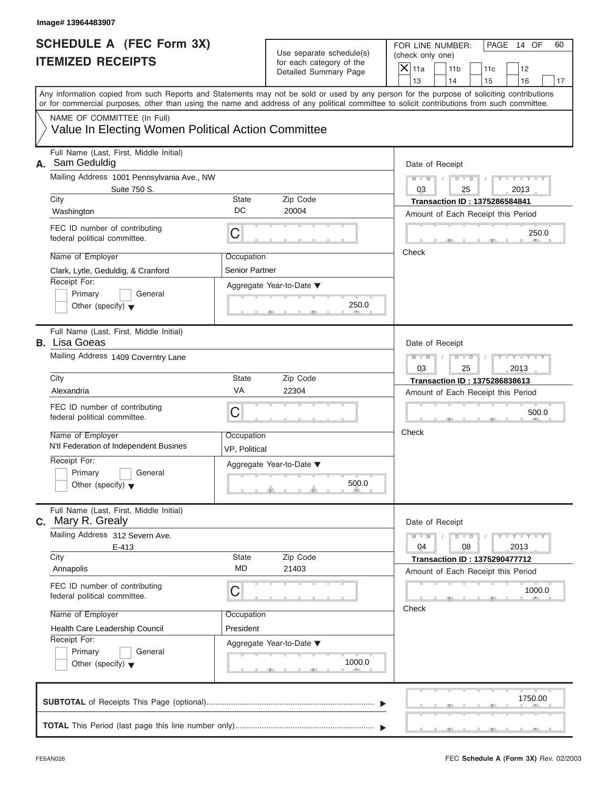| Image# 13964483907                                                                                                                                                                                                                                                                      |                              |                                                                               |               |                                                                            |            |                             |    |
|-----------------------------------------------------------------------------------------------------------------------------------------------------------------------------------------------------------------------------------------------------------------------------------------|------------------------------|-------------------------------------------------------------------------------|---------------|----------------------------------------------------------------------------|------------|-----------------------------|----|
| <b>SCHEDULE A (FEC Form 3X)</b><br><b>ITEMIZED RECEIPTS</b>                                                                                                                                                                                                                             |                              | Use separate schedule(s)<br>for each category of the<br>Detailed Summary Page |               | FOR LINE NUMBER:<br>(check only one)<br>11 <sub>b</sub>                    | 11c        | PAGE 14 OF<br>12            | 60 |
|                                                                                                                                                                                                                                                                                         |                              |                                                                               |               | 14                                                                         | 15         | 16                          | 17 |
| Any information copied from such Reports and Statements may not be sold or used by any person for the purpose of soliciting contributions<br>or for commercial purposes, other than using the name and address of any political committee to solicit contributions from such committee. |                              |                                                                               |               |                                                                            |            |                             |    |
| NAME OF COMMITTEE (In Full)<br>Value In Electing Women Political Action Committee                                                                                                                                                                                                       |                              |                                                                               |               |                                                                            |            |                             |    |
| Full Name (Last, First, Middle Initial)<br>A. Sam Geduldig                                                                                                                                                                                                                              |                              |                                                                               |               | Date of Receipt                                                            |            |                             |    |
| Mailing Address 1001 Pennsylvania Ave., NW<br>Suite 750 S.                                                                                                                                                                                                                              |                              |                                                                               | $M - M$<br>03 | $D$ $D$<br>25                                                              | $\sqrt{ }$ | $Y - Y - Y - Y - Y$<br>2013 |    |
| City<br>Washington                                                                                                                                                                                                                                                                      | State<br>DC                  | Zip Code<br>20004                                                             |               | <b>Transaction ID: 1375286584841</b><br>Amount of Each Receipt this Period |            |                             |    |
| FEC ID number of contributing<br>federal political committee.                                                                                                                                                                                                                           | С                            |                                                                               |               |                                                                            |            | 250.0                       |    |
| Name of Employer<br>Clark, Lytle, Geduldig, & Cranford                                                                                                                                                                                                                                  | Occupation<br>Senior Partner |                                                                               | Check         |                                                                            |            |                             |    |
| Receipt For:<br>Primary<br>General<br>Other (specify) $\blacktriangledown$                                                                                                                                                                                                              |                              | Aggregate Year-to-Date ▼<br>250.0                                             |               |                                                                            |            |                             |    |
| Full Name (Last, First, Middle Initial)<br><b>B.</b> Lisa Goeas                                                                                                                                                                                                                         |                              |                                                                               |               | Date of Receipt                                                            |            |                             |    |
| Mailing Address 1409 Coverntry Lane                                                                                                                                                                                                                                                     |                              |                                                                               | $M - M$<br>03 | $D - I$<br>25                                                              |            | Y I Y I Y I Y<br>2013       |    |
| City                                                                                                                                                                                                                                                                                    | State                        | Zip Code                                                                      |               | Transaction ID: 1375286838613                                              |            |                             |    |
| Alexandria                                                                                                                                                                                                                                                                              | VA                           | 22304                                                                         |               | Amount of Each Receipt this Period                                         |            |                             |    |
| FEC ID number of contributing<br>federal political committee.                                                                                                                                                                                                                           | С                            |                                                                               |               |                                                                            |            | 500.0                       |    |
| Name of Employer<br>N'tl Federation of Independent Busines                                                                                                                                                                                                                              | Occupation<br>VP, Political  |                                                                               | Check         |                                                                            |            |                             |    |
| Receipt For:<br>Primary<br>General<br>Other (specify) $\blacktriangledown$                                                                                                                                                                                                              |                              | Aggregate Year-to-Date ▼<br>500.0                                             |               |                                                                            |            |                             |    |
| Full Name (Last, First, Middle Initial)<br><b>c.</b> Mary R. Grealy                                                                                                                                                                                                                     |                              |                                                                               |               | Date of Receipt                                                            |            |                             |    |
| Mailing Address 312 Severn Ave.<br>$E-413$                                                                                                                                                                                                                                              |                              |                                                                               | $M - M$<br>04 | $D - D$<br>08                                                              |            | $Y - Y - Y - Y - I$<br>2013 |    |
| City<br>Annapolis                                                                                                                                                                                                                                                                       | State<br><b>MD</b>           | Zip Code<br>21403                                                             |               | <b>Transaction ID: 1375290477712</b><br>Amount of Each Receipt this Period |            |                             |    |
| FEC ID number of contributing<br>federal political committee.                                                                                                                                                                                                                           | С                            |                                                                               |               |                                                                            |            | 1000.0                      |    |
| Name of Employer<br>Health Care Leadership Council                                                                                                                                                                                                                                      | Occupation<br>President      |                                                                               | Check         |                                                                            |            |                             |    |
| Receipt For:<br>Primary<br>General<br>Other (specify) $\blacktriangledown$                                                                                                                                                                                                              |                              | Aggregate Year-to-Date ▼<br>1000.0                                            |               |                                                                            |            |                             |    |
|                                                                                                                                                                                                                                                                                         |                              |                                                                               |               |                                                                            |            | 1750.00                     |    |
|                                                                                                                                                                                                                                                                                         |                              |                                                                               |               |                                                                            |            |                             |    |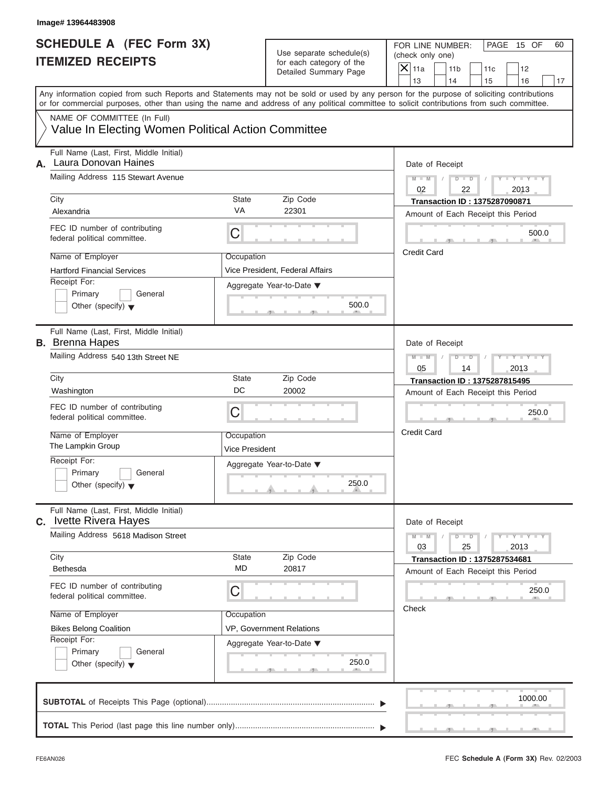| Image# 13964483908                                                                |                                     |                                                                               |                                                                                                                                                                                                                                                                                         |
|-----------------------------------------------------------------------------------|-------------------------------------|-------------------------------------------------------------------------------|-----------------------------------------------------------------------------------------------------------------------------------------------------------------------------------------------------------------------------------------------------------------------------------------|
| <b>SCHEDULE A (FEC Form 3X)</b><br><b>ITEMIZED RECEIPTS</b>                       |                                     | Use separate schedule(s)<br>for each category of the<br>Detailed Summary Page | FOR LINE NUMBER:<br>PAGE 15 OF<br>60<br>(check only one)<br>$X$ 11a<br>11 <sub>b</sub><br>11c<br>12<br>13<br>14<br>15<br>16<br>17                                                                                                                                                       |
|                                                                                   |                                     |                                                                               | Any information copied from such Reports and Statements may not be sold or used by any person for the purpose of soliciting contributions<br>or for commercial purposes, other than using the name and address of any political committee to solicit contributions from such committee. |
| NAME OF COMMITTEE (In Full)<br>Value In Electing Women Political Action Committee |                                     |                                                                               |                                                                                                                                                                                                                                                                                         |
| Full Name (Last, First, Middle Initial)<br>Laura Donovan Haines<br>А.             |                                     |                                                                               | Date of Receipt                                                                                                                                                                                                                                                                         |
| Mailing Address 115 Stewart Avenue                                                |                                     |                                                                               | $M - M$ / $D - D$ /<br>$Y - Y - Y - Y - Y$<br>02<br>2013<br>22                                                                                                                                                                                                                          |
| City<br>Alexandria                                                                | State<br><b>VA</b>                  | Zip Code<br>22301                                                             | <b>Transaction ID: 1375287090871</b><br>Amount of Each Receipt this Period                                                                                                                                                                                                              |
| FEC ID number of contributing<br>federal political committee.                     | C                                   |                                                                               | 500.0                                                                                                                                                                                                                                                                                   |
| Name of Employer<br><b>Hartford Financial Services</b>                            | Occupation                          | Vice President, Federal Affairs                                               | <b>Credit Card</b>                                                                                                                                                                                                                                                                      |
| Receipt For:<br>Primary<br>General<br>Other (specify) $\blacktriangledown$        |                                     | Aggregate Year-to-Date ▼<br>500.0                                             |                                                                                                                                                                                                                                                                                         |
| Full Name (Last, First, Middle Initial)<br><b>B.</b> Brenna Hapes                 |                                     |                                                                               | Date of Receipt                                                                                                                                                                                                                                                                         |
| Mailing Address 540 13th Street NE                                                |                                     |                                                                               | Y T Y T Y T<br>$M - M$<br>$D - I$<br>05<br>14<br>2013                                                                                                                                                                                                                                   |
| City<br>Washington                                                                | State<br>DC                         | Zip Code<br>20002                                                             | <b>Transaction ID: 1375287815495</b><br>Amount of Each Receipt this Period                                                                                                                                                                                                              |
| FEC ID number of contributing<br>federal political committee.                     | С                                   |                                                                               | 250.0                                                                                                                                                                                                                                                                                   |
| Name of Employer<br>The Lampkin Group                                             | Occupation<br><b>Vice President</b> |                                                                               | <b>Credit Card</b>                                                                                                                                                                                                                                                                      |
| Receipt For:<br>Primary<br>General<br>Other (specify) $\blacktriangledown$        |                                     | Aggregate Year-to-Date ▼<br>250.0                                             |                                                                                                                                                                                                                                                                                         |
| Full Name (Last, First, Middle Initial)<br><b>c.</b> Ivette Rivera Hayes          |                                     |                                                                               | Date of Receipt                                                                                                                                                                                                                                                                         |
| Mailing Address 5618 Madison Street                                               |                                     |                                                                               | $M - M$<br>$D$ $\Box$ $D$<br>$Y = Y = Y - Y$<br>03<br>25<br>2013                                                                                                                                                                                                                        |
| City<br><b>Bethesda</b>                                                           | State<br><b>MD</b>                  | Zip Code<br>20817                                                             | <b>Transaction ID: 1375287534681</b><br>Amount of Each Receipt this Period                                                                                                                                                                                                              |
| FEC ID number of contributing<br>federal political committee.                     | С                                   |                                                                               | 250.0<br>Check                                                                                                                                                                                                                                                                          |
| Name of Employer<br><b>Bikes Belong Coalition</b>                                 | Occupation                          | VP, Government Relations                                                      |                                                                                                                                                                                                                                                                                         |
| Receipt For:<br>Primary<br>General<br>Other (specify) $\blacktriangledown$        |                                     | Aggregate Year-to-Date ▼<br>250.0                                             |                                                                                                                                                                                                                                                                                         |
|                                                                                   |                                     |                                                                               |                                                                                                                                                                                                                                                                                         |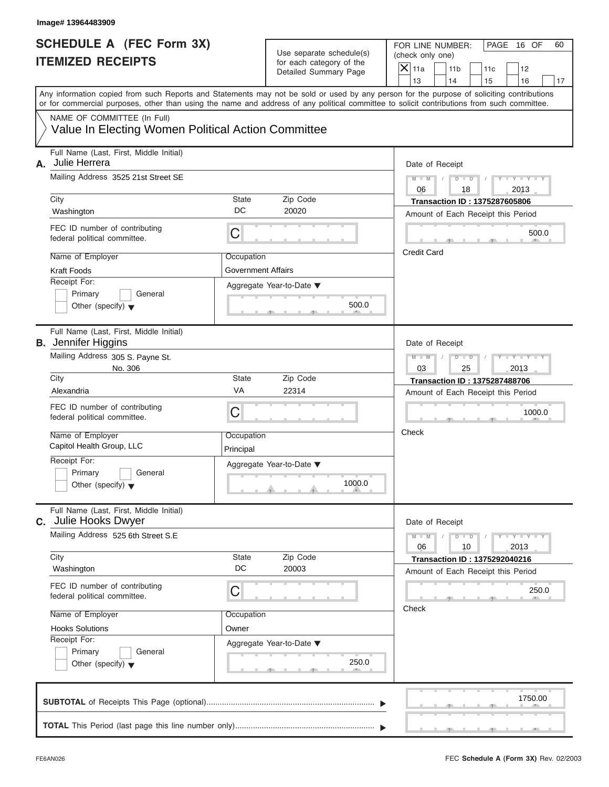| Image# 13964483909                                                                                                                        |                         |                                                      |                                                                                                                                            |                  |
|-------------------------------------------------------------------------------------------------------------------------------------------|-------------------------|------------------------------------------------------|--------------------------------------------------------------------------------------------------------------------------------------------|------------------|
| <b>SCHEDULE A (FEC Form 3X)</b><br><b>ITEMIZED RECEIPTS</b>                                                                               |                         | Use separate schedule(s)<br>for each category of the |                                                                                                                                            | PAGE 16 OF<br>60 |
|                                                                                                                                           |                         | Detailed Summary Page                                | $X$ 11a<br>11 <sub>b</sub><br>11c<br>12                                                                                                    |                  |
| Any information copied from such Reports and Statements may not be sold or used by any person for the purpose of soliciting contributions |                         |                                                      | 13<br>14<br>15<br>16                                                                                                                       | 17               |
|                                                                                                                                           |                         |                                                      | or for commercial purposes, other than using the name and address of any political committee to solicit contributions from such committee. |                  |
| NAME OF COMMITTEE (In Full)                                                                                                               |                         |                                                      |                                                                                                                                            |                  |
| Value In Electing Women Political Action Committee                                                                                        |                         |                                                      |                                                                                                                                            |                  |
| Full Name (Last, First, Middle Initial)<br>Julie Herrera<br>А.                                                                            |                         |                                                      | Date of Receipt                                                                                                                            |                  |
| Mailing Address 3525 21st Street SE                                                                                                       |                         |                                                      | $D$ $D$<br>$Y - Y - Y - Y - Y$<br>$M - M$<br>06<br>18<br>2013                                                                              |                  |
| City                                                                                                                                      | State                   | Zip Code                                             | <b>Transaction ID: 1375287605806</b>                                                                                                       |                  |
| Washington                                                                                                                                | DC                      | 20020                                                | Amount of Each Receipt this Period                                                                                                         |                  |
| FEC ID number of contributing<br>federal political committee.                                                                             | C                       |                                                      | 500.0                                                                                                                                      |                  |
| Name of Employer                                                                                                                          | Occupation              |                                                      | <b>Credit Card</b>                                                                                                                         |                  |
| Kraft Foods                                                                                                                               | Government Affairs      |                                                      |                                                                                                                                            |                  |
| Receipt For:                                                                                                                              |                         | Aggregate Year-to-Date ▼                             |                                                                                                                                            |                  |
| Primary<br>General                                                                                                                        |                         |                                                      |                                                                                                                                            |                  |
| Other (specify) $\blacktriangledown$                                                                                                      |                         | 500.0                                                |                                                                                                                                            |                  |
| Full Name (Last, First, Middle Initial)<br><b>B.</b> Jennifer Higgins                                                                     |                         |                                                      | Date of Receipt                                                                                                                            |                  |
| Mailing Address 305 S. Payne St.                                                                                                          |                         |                                                      | $M - M$<br>$D - I - D$<br>Y T Y T Y T                                                                                                      |                  |
| No. 306                                                                                                                                   |                         |                                                      | 03<br>25<br>2013                                                                                                                           |                  |
| City                                                                                                                                      | State                   | Zip Code                                             | <b>Transaction ID: 1375287488706</b>                                                                                                       |                  |
| Alexandria                                                                                                                                | VA                      | 22314                                                | Amount of Each Receipt this Period                                                                                                         |                  |
| FEC ID number of contributing<br>federal political committee.                                                                             | C                       |                                                      | 1000.0                                                                                                                                     |                  |
| Name of Employer<br>Capitol Health Group, LLC                                                                                             | Occupation<br>Principal |                                                      | Check                                                                                                                                      |                  |
| Receipt For:                                                                                                                              |                         | Aggregate Year-to-Date ▼                             |                                                                                                                                            |                  |
| Primary<br>General<br>Other (specify) $\blacktriangledown$                                                                                |                         | 1000.0                                               |                                                                                                                                            |                  |
| Full Name (Last, First, Middle Initial)<br>Julie Hooks Dwyer<br>C.                                                                        |                         |                                                      | Date of Receipt                                                                                                                            |                  |
| Mailing Address 525 6th Street S.E                                                                                                        |                         |                                                      | $M - M$<br>$D$ $\Box$ $D$<br>$Y = Y = Y - Y$<br>06<br>10<br>2013                                                                           |                  |
| City                                                                                                                                      | State                   | Zip Code                                             | <b>Transaction ID: 1375292040216</b>                                                                                                       |                  |
| Washington                                                                                                                                | DC                      | 20003                                                | Amount of Each Receipt this Period                                                                                                         |                  |
| FEC ID number of contributing<br>federal political committee.                                                                             | C                       |                                                      | 250.0                                                                                                                                      |                  |
| Name of Employer                                                                                                                          | Occupation              |                                                      | Check                                                                                                                                      |                  |
| <b>Hooks Solutions</b>                                                                                                                    | Owner                   |                                                      |                                                                                                                                            |                  |
| Receipt For:                                                                                                                              |                         | Aggregate Year-to-Date ▼                             |                                                                                                                                            |                  |
| Primary<br>General                                                                                                                        |                         |                                                      |                                                                                                                                            |                  |
| Other (specify) $\blacktriangledown$                                                                                                      |                         | 250.0                                                |                                                                                                                                            |                  |
|                                                                                                                                           |                         |                                                      | 1750.00                                                                                                                                    |                  |
|                                                                                                                                           |                         |                                                      |                                                                                                                                            |                  |
|                                                                                                                                           |                         |                                                      |                                                                                                                                            |                  |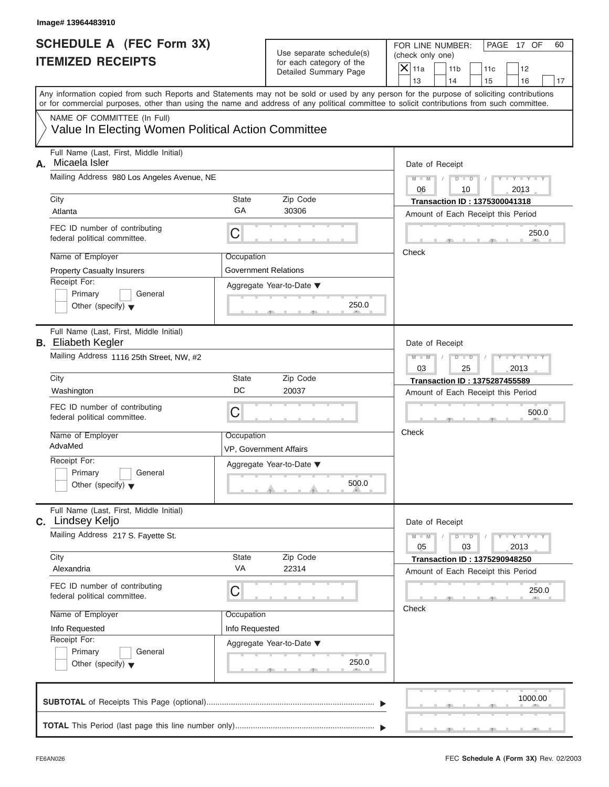| Image# 13964483910                                                                |                              |                                                                               |                                                                                                                                                                                                                                                                                         |
|-----------------------------------------------------------------------------------|------------------------------|-------------------------------------------------------------------------------|-----------------------------------------------------------------------------------------------------------------------------------------------------------------------------------------------------------------------------------------------------------------------------------------|
| <b>SCHEDULE A (FEC Form 3X)</b><br><b>ITEMIZED RECEIPTS</b>                       |                              | Use separate schedule(s)<br>for each category of the<br>Detailed Summary Page | FOR LINE NUMBER:<br>PAGE 17 OF<br>60<br>(check only one)<br>$\mathsf{X}$ 11a<br>11 <sub>b</sub><br>11c<br>12<br>13<br>14<br>15<br>16<br>17                                                                                                                                              |
|                                                                                   |                              |                                                                               | Any information copied from such Reports and Statements may not be sold or used by any person for the purpose of soliciting contributions<br>or for commercial purposes, other than using the name and address of any political committee to solicit contributions from such committee. |
| NAME OF COMMITTEE (In Full)<br>Value In Electing Women Political Action Committee |                              |                                                                               |                                                                                                                                                                                                                                                                                         |
| Full Name (Last, First, Middle Initial)<br>Micaela Isler<br>А.                    |                              |                                                                               | Date of Receipt                                                                                                                                                                                                                                                                         |
| Mailing Address 980 Los Angeles Avenue, NE                                        |                              |                                                                               | $Y - Y - Y - Y - Y$<br>$M - M$<br>$D$ $D$<br>2013<br>06<br>10                                                                                                                                                                                                                           |
| City<br>Atlanta                                                                   | State<br>GA                  | Zip Code<br>30306                                                             | <b>Transaction ID: 1375300041318</b><br>Amount of Each Receipt this Period                                                                                                                                                                                                              |
| FEC ID number of contributing<br>federal political committee.                     | C                            |                                                                               | 250.0                                                                                                                                                                                                                                                                                   |
| Name of Employer<br><b>Property Casualty Insurers</b>                             | Occupation                   | Government Relations                                                          | Check                                                                                                                                                                                                                                                                                   |
| Receipt For:<br>Primary<br>General<br>Other (specify) $\blacktriangledown$        |                              | Aggregate Year-to-Date ▼<br>250.0                                             |                                                                                                                                                                                                                                                                                         |
| Full Name (Last, First, Middle Initial)<br><b>B.</b> Eliabeth Kegler              |                              |                                                                               | Date of Receipt                                                                                                                                                                                                                                                                         |
| Mailing Address 1116 25th Street, NW, #2                                          |                              |                                                                               | Y T Y T Y T<br>$M - M$<br>$D$ $D$<br>2013<br>03<br>25                                                                                                                                                                                                                                   |
| City                                                                              | State<br>DC                  | Zip Code                                                                      | <b>Transaction ID: 1375287455589</b>                                                                                                                                                                                                                                                    |
| Washington                                                                        |                              | 20037                                                                         | Amount of Each Receipt this Period                                                                                                                                                                                                                                                      |
| FEC ID number of contributing<br>federal political committee.                     | C                            |                                                                               | 500.0                                                                                                                                                                                                                                                                                   |
| Name of Employer<br>AdvaMed                                                       | Occupation                   | VP, Government Affairs                                                        | Check                                                                                                                                                                                                                                                                                   |
| Receipt For:<br>Primary<br>General<br>Other (specify) $\blacktriangledown$        |                              | Aggregate Year-to-Date ▼<br>500.0                                             |                                                                                                                                                                                                                                                                                         |
| Full Name (Last, First, Middle Initial)<br>C. Lindsey Keljo                       |                              |                                                                               | Date of Receipt                                                                                                                                                                                                                                                                         |
| Mailing Address 217 S. Fayette St.                                                |                              |                                                                               | $M - M$<br>$\mathbf{I} = \mathbf{Y} + \mathbf{I} - \mathbf{Y}$<br>$D$ $D$<br>05<br>03<br>2013                                                                                                                                                                                           |
| City<br>Alexandria                                                                | State<br>VA                  | Zip Code<br>22314                                                             | <b>Transaction ID: 1375290948250</b>                                                                                                                                                                                                                                                    |
| FEC ID number of contributing<br>federal political committee.                     | С                            |                                                                               | Amount of Each Receipt this Period<br>250.0                                                                                                                                                                                                                                             |
| Name of Employer<br>Info Requested                                                | Occupation<br>Info Requested |                                                                               | Check                                                                                                                                                                                                                                                                                   |
| Receipt For:<br>Primary<br>General<br>Other (specify) $\blacktriangledown$        |                              | Aggregate Year-to-Date ▼<br>250.0                                             |                                                                                                                                                                                                                                                                                         |
|                                                                                   |                              |                                                                               | 1000.00                                                                                                                                                                                                                                                                                 |
|                                                                                   |                              |                                                                               |                                                                                                                                                                                                                                                                                         |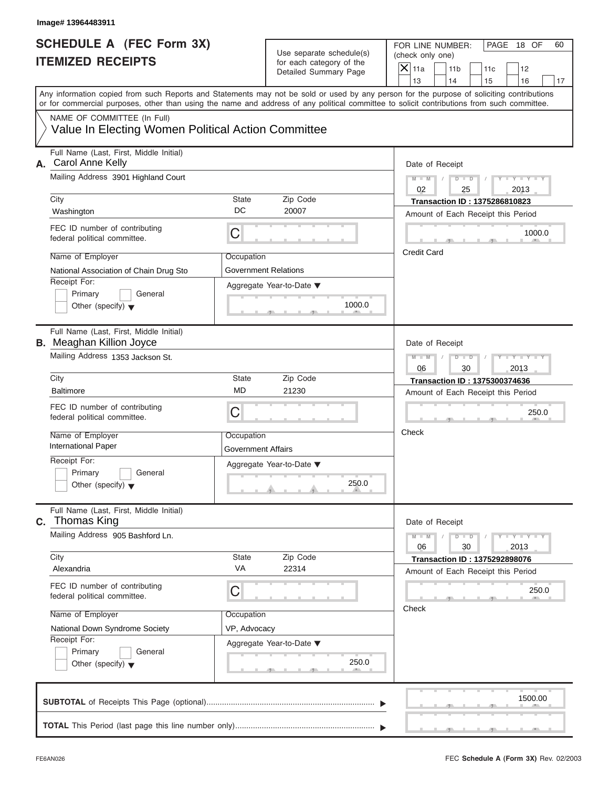| Image# 13964483911                                                                                                                                                                                                                                                                      |                                         |                                                      |                    |                                                         |                                                                            |                                 |    |
|-----------------------------------------------------------------------------------------------------------------------------------------------------------------------------------------------------------------------------------------------------------------------------------------|-----------------------------------------|------------------------------------------------------|--------------------|---------------------------------------------------------|----------------------------------------------------------------------------|---------------------------------|----|
| <b>SCHEDULE A (FEC Form 3X)</b><br><b>ITEMIZED RECEIPTS</b>                                                                                                                                                                                                                             |                                         | Use separate schedule(s)<br>for each category of the |                    | FOR LINE NUMBER:<br>(check only one)<br>11 <sub>b</sub> | 11c                                                                        | PAGE 18 OF<br>12                | 60 |
|                                                                                                                                                                                                                                                                                         |                                         | Detailed Summary Page                                | $X$ 11a<br>13      | 14                                                      | 15                                                                         | 16                              | 17 |
| Any information copied from such Reports and Statements may not be sold or used by any person for the purpose of soliciting contributions<br>or for commercial purposes, other than using the name and address of any political committee to solicit contributions from such committee. |                                         |                                                      |                    |                                                         |                                                                            |                                 |    |
| NAME OF COMMITTEE (In Full)<br>Value In Electing Women Political Action Committee                                                                                                                                                                                                       |                                         |                                                      |                    |                                                         |                                                                            |                                 |    |
| Full Name (Last, First, Middle Initial)<br>Carol Anne Kelly<br>А.                                                                                                                                                                                                                       |                                         |                                                      |                    | Date of Receipt                                         |                                                                            |                                 |    |
| Mailing Address 3901 Highland Court                                                                                                                                                                                                                                                     |                                         |                                                      | $M - M$<br>02      | $D$ $D$<br>25                                           | $\sqrt{ }$                                                                 | $Y - Y - Y - Y - Y$<br>2013     |    |
| City<br>Washington                                                                                                                                                                                                                                                                      | State<br>DC                             | Zip Code<br>20007                                    |                    |                                                         | <b>Transaction ID: 1375286810823</b><br>Amount of Each Receipt this Period |                                 |    |
| FEC ID number of contributing<br>federal political committee.                                                                                                                                                                                                                           | С                                       |                                                      |                    |                                                         |                                                                            | 1000.0                          |    |
| Name of Employer<br>National Association of Chain Drug Sto                                                                                                                                                                                                                              | Occupation<br>Government Relations      |                                                      | <b>Credit Card</b> |                                                         |                                                                            |                                 |    |
| Receipt For:<br>Primary<br>General<br>Other (specify) $\blacktriangledown$                                                                                                                                                                                                              |                                         | Aggregate Year-to-Date ▼<br>1000.0                   |                    |                                                         |                                                                            |                                 |    |
| Full Name (Last, First, Middle Initial)<br><b>B.</b> Meaghan Killion Joyce                                                                                                                                                                                                              |                                         |                                                      |                    | Date of Receipt                                         |                                                                            |                                 |    |
| Mailing Address 1353 Jackson St.                                                                                                                                                                                                                                                        |                                         |                                                      | $M - M$<br>06      | $D - I - D$<br>30                                       |                                                                            | Y TY TY TY<br>2013              |    |
| City                                                                                                                                                                                                                                                                                    | State                                   | Zip Code                                             |                    |                                                         | <b>Transaction ID: 1375300374636</b>                                       |                                 |    |
| <b>Baltimore</b>                                                                                                                                                                                                                                                                        | <b>MD</b>                               | 21230                                                |                    |                                                         | Amount of Each Receipt this Period                                         |                                 |    |
| FEC ID number of contributing<br>federal political committee.                                                                                                                                                                                                                           | С                                       |                                                      |                    |                                                         |                                                                            | 250.0                           |    |
| Name of Employer<br><b>International Paper</b>                                                                                                                                                                                                                                          | Occupation<br><b>Government Affairs</b> |                                                      | Check              |                                                         |                                                                            |                                 |    |
| Receipt For:<br>Primary<br>General<br>Other (specify) $\blacktriangledown$                                                                                                                                                                                                              |                                         | Aggregate Year-to-Date ▼<br>250.0                    |                    |                                                         |                                                                            |                                 |    |
| Full Name (Last, First, Middle Initial)<br>Thomas King<br>C.                                                                                                                                                                                                                            |                                         |                                                      |                    | Date of Receipt                                         |                                                                            |                                 |    |
| Mailing Address 905 Bashford Ln.                                                                                                                                                                                                                                                        |                                         |                                                      | $M - M$<br>06      | $D$ $\Box$ $D$<br>30                                    |                                                                            | $Y - I - Y - I - Y - I$<br>2013 |    |
| City<br>Alexandria                                                                                                                                                                                                                                                                      | State<br>VA                             | Zip Code<br>22314                                    |                    |                                                         | <b>Transaction ID: 1375292898076</b><br>Amount of Each Receipt this Period |                                 |    |
| FEC ID number of contributing<br>federal political committee.                                                                                                                                                                                                                           | С                                       |                                                      |                    |                                                         |                                                                            | 250.0                           |    |
| Name of Employer                                                                                                                                                                                                                                                                        | Occupation                              |                                                      | Check              |                                                         |                                                                            |                                 |    |
| National Down Syndrome Society                                                                                                                                                                                                                                                          | VP, Advocacy                            |                                                      |                    |                                                         |                                                                            |                                 |    |
| Receipt For:<br>Primary<br>General<br>Other (specify) $\blacktriangledown$                                                                                                                                                                                                              |                                         | Aggregate Year-to-Date ▼<br>250.0                    |                    |                                                         |                                                                            |                                 |    |
|                                                                                                                                                                                                                                                                                         |                                         |                                                      |                    |                                                         |                                                                            | 1500.00                         |    |
|                                                                                                                                                                                                                                                                                         |                                         |                                                      |                    |                                                         |                                                                            |                                 |    |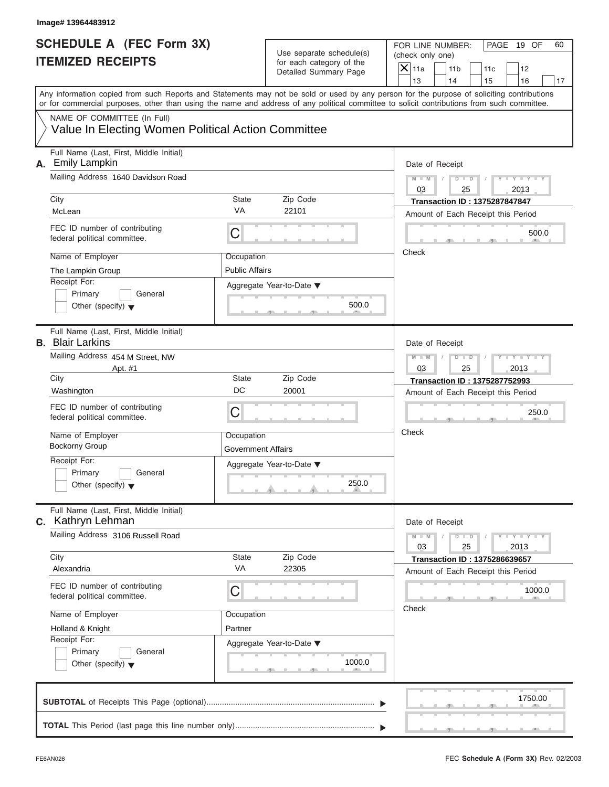| Image# 13964483912                                                                                                                                                                                                                                                                      |                                         |                                                      |               |                                                         |                                                                            |                             |    |
|-----------------------------------------------------------------------------------------------------------------------------------------------------------------------------------------------------------------------------------------------------------------------------------------|-----------------------------------------|------------------------------------------------------|---------------|---------------------------------------------------------|----------------------------------------------------------------------------|-----------------------------|----|
| <b>SCHEDULE A (FEC Form 3X)</b><br><b>ITEMIZED RECEIPTS</b>                                                                                                                                                                                                                             |                                         | Use separate schedule(s)<br>for each category of the |               | FOR LINE NUMBER:<br>(check only one)<br>11 <sub>b</sub> |                                                                            | PAGE 19 OF                  | 60 |
|                                                                                                                                                                                                                                                                                         |                                         | Detailed Summary Page                                | $X$ 11a<br>13 | 14                                                      | 11c<br>15                                                                  | 12<br>16                    | 17 |
| Any information copied from such Reports and Statements may not be sold or used by any person for the purpose of soliciting contributions<br>or for commercial purposes, other than using the name and address of any political committee to solicit contributions from such committee. |                                         |                                                      |               |                                                         |                                                                            |                             |    |
| NAME OF COMMITTEE (In Full)<br>Value In Electing Women Political Action Committee                                                                                                                                                                                                       |                                         |                                                      |               |                                                         |                                                                            |                             |    |
| Full Name (Last, First, Middle Initial)<br><b>Emily Lampkin</b><br>А.                                                                                                                                                                                                                   |                                         |                                                      |               | Date of Receipt                                         |                                                                            |                             |    |
| Mailing Address 1640 Davidson Road                                                                                                                                                                                                                                                      |                                         |                                                      | $M - M$<br>03 | $D$ $D$<br>25                                           | $\sqrt{ }$                                                                 | $Y - Y - Y - Y - Y$<br>2013 |    |
| City<br>McLean                                                                                                                                                                                                                                                                          | State<br><b>VA</b>                      | Zip Code<br>22101                                    |               |                                                         | <b>Transaction ID: 1375287847847</b><br>Amount of Each Receipt this Period |                             |    |
| FEC ID number of contributing<br>federal political committee.                                                                                                                                                                                                                           | C                                       |                                                      |               |                                                         |                                                                            | 500.0                       |    |
| Name of Employer<br>The Lampkin Group                                                                                                                                                                                                                                                   | Occupation<br><b>Public Affairs</b>     |                                                      | Check         |                                                         |                                                                            |                             |    |
| Receipt For:<br>Primary<br>General<br>Other (specify) $\blacktriangledown$                                                                                                                                                                                                              |                                         | Aggregate Year-to-Date ▼<br>500.0                    |               |                                                         |                                                                            |                             |    |
| Full Name (Last, First, Middle Initial)<br><b>B.</b> Blair Larkins                                                                                                                                                                                                                      |                                         |                                                      |               | Date of Receipt                                         |                                                                            |                             |    |
| Mailing Address 454 M Street, NW<br>Apt. #1                                                                                                                                                                                                                                             |                                         |                                                      | $M - M$<br>03 | $D - I - D$<br>25                                       |                                                                            | Y T Y T Y T<br>2013         |    |
| City                                                                                                                                                                                                                                                                                    | State                                   | Zip Code                                             |               |                                                         | Transaction ID: 1375287752993                                              |                             |    |
| Washington                                                                                                                                                                                                                                                                              | DC                                      | 20001                                                |               |                                                         | Amount of Each Receipt this Period                                         |                             |    |
| FEC ID number of contributing<br>federal political committee.                                                                                                                                                                                                                           | C                                       |                                                      |               |                                                         |                                                                            | 250.0                       |    |
| Name of Employer<br>Bockorny Group                                                                                                                                                                                                                                                      | Occupation<br><b>Government Affairs</b> |                                                      | Check         |                                                         |                                                                            |                             |    |
| Receipt For:<br>Primary<br>General<br>Other (specify) $\blacktriangledown$                                                                                                                                                                                                              |                                         | Aggregate Year-to-Date ▼<br>250.0                    |               |                                                         |                                                                            |                             |    |
| Full Name (Last, First, Middle Initial)<br><b>c.</b> Kathryn Lehman                                                                                                                                                                                                                     |                                         |                                                      |               | Date of Receipt                                         |                                                                            |                             |    |
| Mailing Address 3106 Russell Road                                                                                                                                                                                                                                                       |                                         |                                                      | $M - M$<br>03 | $D$ $\Box$ $D$<br>25                                    |                                                                            | $Y - Y - Y - Y - Y$<br>2013 |    |
| City<br>Alexandria                                                                                                                                                                                                                                                                      | State<br>VA                             | Zip Code<br>22305                                    |               |                                                         | <b>Transaction ID: 1375286639657</b>                                       |                             |    |
| FEC ID number of contributing<br>federal political committee.                                                                                                                                                                                                                           | С                                       |                                                      |               |                                                         | Amount of Each Receipt this Period                                         | 1000.0                      |    |
| Name of Employer                                                                                                                                                                                                                                                                        | Occupation                              |                                                      | Check         |                                                         |                                                                            |                             |    |
| Holland & Knight                                                                                                                                                                                                                                                                        | Partner                                 |                                                      |               |                                                         |                                                                            |                             |    |
| Receipt For:<br>Primary<br>General<br>Other (specify) $\blacktriangledown$                                                                                                                                                                                                              |                                         | Aggregate Year-to-Date ▼<br>1000.0                   |               |                                                         |                                                                            |                             |    |
|                                                                                                                                                                                                                                                                                         |                                         |                                                      |               |                                                         |                                                                            | 1750.00                     |    |
|                                                                                                                                                                                                                                                                                         |                                         |                                                      |               |                                                         |                                                                            |                             |    |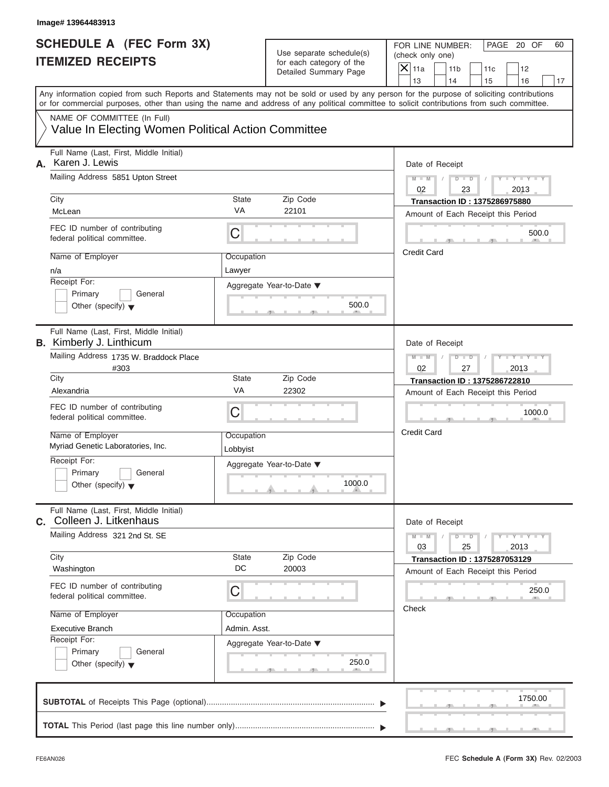| Image# 13964483913                                                         |                        |                                                                               |                                                                                                                                                                                                                                                                                                                       |
|----------------------------------------------------------------------------|------------------------|-------------------------------------------------------------------------------|-----------------------------------------------------------------------------------------------------------------------------------------------------------------------------------------------------------------------------------------------------------------------------------------------------------------------|
| <b>SCHEDULE A (FEC Form 3X)</b><br><b>ITEMIZED RECEIPTS</b>                |                        | Use separate schedule(s)<br>for each category of the<br>Detailed Summary Page | FOR LINE NUMBER:<br>PAGE 20 OF<br>60<br>(check only one)<br>$\mathsf{X}$ 11a<br>11 <sub>b</sub><br>11c<br>12                                                                                                                                                                                                          |
|                                                                            |                        |                                                                               | 13<br>14<br>15<br>16<br>17<br>Any information copied from such Reports and Statements may not be sold or used by any person for the purpose of soliciting contributions<br>or for commercial purposes, other than using the name and address of any political committee to solicit contributions from such committee. |
| NAME OF COMMITTEE (In Full)                                                |                        |                                                                               |                                                                                                                                                                                                                                                                                                                       |
| Value In Electing Women Political Action Committee                         |                        |                                                                               |                                                                                                                                                                                                                                                                                                                       |
| Full Name (Last, First, Middle Initial)<br>Karen J. Lewis<br>А.            |                        |                                                                               | Date of Receipt                                                                                                                                                                                                                                                                                                       |
| Mailing Address 5851 Upton Street                                          |                        |                                                                               | $D$ $D$<br>$Y - Y - Y$<br>$M - M$<br>Y L<br>02<br>23<br>2013                                                                                                                                                                                                                                                          |
| City                                                                       | <b>State</b>           | Zip Code                                                                      | <b>Transaction ID: 1375286975880</b>                                                                                                                                                                                                                                                                                  |
| McLean                                                                     | VA                     | 22101                                                                         | Amount of Each Receipt this Period                                                                                                                                                                                                                                                                                    |
| FEC ID number of contributing<br>federal political committee.              | C                      |                                                                               | 500.0                                                                                                                                                                                                                                                                                                                 |
| Name of Employer                                                           | Occupation             |                                                                               | <b>Credit Card</b>                                                                                                                                                                                                                                                                                                    |
| n/a                                                                        | Lawyer                 |                                                                               |                                                                                                                                                                                                                                                                                                                       |
| Receipt For:<br>Primary<br>General                                         |                        | Aggregate Year-to-Date ▼                                                      |                                                                                                                                                                                                                                                                                                                       |
| Other (specify) $\blacktriangledown$                                       |                        | 500.0                                                                         |                                                                                                                                                                                                                                                                                                                       |
| Full Name (Last, First, Middle Initial)<br><b>B.</b> Kimberly J. Linthicum |                        |                                                                               | Date of Receipt                                                                                                                                                                                                                                                                                                       |
| Mailing Address 1735 W. Braddock Place<br>#303                             |                        |                                                                               | $M - M$<br>$D$ $D$<br>Y I Y I Y I<br>02<br>27<br>2013                                                                                                                                                                                                                                                                 |
| City                                                                       | <b>State</b>           | Zip Code                                                                      | <b>Transaction ID: 1375286722810</b>                                                                                                                                                                                                                                                                                  |
| Alexandria                                                                 | VA                     | 22302                                                                         | Amount of Each Receipt this Period                                                                                                                                                                                                                                                                                    |
| FEC ID number of contributing<br>federal political committee.              | C                      |                                                                               | 1000.0                                                                                                                                                                                                                                                                                                                |
| Name of Employer<br>Myriad Genetic Laboratories, Inc.                      | Occupation<br>Lobbyist |                                                                               | <b>Credit Card</b>                                                                                                                                                                                                                                                                                                    |
| Receipt For:<br>Primary<br>General<br>Other (specify) $\blacktriangledown$ |                        | Aggregate Year-to-Date ▼<br>1000.0                                            |                                                                                                                                                                                                                                                                                                                       |
| Full Name (Last, First, Middle Initial)<br>Colleen J. Litkenhaus<br>C.     |                        |                                                                               | Date of Receipt                                                                                                                                                                                                                                                                                                       |
| Mailing Address 321 2nd St. SE                                             |                        |                                                                               | $Y = Y$<br>$M - M$<br>$D$ $D$<br>03<br>2013<br>25                                                                                                                                                                                                                                                                     |
| City                                                                       | State                  | Zip Code                                                                      | <b>Transaction ID: 1375287053129</b>                                                                                                                                                                                                                                                                                  |
| Washington                                                                 | DC                     | 20003                                                                         | Amount of Each Receipt this Period                                                                                                                                                                                                                                                                                    |
| FEC ID number of contributing<br>federal political committee.              | С                      |                                                                               | 250.0                                                                                                                                                                                                                                                                                                                 |
| Name of Employer                                                           | Occupation             |                                                                               | Check                                                                                                                                                                                                                                                                                                                 |
| <b>Executive Branch</b>                                                    | Admin. Asst.           |                                                                               |                                                                                                                                                                                                                                                                                                                       |
| Receipt For:                                                               |                        | Aggregate Year-to-Date ▼                                                      |                                                                                                                                                                                                                                                                                                                       |
| Primary<br>General<br>Other (specify) $\blacktriangledown$                 |                        | 250.0                                                                         |                                                                                                                                                                                                                                                                                                                       |
|                                                                            |                        |                                                                               | 1750.00                                                                                                                                                                                                                                                                                                               |
|                                                                            |                        |                                                                               |                                                                                                                                                                                                                                                                                                                       |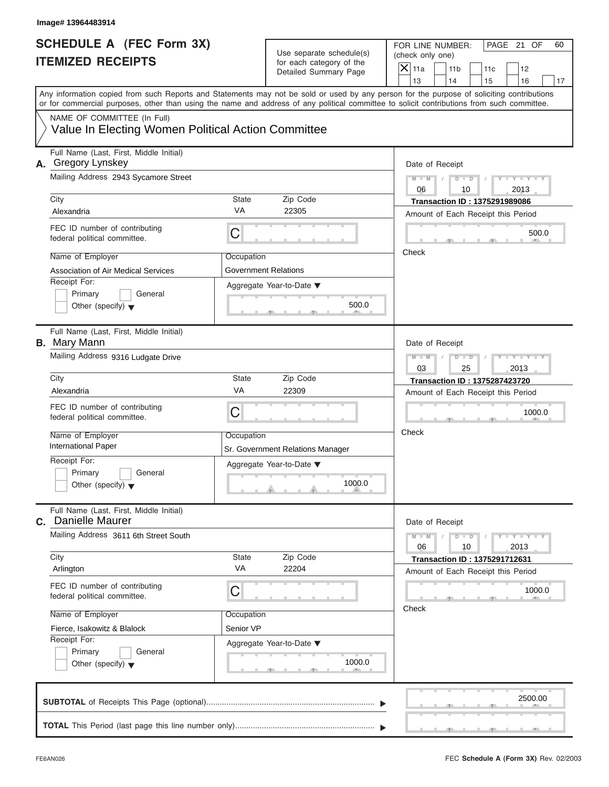| Image# 13964483914                                                                |                                    |                                                                               |                                                                                                                                                                                                                                                                                         |
|-----------------------------------------------------------------------------------|------------------------------------|-------------------------------------------------------------------------------|-----------------------------------------------------------------------------------------------------------------------------------------------------------------------------------------------------------------------------------------------------------------------------------------|
| <b>SCHEDULE A (FEC Form 3X)</b><br><b>ITEMIZED RECEIPTS</b>                       |                                    | Use separate schedule(s)<br>for each category of the<br>Detailed Summary Page | FOR LINE NUMBER:<br>PAGE 21 OF<br>60<br>(check only one)<br>$\mathsf{X}$ 11a<br>11 <sub>b</sub><br>11c<br>12<br>13<br>14<br>15<br>16<br>17                                                                                                                                              |
|                                                                                   |                                    |                                                                               | Any information copied from such Reports and Statements may not be sold or used by any person for the purpose of soliciting contributions<br>or for commercial purposes, other than using the name and address of any political committee to solicit contributions from such committee. |
| NAME OF COMMITTEE (In Full)<br>Value In Electing Women Political Action Committee |                                    |                                                                               |                                                                                                                                                                                                                                                                                         |
| Full Name (Last, First, Middle Initial)<br>A. Gregory Lynskey                     |                                    |                                                                               | Date of Receipt                                                                                                                                                                                                                                                                         |
| Mailing Address 2943 Sycamore Street                                              |                                    |                                                                               | $Y - Y - Y - Y - Y$<br>$M - M$<br>$D$ $D$<br>2013<br>06<br>10                                                                                                                                                                                                                           |
| City<br>Alexandria                                                                | State<br>VA                        | Zip Code<br>22305                                                             | <b>Transaction ID: 1375291989086</b><br>Amount of Each Receipt this Period                                                                                                                                                                                                              |
| FEC ID number of contributing<br>federal political committee.                     | С                                  |                                                                               | 500.0                                                                                                                                                                                                                                                                                   |
| Name of Employer<br>Association of Air Medical Services<br>Receipt For:           | Occupation<br>Government Relations | Aggregate Year-to-Date ▼                                                      | Check                                                                                                                                                                                                                                                                                   |
| Primary<br>General<br>Other (specify) $\blacktriangledown$                        |                                    | 500.0                                                                         |                                                                                                                                                                                                                                                                                         |
| Full Name (Last, First, Middle Initial)<br><b>B.</b> Mary Mann                    |                                    |                                                                               | Date of Receipt                                                                                                                                                                                                                                                                         |
| Mailing Address 9316 Ludgate Drive                                                |                                    |                                                                               | Y T Y T Y T<br>$M - M$<br>$D$ $D$<br>2013<br>03<br>25                                                                                                                                                                                                                                   |
| City                                                                              | State                              | Zip Code                                                                      | <b>Transaction ID: 1375287423720</b>                                                                                                                                                                                                                                                    |
| Alexandria                                                                        | VA                                 | 22309                                                                         | Amount of Each Receipt this Period                                                                                                                                                                                                                                                      |
| FEC ID number of contributing<br>federal political committee.                     | С                                  |                                                                               | 1000.0                                                                                                                                                                                                                                                                                  |
| Name of Employer<br><b>International Paper</b>                                    | Occupation                         | Sr. Government Relations Manager                                              | Check                                                                                                                                                                                                                                                                                   |
| Receipt For:<br>Primary<br>General<br>Other (specify) $\blacktriangledown$        |                                    | Aggregate Year-to-Date ▼<br>1000.0                                            |                                                                                                                                                                                                                                                                                         |
| Full Name (Last, First, Middle Initial)<br>C. Danielle Maurer                     |                                    |                                                                               | Date of Receipt                                                                                                                                                                                                                                                                         |
| Mailing Address 3611 6th Street South                                             |                                    |                                                                               | $M - M$<br>$D - D$<br>$Y = Y + Y + Y$<br>06<br>10<br>2013                                                                                                                                                                                                                               |
| City<br>Arlington                                                                 | State<br>VA                        | Zip Code<br>22204                                                             | <b>Transaction ID: 1375291712631</b><br>Amount of Each Receipt this Period                                                                                                                                                                                                              |
| FEC ID number of contributing<br>federal political committee.                     | С                                  |                                                                               | 1000.0<br>Check                                                                                                                                                                                                                                                                         |
| Name of Employer<br>Fierce, Isakowitz & Blalock                                   | Occupation<br>Senior VP            |                                                                               |                                                                                                                                                                                                                                                                                         |
| Receipt For:<br>Primary<br>General<br>Other (specify) $\blacktriangledown$        |                                    | Aggregate Year-to-Date ▼<br>1000.0                                            |                                                                                                                                                                                                                                                                                         |
|                                                                                   |                                    |                                                                               | 2500.00                                                                                                                                                                                                                                                                                 |
|                                                                                   |                                    |                                                                               |                                                                                                                                                                                                                                                                                         |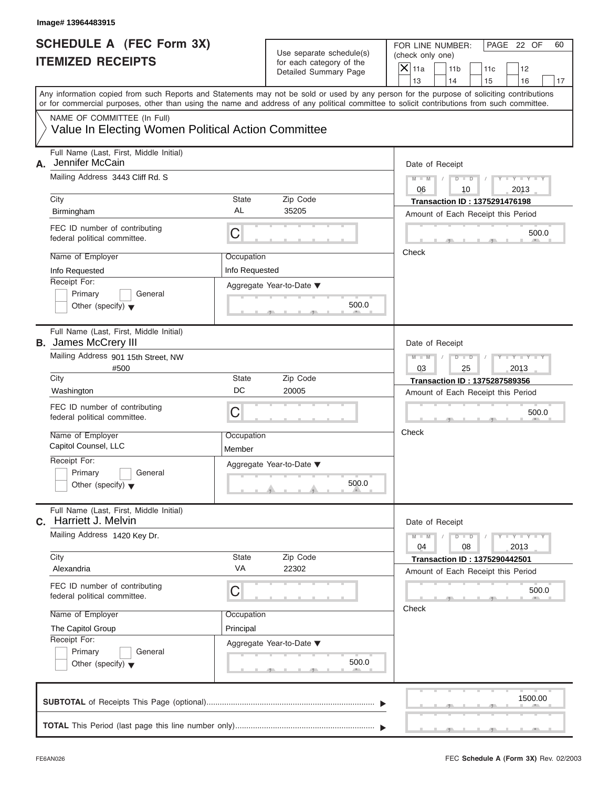| Image# 13964483915                                                     |                                                    |                                                                               |                                                                                                                                                                                                                                                                                         |
|------------------------------------------------------------------------|----------------------------------------------------|-------------------------------------------------------------------------------|-----------------------------------------------------------------------------------------------------------------------------------------------------------------------------------------------------------------------------------------------------------------------------------------|
| <b>SCHEDULE A (FEC Form 3X)</b><br><b>ITEMIZED RECEIPTS</b>            |                                                    | Use separate schedule(s)<br>for each category of the<br>Detailed Summary Page | FOR LINE NUMBER:<br>PAGE 22 OF<br>60<br>(check only one)<br>$\mathsf{X}$ 11a<br>11 <sub>b</sub><br>11c<br>12                                                                                                                                                                            |
|                                                                        |                                                    |                                                                               | 13<br>14<br>15<br>16<br>17                                                                                                                                                                                                                                                              |
|                                                                        |                                                    |                                                                               | Any information copied from such Reports and Statements may not be sold or used by any person for the purpose of soliciting contributions<br>or for commercial purposes, other than using the name and address of any political committee to solicit contributions from such committee. |
| NAME OF COMMITTEE (In Full)                                            |                                                    |                                                                               |                                                                                                                                                                                                                                                                                         |
|                                                                        | Value In Electing Women Political Action Committee |                                                                               |                                                                                                                                                                                                                                                                                         |
| Full Name (Last, First, Middle Initial)<br>Jennifer McCain<br>А.       |                                                    |                                                                               | Date of Receipt                                                                                                                                                                                                                                                                         |
| Mailing Address 3443 Cliff Rd. S                                       |                                                    |                                                                               | $Y - Y - Y - Y + Y$<br>$M - M$<br>$D$ $D$<br>06<br>10<br>2013                                                                                                                                                                                                                           |
| City                                                                   | State                                              | Zip Code                                                                      | <b>Transaction ID: 1375291476198</b>                                                                                                                                                                                                                                                    |
| Birmingham                                                             | AL                                                 | 35205                                                                         | Amount of Each Receipt this Period                                                                                                                                                                                                                                                      |
| FEC ID number of contributing<br>federal political committee.          | C                                                  |                                                                               | 500.0                                                                                                                                                                                                                                                                                   |
| Name of Employer                                                       | Occupation                                         |                                                                               | Check                                                                                                                                                                                                                                                                                   |
| Info Requested                                                         | Info Requested                                     |                                                                               |                                                                                                                                                                                                                                                                                         |
| Receipt For:                                                           |                                                    | Aggregate Year-to-Date ▼                                                      |                                                                                                                                                                                                                                                                                         |
| Primary                                                                | General                                            |                                                                               |                                                                                                                                                                                                                                                                                         |
| Other (specify) $\blacktriangledown$                                   |                                                    | 500.0                                                                         |                                                                                                                                                                                                                                                                                         |
| Full Name (Last, First, Middle Initial)<br><b>B.</b> James McCrery III |                                                    |                                                                               | Date of Receipt                                                                                                                                                                                                                                                                         |
| Mailing Address 901 15th Street, NW                                    |                                                    |                                                                               | $Y - Y - Y - Y$<br>$M - M$<br>$D$ $\Box$ $D$                                                                                                                                                                                                                                            |
| #500                                                                   |                                                    |                                                                               | 03<br>25<br>2013                                                                                                                                                                                                                                                                        |
| City                                                                   | State                                              | Zip Code                                                                      | Transaction ID: 1375287589356                                                                                                                                                                                                                                                           |
| Washington                                                             | DC                                                 | 20005                                                                         | Amount of Each Receipt this Period                                                                                                                                                                                                                                                      |
| FEC ID number of contributing<br>federal political committee.          | C                                                  |                                                                               | 500.0                                                                                                                                                                                                                                                                                   |
| Name of Employer<br>Capitol Counsel, LLC                               | Occupation<br>Member                               |                                                                               | Check                                                                                                                                                                                                                                                                                   |
| Receipt For:                                                           |                                                    |                                                                               |                                                                                                                                                                                                                                                                                         |
| Primary                                                                | General                                            | Aggregate Year-to-Date ▼                                                      |                                                                                                                                                                                                                                                                                         |
| Other (specify) $\blacktriangledown$                                   |                                                    | 500.0                                                                         |                                                                                                                                                                                                                                                                                         |
| Full Name (Last, First, Middle Initial)<br>Harriett J. Melvin<br>С.    |                                                    |                                                                               | Date of Receipt                                                                                                                                                                                                                                                                         |
| Mailing Address 1420 Key Dr.                                           |                                                    |                                                                               | $M - M$<br>$D - D$<br>$Y = Y + Y + Y$<br>04<br>08<br>2013                                                                                                                                                                                                                               |
| City                                                                   | State                                              | Zip Code                                                                      | <b>Transaction ID: 1375290442501</b>                                                                                                                                                                                                                                                    |
| Alexandria                                                             | VA                                                 | 22302                                                                         | Amount of Each Receipt this Period                                                                                                                                                                                                                                                      |
| FEC ID number of contributing<br>federal political committee.          | C                                                  |                                                                               | 500.0                                                                                                                                                                                                                                                                                   |
| Name of Employer                                                       | Occupation                                         |                                                                               | Check                                                                                                                                                                                                                                                                                   |
| The Capitol Group                                                      | Principal                                          |                                                                               |                                                                                                                                                                                                                                                                                         |
| Receipt For:                                                           |                                                    | Aggregate Year-to-Date ▼                                                      |                                                                                                                                                                                                                                                                                         |
| Primary                                                                | General                                            |                                                                               |                                                                                                                                                                                                                                                                                         |
| Other (specify) $\blacktriangledown$                                   |                                                    | 500.0                                                                         |                                                                                                                                                                                                                                                                                         |
|                                                                        |                                                    |                                                                               | 1500.00                                                                                                                                                                                                                                                                                 |
|                                                                        |                                                    |                                                                               |                                                                                                                                                                                                                                                                                         |
|                                                                        |                                                    |                                                                               |                                                                                                                                                                                                                                                                                         |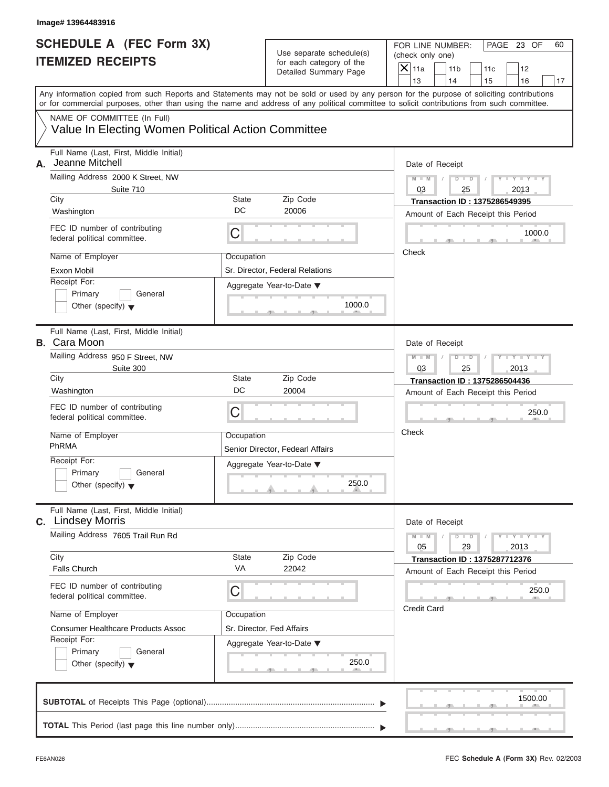| Image# 13964483916                                                                                                                                                                                                                                                                      |             |                                                      |                    |                       |                                                                            |                                 |    |
|-----------------------------------------------------------------------------------------------------------------------------------------------------------------------------------------------------------------------------------------------------------------------------------------|-------------|------------------------------------------------------|--------------------|-----------------------|----------------------------------------------------------------------------|---------------------------------|----|
| <b>SCHEDULE A (FEC Form 3X)</b><br><b>ITEMIZED RECEIPTS</b>                                                                                                                                                                                                                             |             | Use separate schedule(s)<br>for each category of the |                    |                       | FOR LINE NUMBER:                                                           | PAGE 23 OF                      | 60 |
|                                                                                                                                                                                                                                                                                         |             | Detailed Summary Page                                | $X$ 11a<br>13      | 11 <sub>b</sub><br>14 | 11c<br>15                                                                  | 12<br>16                        | 17 |
| Any information copied from such Reports and Statements may not be sold or used by any person for the purpose of soliciting contributions<br>or for commercial purposes, other than using the name and address of any political committee to solicit contributions from such committee. |             |                                                      |                    |                       |                                                                            |                                 |    |
| NAME OF COMMITTEE (In Full)<br>Value In Electing Women Political Action Committee                                                                                                                                                                                                       |             |                                                      |                    |                       |                                                                            |                                 |    |
| Full Name (Last, First, Middle Initial)<br>Jeanne Mitchell<br>А.                                                                                                                                                                                                                        |             |                                                      |                    | Date of Receipt       |                                                                            |                                 |    |
| Mailing Address 2000 K Street, NW<br>Suite 710                                                                                                                                                                                                                                          |             |                                                      | $M - M$<br>03      | $D$ $D$<br>25         | $\sqrt{ }$                                                                 | $Y - Y - Y - Y - Y$<br>2013     |    |
| City<br>Washington                                                                                                                                                                                                                                                                      | State<br>DC | Zip Code<br>20006                                    |                    |                       | <b>Transaction ID: 1375286549395</b>                                       |                                 |    |
| FEC ID number of contributing<br>federal political committee.                                                                                                                                                                                                                           | С           |                                                      |                    |                       | Amount of Each Receipt this Period                                         | 1000.0                          |    |
| Name of Employer<br>Exxon Mobil                                                                                                                                                                                                                                                         | Occupation  | Sr. Director, Federal Relations                      | Check              |                       |                                                                            |                                 |    |
| Receipt For:<br>Primary<br>General<br>Other (specify) $\blacktriangledown$                                                                                                                                                                                                              |             | Aggregate Year-to-Date ▼<br>1000.0                   |                    |                       |                                                                            |                                 |    |
| Full Name (Last, First, Middle Initial)<br><b>B.</b> Cara Moon                                                                                                                                                                                                                          |             |                                                      |                    | Date of Receipt       |                                                                            |                                 |    |
| Mailing Address 950 F Street, NW<br>Suite 300                                                                                                                                                                                                                                           |             |                                                      | $M - M$<br>03      | $D - I - D$<br>25     |                                                                            | Y TY TY TY<br>2013              |    |
| City                                                                                                                                                                                                                                                                                    | State       | Zip Code                                             |                    |                       | <b>Transaction ID: 1375286504436</b>                                       |                                 |    |
| Washington                                                                                                                                                                                                                                                                              | DC          | 20004                                                |                    |                       | Amount of Each Receipt this Period                                         |                                 |    |
| FEC ID number of contributing<br>federal political committee.                                                                                                                                                                                                                           | С           |                                                      |                    |                       |                                                                            | 250.0                           |    |
| Name of Employer<br>PhRMA                                                                                                                                                                                                                                                               | Occupation  | Senior Director, Fedearl Affairs                     | Check              |                       |                                                                            |                                 |    |
| Receipt For:<br>Primary<br>General<br>Other (specify) $\blacktriangledown$                                                                                                                                                                                                              |             | Aggregate Year-to-Date ▼<br>250.0                    |                    |                       |                                                                            |                                 |    |
| Full Name (Last, First, Middle Initial)<br><b>C.</b> Lindsey Morris                                                                                                                                                                                                                     |             |                                                      |                    | Date of Receipt       |                                                                            |                                 |    |
| Mailing Address 7605 Trail Run Rd                                                                                                                                                                                                                                                       |             |                                                      | $M - M$<br>05      | $D$ $\Box$ $D$<br>29  |                                                                            | $Y - I - Y - I - Y - I$<br>2013 |    |
| City<br><b>Falls Church</b>                                                                                                                                                                                                                                                             | State<br>VA | Zip Code<br>22042                                    |                    |                       | <b>Transaction ID: 1375287712376</b><br>Amount of Each Receipt this Period |                                 |    |
| FEC ID number of contributing<br>federal political committee.                                                                                                                                                                                                                           | С           |                                                      | <b>Credit Card</b> |                       |                                                                            | 250.0                           |    |
| Name of Employer<br><b>Consumer Healthcare Products Assoc</b>                                                                                                                                                                                                                           | Occupation  | Sr. Director, Fed Affairs                            |                    |                       |                                                                            |                                 |    |
| Receipt For:<br>Primary<br>General<br>Other (specify) $\blacktriangledown$                                                                                                                                                                                                              |             | Aggregate Year-to-Date ▼<br>250.0                    |                    |                       |                                                                            |                                 |    |
|                                                                                                                                                                                                                                                                                         |             |                                                      |                    |                       |                                                                            | 1500.00                         |    |
|                                                                                                                                                                                                                                                                                         |             |                                                      |                    |                       |                                                                            |                                 |    |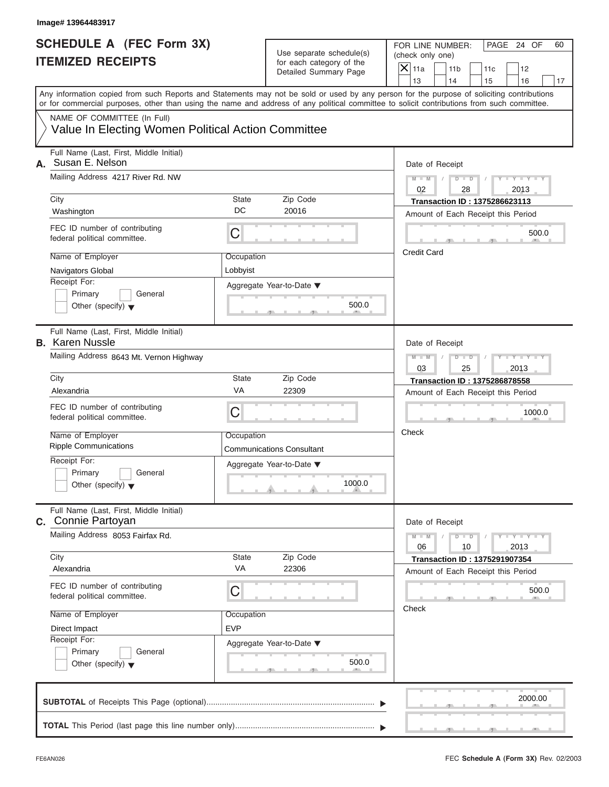| Image# 13964483917                                                                                                                                                                                                                                                                      |                                                      |                                    |                                                 |                       |                                                                            |                             |    |
|-----------------------------------------------------------------------------------------------------------------------------------------------------------------------------------------------------------------------------------------------------------------------------------------|------------------------------------------------------|------------------------------------|-------------------------------------------------|-----------------------|----------------------------------------------------------------------------|-----------------------------|----|
| <b>SCHEDULE A (FEC Form 3X)</b><br><b>ITEMIZED RECEIPTS</b>                                                                                                                                                                                                                             | Use separate schedule(s)<br>for each category of the |                                    | FOR LINE NUMBER:<br>(check only one)<br>$X$ 11a |                       |                                                                            | PAGE 24 OF                  | 60 |
|                                                                                                                                                                                                                                                                                         |                                                      | Detailed Summary Page              | 13                                              | 11 <sub>b</sub><br>14 | 11c<br>15                                                                  | 12<br>16                    | 17 |
| Any information copied from such Reports and Statements may not be sold or used by any person for the purpose of soliciting contributions<br>or for commercial purposes, other than using the name and address of any political committee to solicit contributions from such committee. |                                                      |                                    |                                                 |                       |                                                                            |                             |    |
| NAME OF COMMITTEE (In Full)<br>Value In Electing Women Political Action Committee                                                                                                                                                                                                       |                                                      |                                    |                                                 |                       |                                                                            |                             |    |
| Full Name (Last, First, Middle Initial)<br>Susan E. Nelson<br>А.                                                                                                                                                                                                                        |                                                      |                                    |                                                 | Date of Receipt       |                                                                            |                             |    |
| Mailing Address 4217 River Rd. NW                                                                                                                                                                                                                                                       |                                                      |                                    | $M - M$<br>02                                   | $D$ $D$<br>28         | $\sqrt{ }$                                                                 | $Y - Y - Y - Y - Y$<br>2013 |    |
| City<br>Washington                                                                                                                                                                                                                                                                      | State<br>DC                                          | Zip Code<br>20016                  |                                                 |                       | <b>Transaction ID: 1375286623113</b><br>Amount of Each Receipt this Period |                             |    |
| FEC ID number of contributing<br>federal political committee.                                                                                                                                                                                                                           | C                                                    |                                    |                                                 |                       |                                                                            | 500.0                       |    |
| Name of Employer<br>Navigators Global                                                                                                                                                                                                                                                   | Occupation<br>Lobbyist                               |                                    | <b>Credit Card</b>                              |                       |                                                                            |                             |    |
| Receipt For:<br>Primary<br>General<br>Other (specify) $\blacktriangledown$                                                                                                                                                                                                              |                                                      | Aggregate Year-to-Date ▼<br>500.0  |                                                 |                       |                                                                            |                             |    |
| Full Name (Last, First, Middle Initial)<br><b>B.</b> Karen Nussle                                                                                                                                                                                                                       |                                                      |                                    |                                                 | Date of Receipt       |                                                                            |                             |    |
| Mailing Address 8643 Mt. Vernon Highway                                                                                                                                                                                                                                                 |                                                      |                                    | $M - M$<br>03                                   | $D - I - D$<br>25     |                                                                            | Y TYLY T<br>2013            |    |
| City                                                                                                                                                                                                                                                                                    | State                                                | Zip Code                           |                                                 |                       | Transaction ID: 1375286878558                                              |                             |    |
| Alexandria                                                                                                                                                                                                                                                                              | VA                                                   | 22309                              |                                                 |                       | Amount of Each Receipt this Period                                         |                             |    |
| FEC ID number of contributing<br>federal political committee.                                                                                                                                                                                                                           | C                                                    |                                    |                                                 |                       |                                                                            | 1000.0                      |    |
| Name of Employer<br><b>Ripple Communications</b>                                                                                                                                                                                                                                        | Occupation                                           | <b>Communications Consultant</b>   | Check                                           |                       |                                                                            |                             |    |
| Receipt For:<br>Primary<br>General<br>Other (specify) $\blacktriangledown$                                                                                                                                                                                                              |                                                      | Aggregate Year-to-Date ▼<br>1000.0 |                                                 |                       |                                                                            |                             |    |
| Full Name (Last, First, Middle Initial)<br><b>c.</b> Connie Partoyan                                                                                                                                                                                                                    |                                                      |                                    |                                                 | Date of Receipt       |                                                                            |                             |    |
| Mailing Address 8053 Fairfax Rd.                                                                                                                                                                                                                                                        |                                                      |                                    | $M - M$<br>06                                   | $D$ $\Box$ $D$<br>10  |                                                                            | $Y - Y - Y - Y - I$<br>2013 |    |
| City<br>Alexandria                                                                                                                                                                                                                                                                      | State<br>VA                                          | Zip Code<br>22306                  |                                                 |                       | <b>Transaction ID: 1375291907354</b><br>Amount of Each Receipt this Period |                             |    |
| FEC ID number of contributing<br>federal political committee.                                                                                                                                                                                                                           | С                                                    |                                    |                                                 |                       |                                                                            | 500.0                       |    |
| Name of Employer<br>Direct Impact                                                                                                                                                                                                                                                       | Occupation<br><b>EVP</b>                             |                                    | Check                                           |                       |                                                                            |                             |    |
| Receipt For:<br>Primary<br>General<br>Other (specify) $\blacktriangledown$                                                                                                                                                                                                              |                                                      | Aggregate Year-to-Date ▼<br>500.0  |                                                 |                       |                                                                            |                             |    |
|                                                                                                                                                                                                                                                                                         |                                                      |                                    |                                                 |                       |                                                                            | 2000.00                     |    |
|                                                                                                                                                                                                                                                                                         |                                                      |                                    |                                                 |                       |                                                                            |                             |    |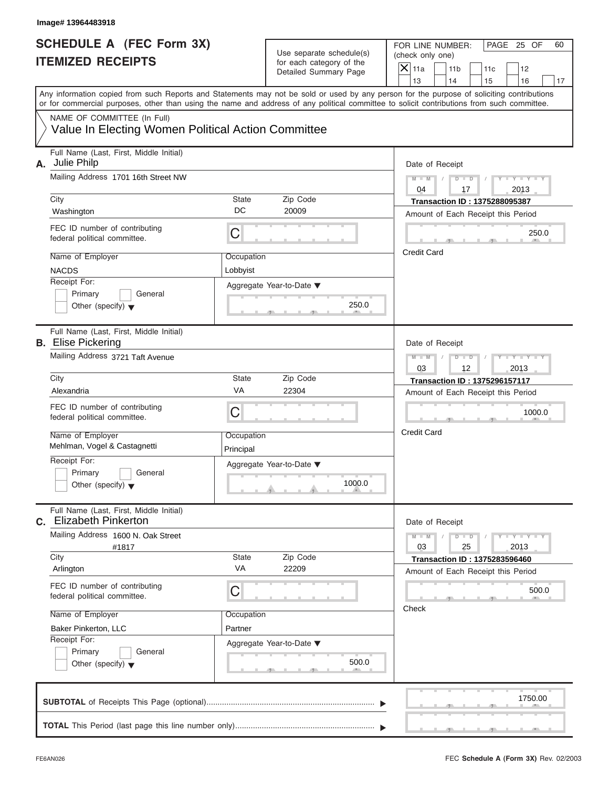|                                                             | Image# 13964483918                                                                                                                         |                         |                                                                               |                                                                                                                                           |
|-------------------------------------------------------------|--------------------------------------------------------------------------------------------------------------------------------------------|-------------------------|-------------------------------------------------------------------------------|-------------------------------------------------------------------------------------------------------------------------------------------|
| <b>SCHEDULE A (FEC Form 3X)</b><br><b>ITEMIZED RECEIPTS</b> |                                                                                                                                            |                         | Use separate schedule(s)<br>for each category of the<br>Detailed Summary Page | FOR LINE NUMBER:<br>PAGE 25 OF<br>60<br>(check only one)<br>$\mathsf{X}$ 11a<br>11 <sub>b</sub><br>11c<br>12                              |
|                                                             |                                                                                                                                            |                         |                                                                               | 13<br>14<br>15<br>16<br>17                                                                                                                |
|                                                             | or for commercial purposes, other than using the name and address of any political committee to solicit contributions from such committee. |                         |                                                                               | Any information copied from such Reports and Statements may not be sold or used by any person for the purpose of soliciting contributions |
|                                                             | NAME OF COMMITTEE (In Full)                                                                                                                |                         |                                                                               |                                                                                                                                           |
|                                                             | Value In Electing Women Political Action Committee                                                                                         |                         |                                                                               |                                                                                                                                           |
| А.                                                          | Full Name (Last, First, Middle Initial)<br>Julie Philp                                                                                     |                         |                                                                               | Date of Receipt                                                                                                                           |
|                                                             | Mailing Address 1701 16th Street NW                                                                                                        |                         |                                                                               | $D$ $D$<br>$Y - Y - Y$<br>$M - M$<br>Y L<br>04<br>2013<br>17                                                                              |
|                                                             | City                                                                                                                                       | State                   | Zip Code                                                                      | <b>Transaction ID: 1375288095387</b>                                                                                                      |
|                                                             | Washington                                                                                                                                 | DC                      | 20009                                                                         | Amount of Each Receipt this Period                                                                                                        |
|                                                             | FEC ID number of contributing<br>federal political committee.                                                                              | C                       |                                                                               | 250.0                                                                                                                                     |
|                                                             | Name of Employer                                                                                                                           | Occupation              |                                                                               | <b>Credit Card</b>                                                                                                                        |
|                                                             | <b>NACDS</b>                                                                                                                               | Lobbyist                |                                                                               |                                                                                                                                           |
|                                                             | Receipt For:                                                                                                                               |                         | Aggregate Year-to-Date ▼                                                      |                                                                                                                                           |
|                                                             | Primary<br>General                                                                                                                         |                         |                                                                               |                                                                                                                                           |
|                                                             | Other (specify) $\blacktriangledown$                                                                                                       |                         | 250.0                                                                         |                                                                                                                                           |
|                                                             | Full Name (Last, First, Middle Initial)<br><b>B.</b> Elise Pickering                                                                       |                         |                                                                               | Date of Receipt                                                                                                                           |
|                                                             | Mailing Address 3721 Taft Avenue                                                                                                           |                         |                                                                               | $M - M$<br>$D$ $D$<br>$Y - Y - Y - Y - T$                                                                                                 |
|                                                             |                                                                                                                                            |                         |                                                                               | 03<br>12<br>2013                                                                                                                          |
|                                                             | City                                                                                                                                       | <b>State</b>            | Zip Code                                                                      | Transaction ID: 1375296157117                                                                                                             |
|                                                             | Alexandria                                                                                                                                 | VA                      | 22304                                                                         | Amount of Each Receipt this Period                                                                                                        |
|                                                             | FEC ID number of contributing<br>federal political committee.                                                                              | C                       |                                                                               | 1000.0                                                                                                                                    |
|                                                             | Name of Employer<br>Mehlman, Vogel & Castagnetti                                                                                           | Occupation<br>Principal |                                                                               | <b>Credit Card</b>                                                                                                                        |
|                                                             | Receipt For:                                                                                                                               |                         | Aggregate Year-to-Date ▼                                                      |                                                                                                                                           |
|                                                             | Primary<br>General<br>Other (specify) $\blacktriangledown$                                                                                 |                         | 1000.0                                                                        |                                                                                                                                           |
|                                                             | Full Name (Last, First, Middle Initial)<br><b>Elizabeth Pinkerton</b>                                                                      |                         |                                                                               |                                                                                                                                           |
| С.                                                          | Mailing Address 1600 N. Oak Street                                                                                                         |                         |                                                                               | Date of Receipt<br>$Y = Y$<br>$M - M$<br>$D$ $D$                                                                                          |
|                                                             | #1817                                                                                                                                      |                         |                                                                               | 03<br>2013<br>25                                                                                                                          |
|                                                             | City                                                                                                                                       | State                   | Zip Code                                                                      | <b>Transaction ID: 1375283596460</b>                                                                                                      |
|                                                             | Arlington                                                                                                                                  | VA                      | 22209                                                                         | Amount of Each Receipt this Period                                                                                                        |
|                                                             | FEC ID number of contributing<br>federal political committee.                                                                              | C                       |                                                                               | 500.0                                                                                                                                     |
|                                                             | Name of Employer                                                                                                                           | Occupation              |                                                                               | Check                                                                                                                                     |
|                                                             | Baker Pinkerton, LLC                                                                                                                       | Partner                 |                                                                               |                                                                                                                                           |
|                                                             | Receipt For:                                                                                                                               |                         | Aggregate Year-to-Date ▼                                                      |                                                                                                                                           |
|                                                             | Primary<br>General                                                                                                                         |                         |                                                                               |                                                                                                                                           |
|                                                             | Other (specify) $\blacktriangledown$                                                                                                       |                         | 500.0                                                                         |                                                                                                                                           |
|                                                             |                                                                                                                                            |                         |                                                                               | 1750.00                                                                                                                                   |
|                                                             |                                                                                                                                            |                         |                                                                               |                                                                                                                                           |
|                                                             |                                                                                                                                            |                         |                                                                               |                                                                                                                                           |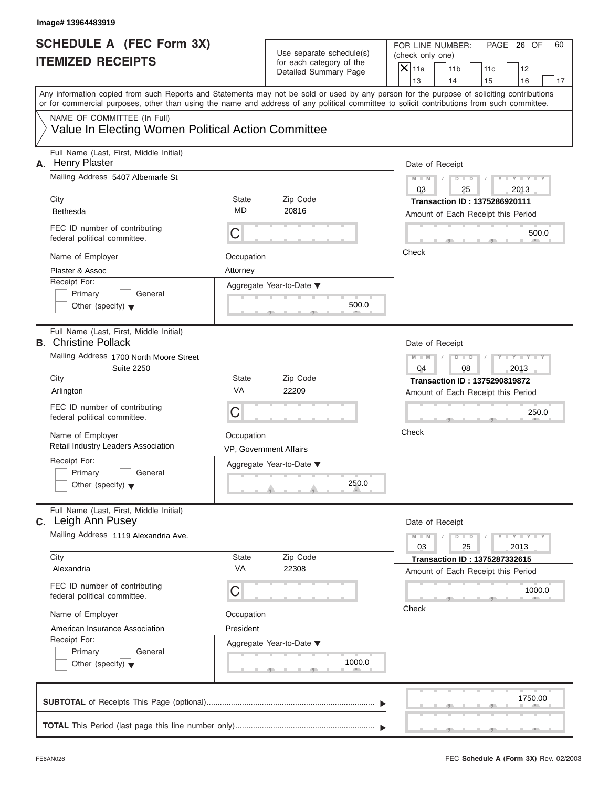| Image# 13964483919                                                                                                                                                                                                                                                                      |                                      |                                                      |                                                 |                             |                                                                            |                             |    |
|-----------------------------------------------------------------------------------------------------------------------------------------------------------------------------------------------------------------------------------------------------------------------------------------|--------------------------------------|------------------------------------------------------|-------------------------------------------------|-----------------------------|----------------------------------------------------------------------------|-----------------------------|----|
| <b>SCHEDULE A (FEC Form 3X)</b><br><b>ITEMIZED RECEIPTS</b>                                                                                                                                                                                                                             |                                      | Use separate schedule(s)<br>for each category of the | FOR LINE NUMBER:<br>(check only one)<br>$X$ 11a | 11 <sub>b</sub>             | 11c                                                                        | PAGE 26 OF<br>12            | 60 |
|                                                                                                                                                                                                                                                                                         |                                      | Detailed Summary Page                                | 13                                              | 14                          | 15                                                                         | 16                          | 17 |
| Any information copied from such Reports and Statements may not be sold or used by any person for the purpose of soliciting contributions<br>or for commercial purposes, other than using the name and address of any political committee to solicit contributions from such committee. |                                      |                                                      |                                                 |                             |                                                                            |                             |    |
| NAME OF COMMITTEE (In Full)<br>Value In Electing Women Political Action Committee                                                                                                                                                                                                       |                                      |                                                      |                                                 |                             |                                                                            |                             |    |
| Full Name (Last, First, Middle Initial)<br><b>Henry Plaster</b><br>А.                                                                                                                                                                                                                   |                                      |                                                      |                                                 | Date of Receipt             |                                                                            |                             |    |
| Mailing Address 5407 Albemarle St                                                                                                                                                                                                                                                       |                                      |                                                      | $M - M$<br>03                                   | $D$ $D$<br>$\sqrt{2}$<br>25 | $\sqrt{ }$                                                                 | $Y - Y - Y - Y - Y$<br>2013 |    |
| City<br><b>Bethesda</b>                                                                                                                                                                                                                                                                 | State<br>MD                          | Zip Code<br>20816                                    |                                                 |                             | <b>Transaction ID: 1375286920111</b><br>Amount of Each Receipt this Period |                             |    |
| FEC ID number of contributing<br>federal political committee.                                                                                                                                                                                                                           | C                                    |                                                      |                                                 |                             |                                                                            | 500.0                       |    |
| Name of Employer<br>Plaster & Assoc                                                                                                                                                                                                                                                     | Occupation<br>Attorney               |                                                      | Check                                           |                             |                                                                            |                             |    |
| Receipt For:<br>Primary<br>General<br>Other (specify) $\blacktriangledown$                                                                                                                                                                                                              |                                      | Aggregate Year-to-Date ▼<br>500.0                    |                                                 |                             |                                                                            |                             |    |
| Full Name (Last, First, Middle Initial)<br><b>B.</b> Christine Pollack                                                                                                                                                                                                                  |                                      |                                                      |                                                 | Date of Receipt             |                                                                            |                             |    |
| Mailing Address 1700 North Moore Street<br><b>Suite 2250</b>                                                                                                                                                                                                                            |                                      |                                                      | $M - M$<br>04                                   | $D - I - D$<br>08           |                                                                            | Y TY TY TY<br>2013          |    |
| City                                                                                                                                                                                                                                                                                    | State                                | Zip Code                                             |                                                 |                             | <b>Transaction ID: 1375290819872</b>                                       |                             |    |
| Arlington                                                                                                                                                                                                                                                                               | VA                                   | 22209                                                |                                                 |                             | Amount of Each Receipt this Period                                         |                             |    |
| FEC ID number of contributing<br>federal political committee.                                                                                                                                                                                                                           | C                                    |                                                      |                                                 |                             |                                                                            | 250.0                       |    |
| Name of Employer<br>Retail Industry Leaders Association                                                                                                                                                                                                                                 | Occupation<br>VP, Government Affairs |                                                      | Check                                           |                             |                                                                            |                             |    |
| Receipt For:<br>Primary<br>General<br>Other (specify) $\blacktriangledown$                                                                                                                                                                                                              |                                      | Aggregate Year-to-Date ▼<br>250.0                    |                                                 |                             |                                                                            |                             |    |
| Full Name (Last, First, Middle Initial)<br>C. Leigh Ann Pusey                                                                                                                                                                                                                           |                                      |                                                      |                                                 | Date of Receipt             |                                                                            |                             |    |
| Mailing Address 1119 Alexandria Ave.                                                                                                                                                                                                                                                    |                                      |                                                      | $M - M$<br>03                                   | $D$ $\Box$ $D$<br>25        |                                                                            | $Y - Y - Y - Y - I$<br>2013 |    |
| City<br>Alexandria                                                                                                                                                                                                                                                                      | State<br>VA                          | Zip Code<br>22308                                    |                                                 |                             | <b>Transaction ID: 1375287332615</b><br>Amount of Each Receipt this Period |                             |    |
| FEC ID number of contributing<br>federal political committee.                                                                                                                                                                                                                           | С                                    |                                                      |                                                 |                             |                                                                            | 1000.0                      |    |
| Name of Employer<br>American Insurance Association                                                                                                                                                                                                                                      | Occupation<br>President              |                                                      | Check                                           |                             |                                                                            |                             |    |
| Receipt For:<br>Primary<br>General<br>Other (specify) $\blacktriangledown$                                                                                                                                                                                                              |                                      | Aggregate Year-to-Date ▼<br>1000.0                   |                                                 |                             |                                                                            |                             |    |
|                                                                                                                                                                                                                                                                                         |                                      |                                                      |                                                 |                             |                                                                            | 1750.00                     |    |
|                                                                                                                                                                                                                                                                                         |                                      |                                                      |                                                 |                             |                                                                            |                             |    |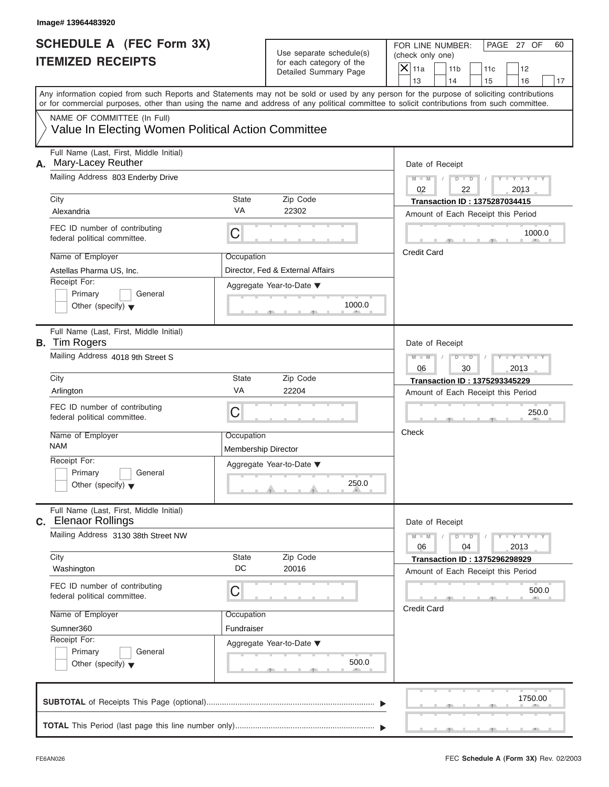| Image# 13964483920                                                    |                            |                                                      |                                                                                                                                                                         |
|-----------------------------------------------------------------------|----------------------------|------------------------------------------------------|-------------------------------------------------------------------------------------------------------------------------------------------------------------------------|
| <b>SCHEDULE A (FEC Form 3X)</b><br><b>ITEMIZED RECEIPTS</b>           |                            | Use separate schedule(s)<br>for each category of the | PAGE 27 OF<br>FOR LINE NUMBER:<br>60<br>(check only one)                                                                                                                |
|                                                                       |                            | Detailed Summary Page                                | $X$ 11a<br>11 <sub>b</sub><br>11c<br>12                                                                                                                                 |
|                                                                       |                            |                                                      | 13<br>14<br>15<br>16<br>17<br>Any information copied from such Reports and Statements may not be sold or used by any person for the purpose of soliciting contributions |
|                                                                       |                            |                                                      | or for commercial purposes, other than using the name and address of any political committee to solicit contributions from such committee.                              |
| NAME OF COMMITTEE (In Full)                                           |                            |                                                      |                                                                                                                                                                         |
| Value In Electing Women Political Action Committee                    |                            |                                                      |                                                                                                                                                                         |
| Full Name (Last, First, Middle Initial)<br>Mary-Lacey Reuther<br>А.   |                            |                                                      | Date of Receipt                                                                                                                                                         |
| Mailing Address 803 Enderby Drive                                     |                            |                                                      | $M = M$ / $D = D$ /<br>$Y - Y - Y - Y - Y$<br>02<br>2013<br>22                                                                                                          |
| City                                                                  | State                      | Zip Code                                             | <b>Transaction ID: 1375287034415</b>                                                                                                                                    |
| Alexandria                                                            | <b>VA</b>                  | 22302                                                | Amount of Each Receipt this Period                                                                                                                                      |
| FEC ID number of contributing<br>federal political committee.         | C                          |                                                      | 1000.0                                                                                                                                                                  |
| Name of Employer                                                      | Occupation                 |                                                      | <b>Credit Card</b>                                                                                                                                                      |
| Astellas Pharma US, Inc.                                              |                            | Director, Fed & External Affairs                     |                                                                                                                                                                         |
| Receipt For:                                                          |                            | Aggregate Year-to-Date ▼                             |                                                                                                                                                                         |
| Primary<br>General                                                    |                            |                                                      |                                                                                                                                                                         |
| Other (specify) $\blacktriangledown$                                  |                            | 1000.0                                               |                                                                                                                                                                         |
| Full Name (Last, First, Middle Initial)<br><b>B.</b> Tim Rogers       |                            |                                                      | Date of Receipt                                                                                                                                                         |
| Mailing Address 4018 9th Street S                                     |                            |                                                      | Y T Y T Y T<br>$M - M$<br>$D - I - D$<br>$\sqrt{ }$                                                                                                                     |
|                                                                       |                            |                                                      | 06<br>30<br>2013                                                                                                                                                        |
| City                                                                  | State                      | Zip Code                                             | <b>Transaction ID: 1375293345229</b>                                                                                                                                    |
| Arlington                                                             | VA                         | 22204                                                | Amount of Each Receipt this Period                                                                                                                                      |
| FEC ID number of contributing<br>federal political committee.         | C                          |                                                      | 250.0                                                                                                                                                                   |
| Name of Employer                                                      | Occupation                 |                                                      | Check                                                                                                                                                                   |
| <b>NAM</b>                                                            | <b>Membership Director</b> |                                                      |                                                                                                                                                                         |
| Receipt For:                                                          |                            | Aggregate Year-to-Date ▼                             |                                                                                                                                                                         |
| Primary<br>General                                                    |                            |                                                      |                                                                                                                                                                         |
| Other (specify) $\blacktriangledown$                                  |                            | 250.0                                                |                                                                                                                                                                         |
| Full Name (Last, First, Middle Initial)<br><b>C.</b> Elenaor Rollings |                            |                                                      | Date of Receipt                                                                                                                                                         |
| Mailing Address 3130 38th Street NW                                   |                            |                                                      | $M - M$<br>$D$ $\Box$ $D$<br>$Y = Y = Y - Y$<br>06<br>04<br>2013                                                                                                        |
| City                                                                  | State                      | Zip Code                                             | <b>Transaction ID: 1375296298929</b>                                                                                                                                    |
| Washington                                                            | DC                         | 20016                                                | Amount of Each Receipt this Period                                                                                                                                      |
| FEC ID number of contributing<br>federal political committee.         | С                          |                                                      | 500.0                                                                                                                                                                   |
| Name of Employer                                                      | Occupation                 |                                                      | <b>Credit Card</b>                                                                                                                                                      |
| Sumner360                                                             | Fundraiser                 |                                                      |                                                                                                                                                                         |
| Receipt For:                                                          |                            | Aggregate Year-to-Date ▼                             |                                                                                                                                                                         |
| Primary<br>General                                                    |                            |                                                      |                                                                                                                                                                         |
| Other (specify) $\blacktriangledown$                                  |                            | 500.0                                                |                                                                                                                                                                         |
|                                                                       |                            |                                                      | 1750.00                                                                                                                                                                 |
|                                                                       |                            |                                                      |                                                                                                                                                                         |
|                                                                       |                            |                                                      |                                                                                                                                                                         |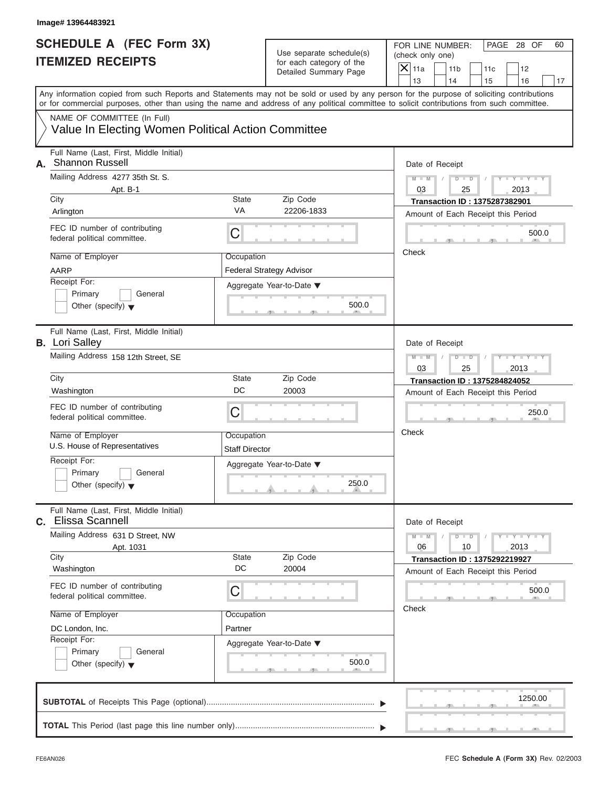| Image# 13964483921                                                                                                                                                                                                                                                                      |                                     |                                                      |                                                                            |
|-----------------------------------------------------------------------------------------------------------------------------------------------------------------------------------------------------------------------------------------------------------------------------------------|-------------------------------------|------------------------------------------------------|----------------------------------------------------------------------------|
| <b>SCHEDULE A (FEC Form 3X)</b><br><b>ITEMIZED RECEIPTS</b>                                                                                                                                                                                                                             |                                     | Use separate schedule(s)<br>for each category of the | FOR LINE NUMBER:<br>PAGE 28 OF<br>(check only one)                         |
|                                                                                                                                                                                                                                                                                         |                                     | Detailed Summary Page                                | $X$ 11a<br>11 <sub>b</sub><br>11c<br>12<br>13<br>14<br>15<br>16            |
| Any information copied from such Reports and Statements may not be sold or used by any person for the purpose of soliciting contributions<br>or for commercial purposes, other than using the name and address of any political committee to solicit contributions from such committee. |                                     |                                                      |                                                                            |
| NAME OF COMMITTEE (In Full)                                                                                                                                                                                                                                                             |                                     |                                                      |                                                                            |
| Value In Electing Women Political Action Committee                                                                                                                                                                                                                                      |                                     |                                                      |                                                                            |
| Full Name (Last, First, Middle Initial)<br><b>Shannon Russell</b><br>А.                                                                                                                                                                                                                 |                                     |                                                      | Date of Receipt                                                            |
| Mailing Address 4277 35th St. S.                                                                                                                                                                                                                                                        |                                     |                                                      | $D$ $D$<br>$Y - Y - Y - Y - Y$<br>$M - M$                                  |
| Apt. B-1<br>City                                                                                                                                                                                                                                                                        | State                               | Zip Code                                             | 03<br>25<br>2013                                                           |
| Arlington                                                                                                                                                                                                                                                                               | VA                                  | 22206-1833                                           | <b>Transaction ID: 1375287382901</b><br>Amount of Each Receipt this Period |
| FEC ID number of contributing<br>federal political committee.                                                                                                                                                                                                                           | C                                   |                                                      | 500.0                                                                      |
| Name of Employer                                                                                                                                                                                                                                                                        | Occupation                          |                                                      | Check                                                                      |
| AARP                                                                                                                                                                                                                                                                                    |                                     | <b>Federal Strategy Advisor</b>                      |                                                                            |
| Receipt For:                                                                                                                                                                                                                                                                            |                                     | Aggregate Year-to-Date ▼                             |                                                                            |
| Primary<br>General                                                                                                                                                                                                                                                                      |                                     |                                                      |                                                                            |
| Other (specify) $\blacktriangledown$                                                                                                                                                                                                                                                    |                                     | 500.0                                                |                                                                            |
| Full Name (Last, First, Middle Initial)<br><b>B.</b> Lori Salley                                                                                                                                                                                                                        |                                     |                                                      | Date of Receipt                                                            |
| Mailing Address 158 12th Street, SE                                                                                                                                                                                                                                                     |                                     |                                                      | $M - M$<br>$D - I - D$<br>Y T Y T Y T<br>03<br>25<br>2013                  |
| City                                                                                                                                                                                                                                                                                    | State                               | Zip Code                                             | <b>Transaction ID: 1375284824052</b>                                       |
| Washington                                                                                                                                                                                                                                                                              | DC                                  | 20003                                                | Amount of Each Receipt this Period                                         |
| FEC ID number of contributing<br>federal political committee.                                                                                                                                                                                                                           | C                                   |                                                      | 250.0                                                                      |
| Name of Employer<br>U.S. House of Representatives                                                                                                                                                                                                                                       | Occupation<br><b>Staff Director</b> |                                                      | Check                                                                      |
| Receipt For:                                                                                                                                                                                                                                                                            |                                     | Aggregate Year-to-Date ▼                             |                                                                            |
| Primary<br>General<br>Other (specify) $\blacktriangledown$                                                                                                                                                                                                                              |                                     | 250.0                                                |                                                                            |
| Full Name (Last, First, Middle Initial)<br>Elissa Scannell<br>C.                                                                                                                                                                                                                        |                                     |                                                      | Date of Receipt                                                            |
| Mailing Address 631 D Street, NW<br>Apt. 1031                                                                                                                                                                                                                                           |                                     |                                                      | $Y = Y = Y - Y$<br>$M - M$<br>$D$ $\Box$ $D$<br>06<br>10<br>2013           |
| City                                                                                                                                                                                                                                                                                    | State                               | Zip Code                                             | <b>Transaction ID: 1375292219927</b>                                       |
| Washington                                                                                                                                                                                                                                                                              | DC                                  | 20004                                                | Amount of Each Receipt this Period                                         |
| FEC ID number of contributing<br>federal political committee.                                                                                                                                                                                                                           | C                                   |                                                      | 500.0                                                                      |
| Name of Employer                                                                                                                                                                                                                                                                        | Occupation                          |                                                      | Check                                                                      |
| DC London, Inc.                                                                                                                                                                                                                                                                         | Partner                             |                                                      |                                                                            |
| Receipt For:                                                                                                                                                                                                                                                                            |                                     | Aggregate Year-to-Date ▼                             |                                                                            |
| Primary<br>General<br>Other (specify) $\blacktriangledown$                                                                                                                                                                                                                              |                                     | 500.0                                                |                                                                            |
|                                                                                                                                                                                                                                                                                         |                                     |                                                      | 1250.00                                                                    |
|                                                                                                                                                                                                                                                                                         |                                     |                                                      |                                                                            |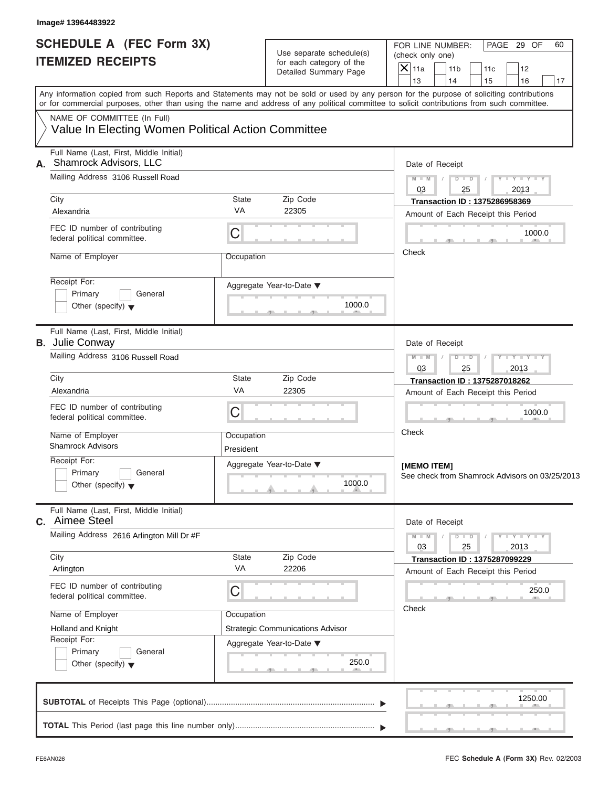| <b>SCHEDULE A (FEC Form 3X)</b>                                                   |                         |                                                                               | FOR LINE NUMBER:<br>PAGE 29 OF                                                                                                                                                                                                                                                          |  |  |  |
|-----------------------------------------------------------------------------------|-------------------------|-------------------------------------------------------------------------------|-----------------------------------------------------------------------------------------------------------------------------------------------------------------------------------------------------------------------------------------------------------------------------------------|--|--|--|
| <b>ITEMIZED RECEIPTS</b>                                                          |                         | Use separate schedule(s)<br>for each category of the<br>Detailed Summary Page | (check only one)<br>$ \mathsf{\overline{X}} $ 11a<br>11 <sub>b</sub><br>11c<br>12<br>13<br>14<br>15<br>16<br>17                                                                                                                                                                         |  |  |  |
|                                                                                   |                         |                                                                               | Any information copied from such Reports and Statements may not be sold or used by any person for the purpose of soliciting contributions<br>or for commercial purposes, other than using the name and address of any political committee to solicit contributions from such committee. |  |  |  |
| NAME OF COMMITTEE (In Full)<br>Value In Electing Women Political Action Committee |                         |                                                                               |                                                                                                                                                                                                                                                                                         |  |  |  |
| Full Name (Last, First, Middle Initial)<br>Shamrock Advisors, LLC<br>А.           |                         |                                                                               | Date of Receipt                                                                                                                                                                                                                                                                         |  |  |  |
| Mailing Address 3106 Russell Road                                                 |                         |                                                                               | $D$ $D$<br>$Y - Y - Y - Y - Y$<br>$M - M$<br>03<br>2013<br>25                                                                                                                                                                                                                           |  |  |  |
| City                                                                              | <b>State</b>            | Zip Code                                                                      | <b>Transaction ID: 1375286958369</b>                                                                                                                                                                                                                                                    |  |  |  |
| Alexandria                                                                        | VA                      | 22305                                                                         | Amount of Each Receipt this Period                                                                                                                                                                                                                                                      |  |  |  |
| FEC ID number of contributing<br>federal political committee.                     | C                       |                                                                               | 1000.0                                                                                                                                                                                                                                                                                  |  |  |  |
| Name of Employer                                                                  | Occupation              |                                                                               | Check                                                                                                                                                                                                                                                                                   |  |  |  |
| Receipt For:<br>Primary<br>General<br>Other (specify) $\blacktriangledown$        |                         | Aggregate Year-to-Date ▼<br>1000.0                                            |                                                                                                                                                                                                                                                                                         |  |  |  |
| Full Name (Last, First, Middle Initial)<br><b>B.</b> Julie Conway                 |                         |                                                                               | Date of Receipt                                                                                                                                                                                                                                                                         |  |  |  |
| Mailing Address 3106 Russell Road                                                 |                         |                                                                               | $Y - Y - Y - Y$<br>$M - M$<br>$D$ $D$<br>2013<br>03<br>25                                                                                                                                                                                                                               |  |  |  |
| City                                                                              | <b>State</b>            | Zip Code                                                                      | <b>Transaction ID: 1375287018262</b>                                                                                                                                                                                                                                                    |  |  |  |
| Alexandria                                                                        | VA                      | 22305                                                                         | Amount of Each Receipt this Period                                                                                                                                                                                                                                                      |  |  |  |
| FEC ID number of contributing<br>federal political committee.                     | C                       |                                                                               | 1000.0                                                                                                                                                                                                                                                                                  |  |  |  |
| Name of Employer<br><b>Shamrock Advisors</b>                                      | Occupation<br>President |                                                                               | Check                                                                                                                                                                                                                                                                                   |  |  |  |
| Receipt For:<br>Primary<br>General<br>Other (specify) $\blacktriangledown$        |                         | Aggregate Year-to-Date ▼<br>1000.0                                            | [MEMO ITEM]<br>See check from Shamrock Advisors on 03/25/2013                                                                                                                                                                                                                           |  |  |  |
| Full Name (Last, First, Middle Initial)<br>C. Aimee Steel                         |                         |                                                                               | Date of Receipt                                                                                                                                                                                                                                                                         |  |  |  |
| Mailing Address 2616 Arlington Mill Dr #F                                         |                         |                                                                               | $M - M$<br>$D$ $\Box$ $D$<br>$Y = Y$<br>03<br>25<br>2013                                                                                                                                                                                                                                |  |  |  |
| City<br>Arlington                                                                 | State<br>VA             | Zip Code<br>22206                                                             | <b>Transaction ID: 1375287099229</b><br>Amount of Each Receipt this Period                                                                                                                                                                                                              |  |  |  |
| FEC ID number of contributing<br>federal political committee.                     | C                       |                                                                               | 250.0                                                                                                                                                                                                                                                                                   |  |  |  |
| Name of Employer                                                                  | Occupation              |                                                                               | Check                                                                                                                                                                                                                                                                                   |  |  |  |
| <b>Holland and Knight</b><br>Receipt For:                                         |                         | <b>Strategic Communications Advisor</b>                                       |                                                                                                                                                                                                                                                                                         |  |  |  |
| Primary<br>General<br>Other (specify) $\blacktriangledown$                        |                         | Aggregate Year-to-Date ▼<br>250.0                                             |                                                                                                                                                                                                                                                                                         |  |  |  |
|                                                                                   |                         |                                                                               | 1250.00                                                                                                                                                                                                                                                                                 |  |  |  |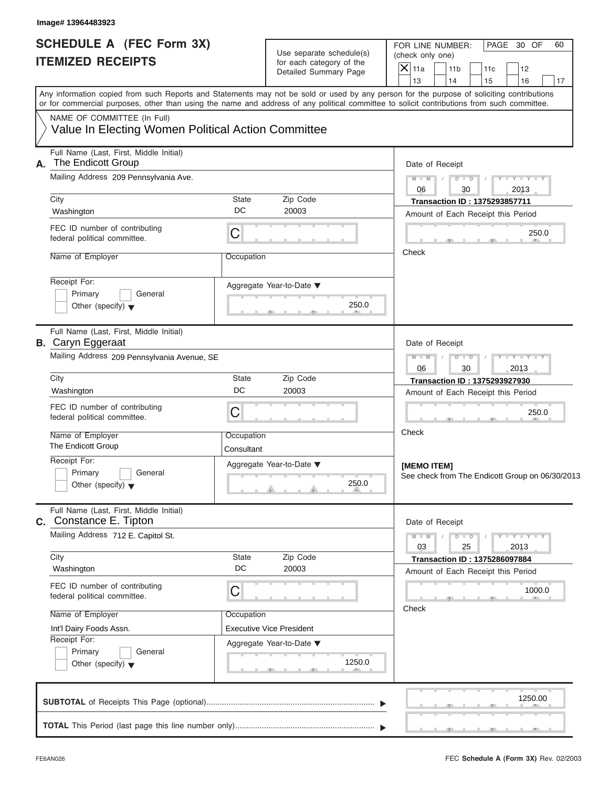| <b>SCHEDULE A (FEC Form 3X)</b><br><b>ITEMIZED RECEIPTS</b>                       | Use separate schedule(s)<br>for each category of the |                       | FOR LINE NUMBER:<br>PAGE 30 OF<br>(check only one)<br>$\mathsf{\overline{X}}$ 11a<br>11 <sub>b</sub><br>11c<br>12                                                                                                                                                                       |    |  |  |
|-----------------------------------------------------------------------------------|------------------------------------------------------|-----------------------|-----------------------------------------------------------------------------------------------------------------------------------------------------------------------------------------------------------------------------------------------------------------------------------------|----|--|--|
|                                                                                   |                                                      | Detailed Summary Page | 13<br>14<br>15<br>16                                                                                                                                                                                                                                                                    | 17 |  |  |
|                                                                                   |                                                      |                       | Any information copied from such Reports and Statements may not be sold or used by any person for the purpose of soliciting contributions<br>or for commercial purposes, other than using the name and address of any political committee to solicit contributions from such committee. |    |  |  |
| NAME OF COMMITTEE (In Full)<br>Value In Electing Women Political Action Committee |                                                      |                       |                                                                                                                                                                                                                                                                                         |    |  |  |
| Full Name (Last, First, Middle Initial)<br>The Endicott Group<br>А.               |                                                      |                       | Date of Receipt                                                                                                                                                                                                                                                                         |    |  |  |
| Mailing Address 209 Pennsylvania Ave.                                             |                                                      |                       | $D$ $D$<br>$Y - Y - Y - Y - Y$<br>$M - M$<br>2013<br>06<br>30                                                                                                                                                                                                                           |    |  |  |
| City<br>Washington                                                                | State<br>DC<br>20003                                 | Zip Code              | <b>Transaction ID: 1375293857711</b><br>Amount of Each Receipt this Period                                                                                                                                                                                                              |    |  |  |
| FEC ID number of contributing<br>federal political committee.                     | C                                                    |                       | 250.0                                                                                                                                                                                                                                                                                   |    |  |  |
| Name of Employer                                                                  | Occupation                                           |                       | Check                                                                                                                                                                                                                                                                                   |    |  |  |
| Receipt For:<br>Primary<br>General<br>Other (specify) $\blacktriangledown$        | Aggregate Year-to-Date ▼                             | 250.0                 |                                                                                                                                                                                                                                                                                         |    |  |  |
| Full Name (Last, First, Middle Initial)<br><b>B.</b> Caryn Eggeraat               |                                                      |                       | Date of Receipt                                                                                                                                                                                                                                                                         |    |  |  |
| Mailing Address 209 Pennsylvania Avenue, SE                                       |                                                      |                       | $M - M$<br>$D$ $\Box$ $D$<br>$Y = Y = Y + Y$<br>2013<br>06<br>30                                                                                                                                                                                                                        |    |  |  |
| City<br>Washington                                                                | State<br>DC<br>20003                                 | Zip Code              | Transaction ID: 1375293927930<br>Amount of Each Receipt this Period                                                                                                                                                                                                                     |    |  |  |
| FEC ID number of contributing<br>federal political committee.                     | C                                                    |                       | 250.0                                                                                                                                                                                                                                                                                   |    |  |  |
| Name of Employer<br>The Endicott Group                                            | Occupation<br>Consultant                             |                       | Check                                                                                                                                                                                                                                                                                   |    |  |  |
| Receipt For:<br>Primary<br>General<br>Other (specify) $\blacktriangledown$        | Aggregate Year-to-Date ▼                             | 250.0                 | [MEMO ITEM]<br>See check from The Endicott Group on 06/30/2013                                                                                                                                                                                                                          |    |  |  |
| Full Name (Last, First, Middle Initial)<br>C. Constance E. Tipton                 |                                                      |                       | Date of Receipt                                                                                                                                                                                                                                                                         |    |  |  |
| Mailing Address 712 E. Capitol St.                                                |                                                      |                       | $M - M$<br>$D$ $\Box$ $D$<br>$Y - Y - Y - Y - I$<br>03<br>2013<br>25                                                                                                                                                                                                                    |    |  |  |
| City<br>Washington                                                                | State<br>DC<br>20003                                 | Zip Code              | <b>Transaction ID: 1375286097884</b><br>Amount of Each Receipt this Period                                                                                                                                                                                                              |    |  |  |
| FEC ID number of contributing<br>federal political committee.                     | C                                                    |                       | 1000.0                                                                                                                                                                                                                                                                                  |    |  |  |
| Name of Employer<br>Int'l Dairy Foods Assn.                                       | Occupation<br><b>Executive Vice President</b>        |                       | Check                                                                                                                                                                                                                                                                                   |    |  |  |
| Receipt For:<br>Primary<br>General<br>Other (specify) $\blacktriangledown$        | Aggregate Year-to-Date ▼                             | 1250.0                |                                                                                                                                                                                                                                                                                         |    |  |  |
|                                                                                   |                                                      |                       | 1250.00                                                                                                                                                                                                                                                                                 |    |  |  |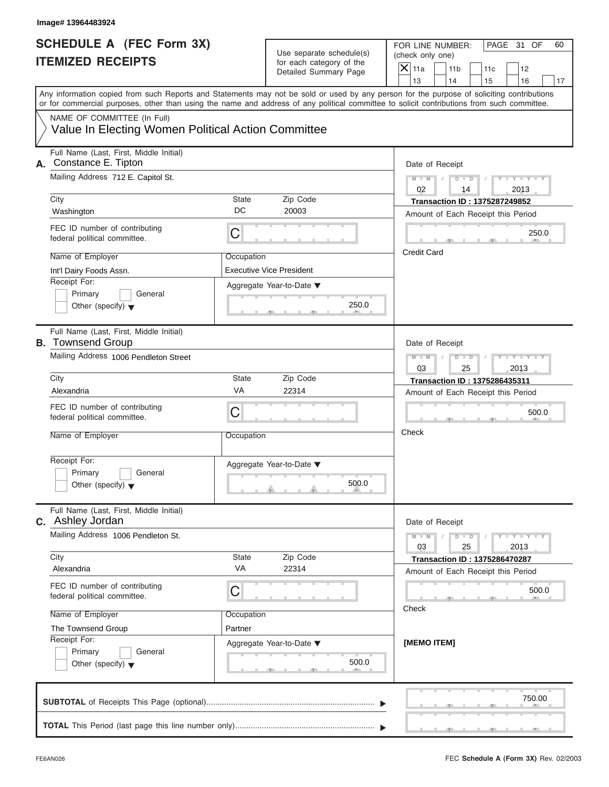| Image# 13964483924                                                                                                                                                                                                                                                                      |                       |                                                      |                    |                                                         |                                                                            |                             |    |
|-----------------------------------------------------------------------------------------------------------------------------------------------------------------------------------------------------------------------------------------------------------------------------------------|-----------------------|------------------------------------------------------|--------------------|---------------------------------------------------------|----------------------------------------------------------------------------|-----------------------------|----|
| <b>SCHEDULE A (FEC Form 3X)</b><br><b>ITEMIZED RECEIPTS</b>                                                                                                                                                                                                                             |                       | Use separate schedule(s)<br>for each category of the |                    | FOR LINE NUMBER:<br>(check only one)<br>11 <sub>b</sub> |                                                                            | PAGE 31 OF                  | 60 |
|                                                                                                                                                                                                                                                                                         |                       | Detailed Summary Page                                | $X$ 11a<br>13      | 14                                                      | 11c<br>15                                                                  | 12<br>16                    | 17 |
| Any information copied from such Reports and Statements may not be sold or used by any person for the purpose of soliciting contributions<br>or for commercial purposes, other than using the name and address of any political committee to solicit contributions from such committee. |                       |                                                      |                    |                                                         |                                                                            |                             |    |
| NAME OF COMMITTEE (In Full)<br>Value In Electing Women Political Action Committee                                                                                                                                                                                                       |                       |                                                      |                    |                                                         |                                                                            |                             |    |
| Full Name (Last, First, Middle Initial)<br>Constance E. Tipton<br>А.                                                                                                                                                                                                                    |                       |                                                      |                    | Date of Receipt                                         |                                                                            |                             |    |
| Mailing Address 712 E. Capitol St.                                                                                                                                                                                                                                                      |                       |                                                      | $M - M$<br>02      | $D$ $\Box$ $D$<br>14                                    | $\sqrt{ }$                                                                 | $Y - Y - Y - Y - Y$<br>2013 |    |
| City<br>Washington                                                                                                                                                                                                                                                                      | State<br>DC           | Zip Code<br>20003                                    |                    |                                                         | <b>Transaction ID: 1375287249852</b><br>Amount of Each Receipt this Period |                             |    |
| FEC ID number of contributing<br>federal political committee.                                                                                                                                                                                                                           | С                     |                                                      |                    |                                                         |                                                                            | 250.0                       |    |
| Name of Employer<br>Int'l Dairy Foods Assn.                                                                                                                                                                                                                                             | Occupation            | <b>Executive Vice President</b>                      | <b>Credit Card</b> |                                                         |                                                                            |                             |    |
| Receipt For:<br>Primary<br>General<br>Other (specify) $\blacktriangledown$                                                                                                                                                                                                              |                       | Aggregate Year-to-Date ▼<br>250.0                    |                    |                                                         |                                                                            |                             |    |
| Full Name (Last, First, Middle Initial)<br><b>B.</b> Townsend Group                                                                                                                                                                                                                     |                       |                                                      |                    | Date of Receipt                                         |                                                                            |                             |    |
| Mailing Address 1006 Pendleton Street                                                                                                                                                                                                                                                   |                       |                                                      | $M - M$<br>03      | $D - D$<br>25                                           |                                                                            | Y T Y T Y T<br>2013         |    |
| City                                                                                                                                                                                                                                                                                    | State                 | Zip Code                                             |                    |                                                         | Transaction ID: 1375286435311                                              |                             |    |
| Alexandria                                                                                                                                                                                                                                                                              | VA                    | 22314                                                |                    |                                                         | Amount of Each Receipt this Period                                         |                             |    |
| FEC ID number of contributing<br>federal political committee.                                                                                                                                                                                                                           | С                     |                                                      |                    |                                                         |                                                                            | 500.0                       |    |
| Name of Employer                                                                                                                                                                                                                                                                        | Occupation            |                                                      | Check              |                                                         |                                                                            |                             |    |
| Receipt For:<br>Primary<br>General<br>Other (specify) $\blacktriangledown$                                                                                                                                                                                                              |                       | Aggregate Year-to-Date ▼<br>500.0                    |                    |                                                         |                                                                            |                             |    |
| Full Name (Last, First, Middle Initial)<br><b>C.</b> Ashley Jordan                                                                                                                                                                                                                      |                       |                                                      |                    | Date of Receipt                                         |                                                                            |                             |    |
| Mailing Address 1006 Pendleton St.                                                                                                                                                                                                                                                      |                       |                                                      | $M - M$<br>03      | $D$ $\Box$ $D$<br>25                                    |                                                                            | $Y = Y = Y - Y$<br>2013     |    |
| City<br>Alexandria                                                                                                                                                                                                                                                                      | State<br>VA           | Zip Code<br>22314                                    |                    |                                                         | <b>Transaction ID: 1375286470287</b>                                       |                             |    |
| FEC ID number of contributing<br>federal political committee.                                                                                                                                                                                                                           | С                     |                                                      |                    |                                                         | Amount of Each Receipt this Period                                         | 500.0                       |    |
| Name of Employer                                                                                                                                                                                                                                                                        | Occupation<br>Partner |                                                      | Check              |                                                         |                                                                            |                             |    |
| The Townsend Group<br>Receipt For:<br>Primary<br>General<br>Other (specify) $\blacktriangledown$                                                                                                                                                                                        |                       | Aggregate Year-to-Date ▼<br>500.0                    | [MEMO ITEM]        |                                                         |                                                                            |                             |    |
|                                                                                                                                                                                                                                                                                         |                       |                                                      |                    |                                                         |                                                                            | 750.00                      |    |
|                                                                                                                                                                                                                                                                                         |                       |                                                      |                    |                                                         |                                                                            |                             |    |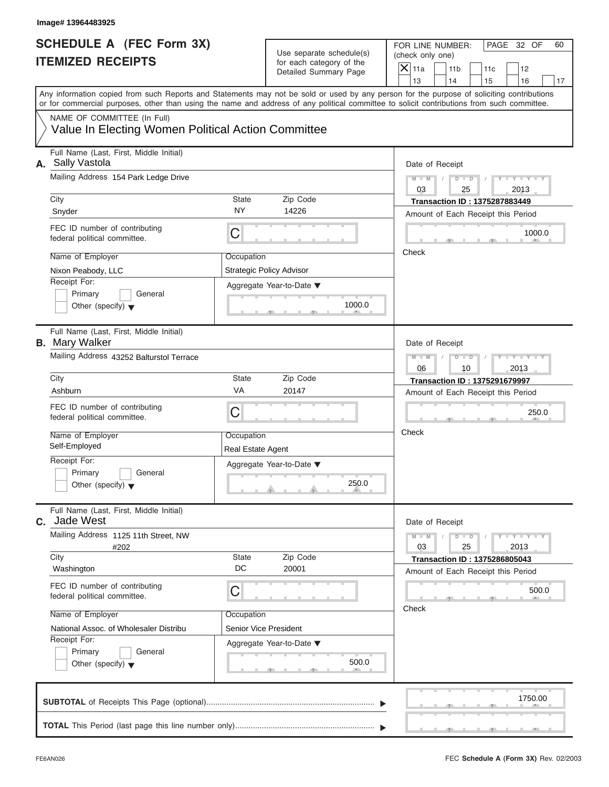| Image# 13964483925                                                                                                                                                                                                                                                                      |                                     |                                                      |               |                                                         |                                                                            |                             |    |
|-----------------------------------------------------------------------------------------------------------------------------------------------------------------------------------------------------------------------------------------------------------------------------------------|-------------------------------------|------------------------------------------------------|---------------|---------------------------------------------------------|----------------------------------------------------------------------------|-----------------------------|----|
| <b>SCHEDULE A (FEC Form 3X)</b><br><b>ITEMIZED RECEIPTS</b>                                                                                                                                                                                                                             |                                     | Use separate schedule(s)<br>for each category of the |               | FOR LINE NUMBER:<br>(check only one)<br>11 <sub>b</sub> | 11c                                                                        | PAGE 32 OF<br>12            | 60 |
|                                                                                                                                                                                                                                                                                         |                                     | Detailed Summary Page                                | $X$ 11a<br>13 | 14                                                      | 15                                                                         | 16                          | 17 |
| Any information copied from such Reports and Statements may not be sold or used by any person for the purpose of soliciting contributions<br>or for commercial purposes, other than using the name and address of any political committee to solicit contributions from such committee. |                                     |                                                      |               |                                                         |                                                                            |                             |    |
| NAME OF COMMITTEE (In Full)<br>Value In Electing Women Political Action Committee                                                                                                                                                                                                       |                                     |                                                      |               |                                                         |                                                                            |                             |    |
| Full Name (Last, First, Middle Initial)<br>A. Sally Vastola                                                                                                                                                                                                                             |                                     |                                                      |               | Date of Receipt                                         |                                                                            |                             |    |
| Mailing Address 154 Park Ledge Drive                                                                                                                                                                                                                                                    |                                     |                                                      | $M - M$<br>03 | $D$ $D$<br>$\sqrt{2}$<br>25                             | $\sqrt{ }$                                                                 | $Y - Y - Y - Y - Y$<br>2013 |    |
| City<br>Snyder                                                                                                                                                                                                                                                                          | State<br><b>NY</b>                  | Zip Code<br>14226                                    |               |                                                         | <b>Transaction ID: 1375287883449</b><br>Amount of Each Receipt this Period |                             |    |
| FEC ID number of contributing<br>federal political committee.                                                                                                                                                                                                                           | C                                   |                                                      |               |                                                         |                                                                            | 1000.0                      |    |
| Name of Employer<br>Nixon Peabody, LLC                                                                                                                                                                                                                                                  | Occupation                          | <b>Strategic Policy Advisor</b>                      | Check         |                                                         |                                                                            |                             |    |
| Receipt For:<br>Primary<br>General<br>Other (specify) $\blacktriangledown$                                                                                                                                                                                                              |                                     | Aggregate Year-to-Date ▼<br>1000.0                   |               |                                                         |                                                                            |                             |    |
| Full Name (Last, First, Middle Initial)<br><b>B.</b> Mary Walker                                                                                                                                                                                                                        |                                     |                                                      |               | Date of Receipt                                         |                                                                            |                             |    |
| Mailing Address 43252 Balturstol Terrace                                                                                                                                                                                                                                                |                                     |                                                      | $M - M$<br>06 | $D - I - D$<br>10                                       |                                                                            | $Y - Y - Y - Y - Y$<br>2013 |    |
| City                                                                                                                                                                                                                                                                                    | State                               | Zip Code                                             |               |                                                         | <b>Transaction ID: 1375291679997</b>                                       |                             |    |
| Ashburn                                                                                                                                                                                                                                                                                 | VA                                  | 20147                                                |               |                                                         | Amount of Each Receipt this Period                                         |                             |    |
| FEC ID number of contributing<br>federal political committee.                                                                                                                                                                                                                           | C                                   |                                                      |               |                                                         |                                                                            | 250.0                       |    |
| Name of Employer<br>Self-Employed                                                                                                                                                                                                                                                       | Occupation<br>Real Estate Agent     |                                                      | Check         |                                                         |                                                                            |                             |    |
| Receipt For:<br>Primary<br>General<br>Other (specify) $\blacktriangledown$                                                                                                                                                                                                              |                                     | Aggregate Year-to-Date ▼<br>250.0                    |               |                                                         |                                                                            |                             |    |
| Full Name (Last, First, Middle Initial)<br>Jade West<br>C.                                                                                                                                                                                                                              |                                     |                                                      |               | Date of Receipt                                         |                                                                            |                             |    |
| Mailing Address 1125 11th Street, NW<br>#202                                                                                                                                                                                                                                            |                                     |                                                      | $M - M$<br>03 | $D$ $\Box$ $D$<br>25                                    |                                                                            | $Y - Y - Y - Y - I$<br>2013 |    |
| City<br>Washington                                                                                                                                                                                                                                                                      | State<br>DC                         | Zip Code<br>20001                                    |               |                                                         | <b>Transaction ID: 1375286805043</b>                                       |                             |    |
| FEC ID number of contributing<br>federal political committee.                                                                                                                                                                                                                           | С                                   |                                                      |               |                                                         | Amount of Each Receipt this Period                                         | 500.0                       |    |
| Name of Employer<br>National Assoc. of Wholesaler Distribu                                                                                                                                                                                                                              | Occupation<br>Senior Vice President |                                                      | Check         |                                                         |                                                                            |                             |    |
| Receipt For:<br>Primary<br>General<br>Other (specify) $\blacktriangledown$                                                                                                                                                                                                              |                                     | Aggregate Year-to-Date ▼<br>500.0                    |               |                                                         |                                                                            |                             |    |
|                                                                                                                                                                                                                                                                                         |                                     |                                                      |               |                                                         |                                                                            | 1750.00                     |    |
|                                                                                                                                                                                                                                                                                         |                                     |                                                      |               |                                                         |                                                                            |                             |    |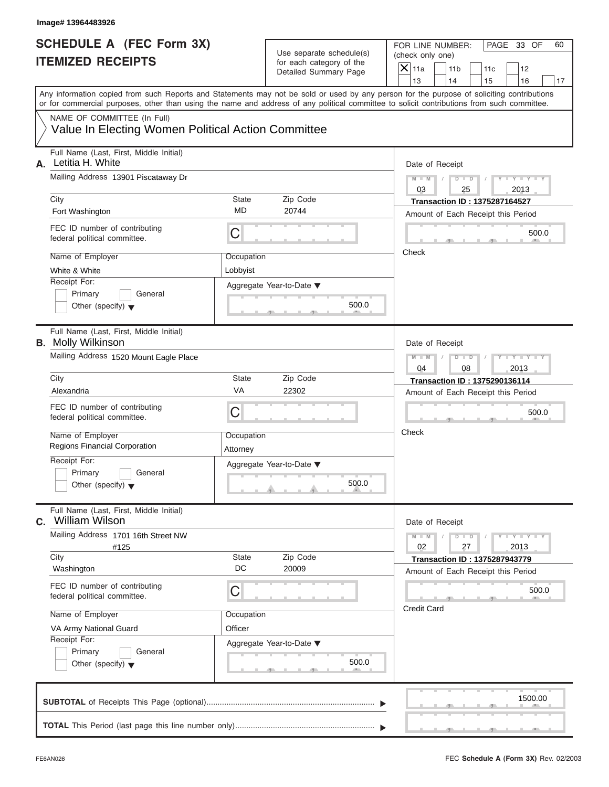| <b>SCHEDULE A (FEC Form 3X)</b><br><b>ITEMIZED RECEIPTS</b>                       |                          | Use separate schedule(s)                          | PAGE 33 OF<br>FOR LINE NUMBER:<br>(check only one)                                                                                                                                                                                                                                      |
|-----------------------------------------------------------------------------------|--------------------------|---------------------------------------------------|-----------------------------------------------------------------------------------------------------------------------------------------------------------------------------------------------------------------------------------------------------------------------------------------|
|                                                                                   |                          | for each category of the<br>Detailed Summary Page | $X$ 11a<br>11 <sub>b</sub><br>11c<br>12<br>13<br>14<br>16<br>15                                                                                                                                                                                                                         |
|                                                                                   |                          |                                                   | Any information copied from such Reports and Statements may not be sold or used by any person for the purpose of soliciting contributions<br>or for commercial purposes, other than using the name and address of any political committee to solicit contributions from such committee. |
| NAME OF COMMITTEE (In Full)<br>Value In Electing Women Political Action Committee |                          |                                                   |                                                                                                                                                                                                                                                                                         |
| Full Name (Last, First, Middle Initial)<br>Letitia H. White<br>А.                 |                          |                                                   | Date of Receipt                                                                                                                                                                                                                                                                         |
| Mailing Address 13901 Piscataway Dr                                               |                          |                                                   | $D - D$<br>$Y - Y - Y - Y - Y$<br>$M - M$<br>$\sqrt{2}$<br>$\sqrt{ }$<br>03<br>2013<br>25                                                                                                                                                                                               |
| City<br>Fort Washington                                                           | State<br><b>MD</b>       | Zip Code<br>20744                                 | <b>Transaction ID: 1375287164527</b><br>Amount of Each Receipt this Period                                                                                                                                                                                                              |
| FEC ID number of contributing<br>federal political committee.                     | C                        |                                                   | 500.0                                                                                                                                                                                                                                                                                   |
| Name of Employer<br>White & White<br>Receipt For:                                 | Occupation<br>Lobbyist   |                                                   | Check                                                                                                                                                                                                                                                                                   |
| Primary<br>General<br>Other (specify) $\blacktriangledown$                        | Aggregate Year-to-Date ▼ | 500.0                                             |                                                                                                                                                                                                                                                                                         |
| Full Name (Last, First, Middle Initial)<br><b>B.</b> Molly Wilkinson              |                          |                                                   | Date of Receipt                                                                                                                                                                                                                                                                         |
| Mailing Address 1520 Mount Eagle Place                                            |                          |                                                   | $Y = Y = Y' - Y'$<br>$M - M$<br>$D - D$<br>04<br>08<br>2013                                                                                                                                                                                                                             |
| City<br>Alexandria                                                                | <b>State</b><br>VA       | Zip Code<br>22302                                 | Transaction ID: 1375290136114<br>Amount of Each Receipt this Period                                                                                                                                                                                                                     |
| FEC ID number of contributing<br>federal political committee.                     | C                        |                                                   | 500.0                                                                                                                                                                                                                                                                                   |
| Name of Employer<br>Regions Financial Corporation                                 | Occupation<br>Attorney   |                                                   | Check                                                                                                                                                                                                                                                                                   |
| Receipt For:<br>Primary<br>General<br>Other (specify) $\blacktriangledown$        | Aggregate Year-to-Date ▼ | 500.0                                             |                                                                                                                                                                                                                                                                                         |
| Full Name (Last, First, Middle Initial)<br><b>William Wilson</b><br>С.            |                          |                                                   | Date of Receipt                                                                                                                                                                                                                                                                         |
| Mailing Address 1701 16th Street NW<br>#125<br>City                               | State                    | Zip Code                                          | $M - M$<br>$D$ $\Box$ $D$<br>$Y = Y = Y - Y$<br>02<br>27<br>2013                                                                                                                                                                                                                        |
| Washington                                                                        | DC                       | 20009                                             | <b>Transaction ID: 1375287943779</b><br>Amount of Each Receipt this Period                                                                                                                                                                                                              |
| FEC ID number of contributing<br>federal political committee.                     | С                        |                                                   | 500.0<br><b>Credit Card</b>                                                                                                                                                                                                                                                             |
| Name of Employer<br>VA Army National Guard                                        | Occupation<br>Officer    |                                                   |                                                                                                                                                                                                                                                                                         |
| Receipt For:<br>Primary<br>General<br>Other (specify) $\blacktriangledown$        | Aggregate Year-to-Date ▼ | 500.0                                             |                                                                                                                                                                                                                                                                                         |
|                                                                                   |                          |                                                   | 1500.00                                                                                                                                                                                                                                                                                 |
|                                                                                   |                          |                                                   |                                                                                                                                                                                                                                                                                         |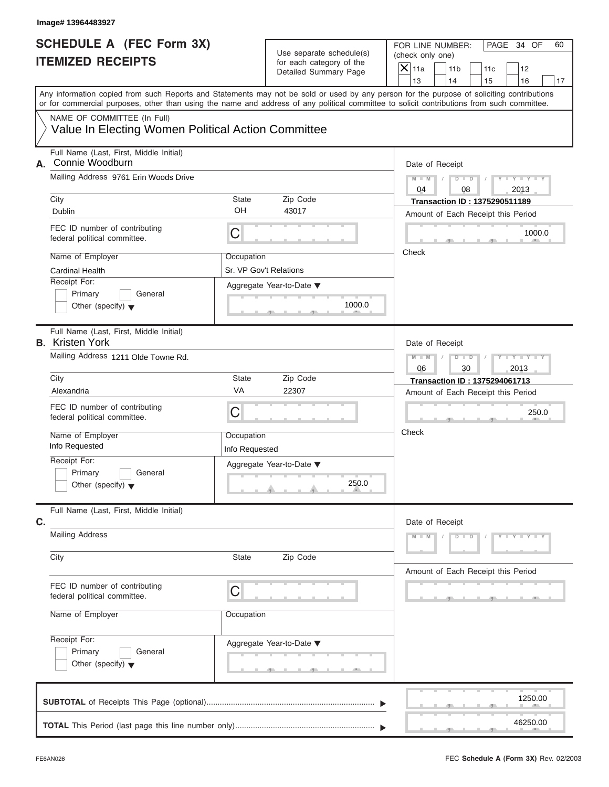| <b>SCHEDULE A (FEC Form 3X)</b><br><b>ITEMIZED RECEIPTS</b>                       |                                      | Use separate schedule(s)<br>for each category of the | PAGE 34 OF<br>FOR LINE NUMBER:<br>(check only one)                                                                                                                                                                                                                                      |  |  |
|-----------------------------------------------------------------------------------|--------------------------------------|------------------------------------------------------|-----------------------------------------------------------------------------------------------------------------------------------------------------------------------------------------------------------------------------------------------------------------------------------------|--|--|
|                                                                                   |                                      | Detailed Summary Page                                | $X$ 11a<br>11 <sub>b</sub><br>11c<br>12<br>13<br>14<br>15<br>16                                                                                                                                                                                                                         |  |  |
|                                                                                   |                                      |                                                      | Any information copied from such Reports and Statements may not be sold or used by any person for the purpose of soliciting contributions<br>or for commercial purposes, other than using the name and address of any political committee to solicit contributions from such committee. |  |  |
| NAME OF COMMITTEE (In Full)<br>Value In Electing Women Political Action Committee |                                      |                                                      |                                                                                                                                                                                                                                                                                         |  |  |
| Full Name (Last, First, Middle Initial)<br>Connie Woodburn<br>А.                  |                                      |                                                      | Date of Receipt                                                                                                                                                                                                                                                                         |  |  |
| Mailing Address 9761 Erin Woods Drive                                             |                                      |                                                      | $D$ $\Box$ $D$<br>$Y - Y - Y - Y - Y$<br>$M - M$ /<br>$\sqrt{ }$<br>04<br>2013<br>08                                                                                                                                                                                                    |  |  |
| City<br>Dublin                                                                    | State<br>OH                          | Zip Code<br>43017                                    | <b>Transaction ID: 1375290511189</b><br>Amount of Each Receipt this Period                                                                                                                                                                                                              |  |  |
| FEC ID number of contributing<br>federal political committee.                     | $\mathsf C$                          |                                                      | 1000.0                                                                                                                                                                                                                                                                                  |  |  |
| Name of Employer<br><b>Cardinal Health</b>                                        | Occupation<br>Sr. VP Gov't Relations |                                                      | Check                                                                                                                                                                                                                                                                                   |  |  |
| Receipt For:<br>Primary<br>General<br>Other (specify) $\blacktriangledown$        |                                      | Aggregate Year-to-Date ▼<br>1000.0                   |                                                                                                                                                                                                                                                                                         |  |  |
| Full Name (Last, First, Middle Initial)<br><b>B.</b> Kristen York                 |                                      |                                                      | Date of Receipt                                                                                                                                                                                                                                                                         |  |  |
| Mailing Address 1211 Olde Towne Rd.                                               |                                      |                                                      | $D - I - D$<br>$Y = Y = Y - Y$<br>$M - M$<br>$\sqrt{ }$<br>06<br>30<br>2013                                                                                                                                                                                                             |  |  |
| City                                                                              | State                                | Zip Code                                             | Transaction ID: 1375294061713                                                                                                                                                                                                                                                           |  |  |
| Alexandria                                                                        | VA                                   | 22307                                                | Amount of Each Receipt this Period                                                                                                                                                                                                                                                      |  |  |
| FEC ID number of contributing<br>federal political committee.                     | C                                    |                                                      | 250.0                                                                                                                                                                                                                                                                                   |  |  |
| Name of Employer<br>Info Requested                                                | Occupation<br>Info Requested         |                                                      | Check                                                                                                                                                                                                                                                                                   |  |  |
| Receipt For:<br>Primary<br>General<br>Other (specify) $\blacktriangledown$        |                                      | Aggregate Year-to-Date ▼<br>250.0                    |                                                                                                                                                                                                                                                                                         |  |  |
| Full Name (Last, First, Middle Initial)<br>C.                                     |                                      |                                                      | Date of Receipt                                                                                                                                                                                                                                                                         |  |  |
|                                                                                   |                                      |                                                      |                                                                                                                                                                                                                                                                                         |  |  |
| <b>Mailing Address</b>                                                            |                                      |                                                      | $M - M$<br>$D$ $\Box$ $D$<br>$Y - Y - Y - Y - Y$                                                                                                                                                                                                                                        |  |  |
| City                                                                              | <b>State</b>                         | Zip Code                                             | Amount of Each Receipt this Period                                                                                                                                                                                                                                                      |  |  |
| FEC ID number of contributing<br>federal political committee.                     | C                                    |                                                      |                                                                                                                                                                                                                                                                                         |  |  |
| Name of Employer                                                                  | Occupation                           |                                                      |                                                                                                                                                                                                                                                                                         |  |  |
| Receipt For:<br>Primary<br>General<br>Other (specify) $\blacktriangledown$        |                                      | Aggregate Year-to-Date ▼                             |                                                                                                                                                                                                                                                                                         |  |  |
|                                                                                   |                                      |                                                      | 1250.00                                                                                                                                                                                                                                                                                 |  |  |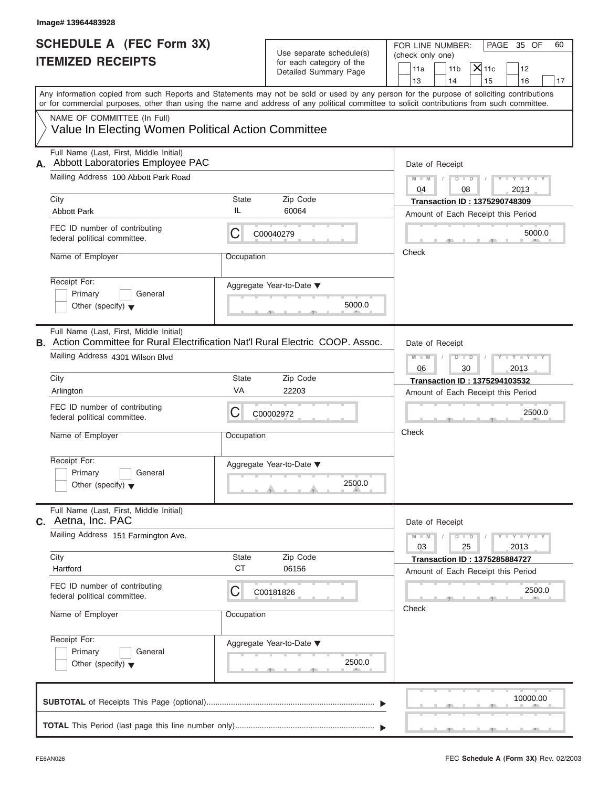| Image# 13964483928                                                                                                                                                                                                                                                                      |            |                                                                               |                                                                                                                                   |
|-----------------------------------------------------------------------------------------------------------------------------------------------------------------------------------------------------------------------------------------------------------------------------------------|------------|-------------------------------------------------------------------------------|-----------------------------------------------------------------------------------------------------------------------------------|
| <b>SCHEDULE A (FEC Form 3X)</b><br><b>ITEMIZED RECEIPTS</b>                                                                                                                                                                                                                             |            | Use separate schedule(s)<br>for each category of the<br>Detailed Summary Page | FOR LINE NUMBER:<br>PAGE 35 OF<br>60<br>(check only one)<br>$X$ 11c<br>11 <sub>b</sub><br>12<br>11a<br>13<br>14<br>15<br>16<br>17 |
| Any information copied from such Reports and Statements may not be sold or used by any person for the purpose of soliciting contributions<br>or for commercial purposes, other than using the name and address of any political committee to solicit contributions from such committee. |            |                                                                               |                                                                                                                                   |
| NAME OF COMMITTEE (In Full)<br>Value In Electing Women Political Action Committee                                                                                                                                                                                                       |            |                                                                               |                                                                                                                                   |
| Full Name (Last, First, Middle Initial)<br>Abbott Laboratories Employee PAC<br>А.                                                                                                                                                                                                       |            |                                                                               | Date of Receipt                                                                                                                   |
| Mailing Address 100 Abbott Park Road                                                                                                                                                                                                                                                    |            |                                                                               | $D - D$<br>$Y - Y - Y - Y - Y$<br>$M - M$<br>04<br>08<br>2013                                                                     |
| City                                                                                                                                                                                                                                                                                    | State      | Zip Code                                                                      | <b>Transaction ID: 1375290748309</b>                                                                                              |
| <b>Abbott Park</b>                                                                                                                                                                                                                                                                      | IL         | 60064                                                                         | Amount of Each Receipt this Period                                                                                                |
| FEC ID number of contributing<br>federal political committee.                                                                                                                                                                                                                           | С          | C00040279                                                                     | 5000.0                                                                                                                            |
| Name of Employer                                                                                                                                                                                                                                                                        | Occupation |                                                                               | Check                                                                                                                             |
| Receipt For:<br>Primary<br>General<br>Other (specify) $\blacktriangledown$                                                                                                                                                                                                              |            | Aggregate Year-to-Date ▼<br>5000.0                                            |                                                                                                                                   |
| Full Name (Last, First, Middle Initial)<br>B. Action Committee for Rural Electrification Nat'l Rural Electric COOP. Assoc.                                                                                                                                                              |            |                                                                               | Date of Receipt                                                                                                                   |
| Mailing Address 4301 Wilson Blvd                                                                                                                                                                                                                                                        |            |                                                                               | $D - D$<br>Y T Y T Y T<br>$M - M$<br>06<br>30<br>2013                                                                             |
| City                                                                                                                                                                                                                                                                                    | State      | Zip Code                                                                      | <b>Transaction ID: 1375294103532</b>                                                                                              |
| Arlington                                                                                                                                                                                                                                                                               | VA         | 22203                                                                         | Amount of Each Receipt this Period                                                                                                |
| FEC ID number of contributing<br>federal political committee.                                                                                                                                                                                                                           | С          | C00002972                                                                     | 2500.0                                                                                                                            |
| Name of Employer                                                                                                                                                                                                                                                                        | Occupation |                                                                               | Check                                                                                                                             |
| Receipt For:<br>Primary<br>General<br>Other (specify) $\blacktriangledown$                                                                                                                                                                                                              |            | Aggregate Year-to-Date ▼<br>2500.0                                            |                                                                                                                                   |
| Full Name (Last, First, Middle Initial)<br>C. Aetna, Inc. PAC                                                                                                                                                                                                                           |            |                                                                               | Date of Receipt                                                                                                                   |
| Mailing Address 151 Farmington Ave.                                                                                                                                                                                                                                                     |            |                                                                               | $M - M$<br>$D$ $\Box$ $D$<br>$\mathbf{I} = \mathbf{Y} + \mathbf{Y} + \mathbf{I}$<br>03<br>25<br>2013                              |
| City                                                                                                                                                                                                                                                                                    | State      | Zip Code                                                                      | <b>Transaction ID: 1375285884727</b>                                                                                              |
| Hartford                                                                                                                                                                                                                                                                                | <b>CT</b>  | 06156                                                                         | Amount of Each Receipt this Period                                                                                                |
| FEC ID number of contributing<br>federal political committee.                                                                                                                                                                                                                           | С          | C00181826                                                                     | 2500.0                                                                                                                            |
| Name of Employer                                                                                                                                                                                                                                                                        | Occupation |                                                                               | Check                                                                                                                             |
| Receipt For:<br>Primary<br>General<br>Other (specify) $\blacktriangledown$                                                                                                                                                                                                              |            | Aggregate Year-to-Date ▼<br>2500.0                                            |                                                                                                                                   |
|                                                                                                                                                                                                                                                                                         |            |                                                                               | 10000.00                                                                                                                          |
|                                                                                                                                                                                                                                                                                         |            |                                                                               |                                                                                                                                   |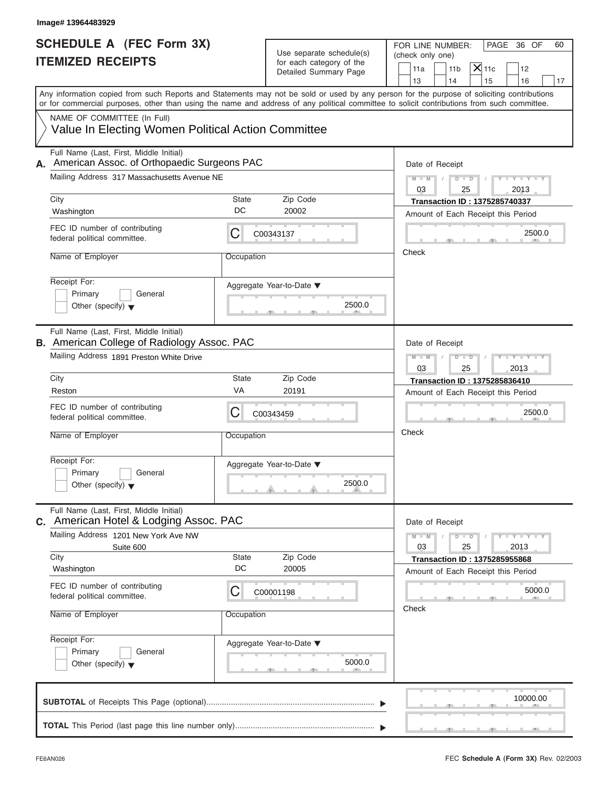| Image# 13964483929                                                                            |            |                                                      |                                                                                                                                                                                                                                                                                         |
|-----------------------------------------------------------------------------------------------|------------|------------------------------------------------------|-----------------------------------------------------------------------------------------------------------------------------------------------------------------------------------------------------------------------------------------------------------------------------------------|
| <b>SCHEDULE A (FEC Form 3X)</b><br><b>ITEMIZED RECEIPTS</b>                                   |            | Use separate schedule(s)<br>for each category of the | PAGE 36 OF<br>FOR LINE NUMBER:<br>60<br>(check only one)<br>$X$ 11c<br>11a<br>11 <sub>b</sub><br>12                                                                                                                                                                                     |
|                                                                                               |            | Detailed Summary Page                                | 13<br>14<br>15<br>16<br>17                                                                                                                                                                                                                                                              |
|                                                                                               |            |                                                      | Any information copied from such Reports and Statements may not be sold or used by any person for the purpose of soliciting contributions<br>or for commercial purposes, other than using the name and address of any political committee to solicit contributions from such committee. |
| NAME OF COMMITTEE (In Full)<br>Value In Electing Women Political Action Committee             |            |                                                      |                                                                                                                                                                                                                                                                                         |
| Full Name (Last, First, Middle Initial)<br>American Assoc. of Orthopaedic Surgeons PAC<br>А.  |            |                                                      | Date of Receipt                                                                                                                                                                                                                                                                         |
| Mailing Address 317 Massachusetts Avenue NE                                                   |            |                                                      | $D$ $D$<br>$Y - Y - Y - Y - Y$<br>$M - M$<br>$\sqrt{ }$<br>03<br>25<br>2013                                                                                                                                                                                                             |
| City                                                                                          | State      | Zip Code                                             | <b>Transaction ID: 1375285740337</b>                                                                                                                                                                                                                                                    |
| Washington                                                                                    | DC         | 20002                                                | Amount of Each Receipt this Period                                                                                                                                                                                                                                                      |
| FEC ID number of contributing<br>federal political committee.                                 | С          | C00343137                                            | 2500.0                                                                                                                                                                                                                                                                                  |
| Name of Employer                                                                              | Occupation |                                                      | Check                                                                                                                                                                                                                                                                                   |
| Receipt For:<br>Primary<br>General<br>Other (specify) $\blacktriangledown$                    |            | Aggregate Year-to-Date ▼<br>2500.0                   |                                                                                                                                                                                                                                                                                         |
| Full Name (Last, First, Middle Initial)<br><b>B.</b> American College of Radiology Assoc. PAC |            |                                                      | Date of Receipt                                                                                                                                                                                                                                                                         |
| Mailing Address 1891 Preston White Drive                                                      |            |                                                      | $D - I - D$<br>$Y - Y - Y - Y - Y$<br>$M - M$<br>03<br>25<br>2013                                                                                                                                                                                                                       |
| City                                                                                          | State      | Zip Code                                             | Transaction ID: 1375285836410                                                                                                                                                                                                                                                           |
| Reston                                                                                        | VA         | 20191                                                | Amount of Each Receipt this Period                                                                                                                                                                                                                                                      |
| FEC ID number of contributing<br>federal political committee.                                 | С          | C00343459                                            | 2500.0                                                                                                                                                                                                                                                                                  |
| Name of Employer                                                                              | Occupation |                                                      | Check                                                                                                                                                                                                                                                                                   |
| Receipt For:<br>Primary<br>General<br>Other (specify) $\blacktriangledown$                    |            | Aggregate Year-to-Date ▼<br>2500.0                   |                                                                                                                                                                                                                                                                                         |
| Full Name (Last, First, Middle Initial)<br>C. American Hotel & Lodging Assoc. PAC             |            |                                                      | Date of Receipt                                                                                                                                                                                                                                                                         |
| Mailing Address 1201 New York Ave NW<br>Suite 600                                             |            |                                                      | $M - M$<br>$D$ $\Box$ $D$<br>$Y - I - Y - I - Y - I$<br>03<br>25<br>2013                                                                                                                                                                                                                |
| City                                                                                          | State      | Zip Code                                             | <b>Transaction ID: 1375285955868</b>                                                                                                                                                                                                                                                    |
| Washington                                                                                    | DC         | 20005                                                | Amount of Each Receipt this Period                                                                                                                                                                                                                                                      |
| FEC ID number of contributing<br>federal political committee.                                 | С          | C00001198                                            | 5000.0                                                                                                                                                                                                                                                                                  |
| Name of Employer                                                                              | Occupation |                                                      | Check                                                                                                                                                                                                                                                                                   |
| Receipt For:<br>Primary<br>General<br>Other (specify) $\blacktriangledown$                    |            | Aggregate Year-to-Date ▼<br>5000.0                   |                                                                                                                                                                                                                                                                                         |
|                                                                                               |            |                                                      | 10000.00                                                                                                                                                                                                                                                                                |
|                                                                                               |            |                                                      |                                                                                                                                                                                                                                                                                         |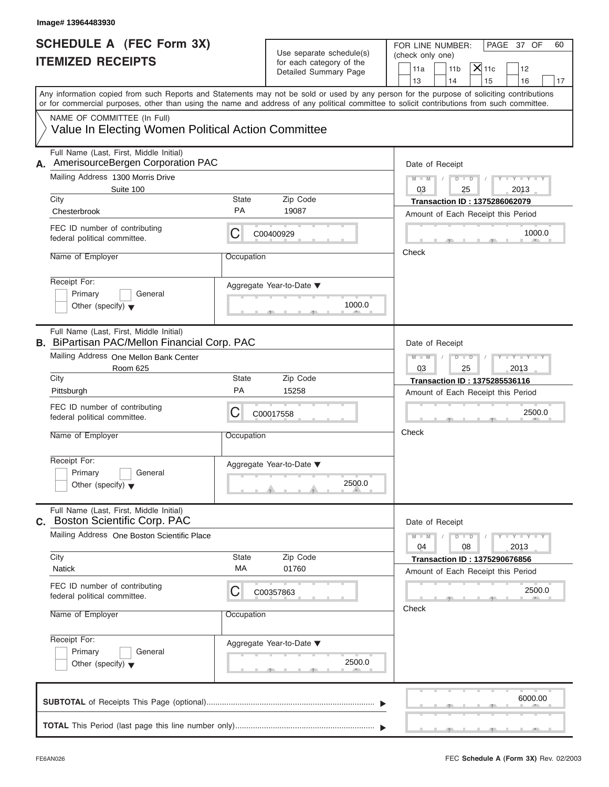| Image# 13964483930                                                                             |             |                                                                               |                                                                                                                                                                                                                                                                                         |
|------------------------------------------------------------------------------------------------|-------------|-------------------------------------------------------------------------------|-----------------------------------------------------------------------------------------------------------------------------------------------------------------------------------------------------------------------------------------------------------------------------------------|
| <b>SCHEDULE A (FEC Form 3X)</b><br><b>ITEMIZED RECEIPTS</b>                                    |             | Use separate schedule(s)<br>for each category of the<br>Detailed Summary Page | FOR LINE NUMBER:<br>PAGE 37 OF<br>60<br>(check only one)<br>$X$ 11c<br>11 <sub>b</sub><br>11a<br>12                                                                                                                                                                                     |
|                                                                                                |             |                                                                               | 13<br>14<br>15<br>16<br>17                                                                                                                                                                                                                                                              |
|                                                                                                |             |                                                                               | Any information copied from such Reports and Statements may not be sold or used by any person for the purpose of soliciting contributions<br>or for commercial purposes, other than using the name and address of any political committee to solicit contributions from such committee. |
| NAME OF COMMITTEE (In Full)                                                                    |             |                                                                               |                                                                                                                                                                                                                                                                                         |
| Value In Electing Women Political Action Committee                                             |             |                                                                               |                                                                                                                                                                                                                                                                                         |
| Full Name (Last, First, Middle Initial)<br>AmerisourceBergen Corporation PAC<br>Α.             |             |                                                                               | Date of Receipt                                                                                                                                                                                                                                                                         |
| Mailing Address 1300 Morris Drive                                                              |             |                                                                               | $D$ $D$<br>$Y - Y - Y - Y - Y$<br>$M - M$<br>$\sqrt{ }$                                                                                                                                                                                                                                 |
| Suite 100<br>City                                                                              | State       | Zip Code                                                                      | 03<br>25<br>2013<br><b>Transaction ID: 1375286062079</b>                                                                                                                                                                                                                                |
| Chesterbrook                                                                                   | <b>PA</b>   | 19087                                                                         | Amount of Each Receipt this Period                                                                                                                                                                                                                                                      |
| FEC ID number of contributing<br>federal political committee.                                  | С           | C00400929                                                                     | 1000.0                                                                                                                                                                                                                                                                                  |
| Name of Employer                                                                               | Occupation  |                                                                               | Check                                                                                                                                                                                                                                                                                   |
| Receipt For:<br>Primary<br>General<br>Other (specify) $\blacktriangledown$                     |             | Aggregate Year-to-Date ▼<br>1000.0                                            |                                                                                                                                                                                                                                                                                         |
| Full Name (Last, First, Middle Initial)<br><b>B.</b> BiPartisan PAC/Mellon Financial Corp. PAC |             |                                                                               | Date of Receipt                                                                                                                                                                                                                                                                         |
| Mailing Address One Mellon Bank Center<br>Room 625                                             |             |                                                                               | $D - I - D$<br>$Y - Y - Y - Y - Y$<br>$M - M$<br>03<br>25<br>2013                                                                                                                                                                                                                       |
| City                                                                                           | State       | Zip Code                                                                      | Transaction ID: 1375285536116                                                                                                                                                                                                                                                           |
| Pittsburgh                                                                                     | PA          | 15258                                                                         | Amount of Each Receipt this Period                                                                                                                                                                                                                                                      |
| FEC ID number of contributing<br>federal political committee.                                  | С           | C00017558                                                                     | 2500.0                                                                                                                                                                                                                                                                                  |
| Name of Employer                                                                               | Occupation  |                                                                               | Check                                                                                                                                                                                                                                                                                   |
| Receipt For:<br>Primary<br>General<br>Other (specify) $\blacktriangledown$                     |             | Aggregate Year-to-Date ▼<br>2500.0                                            |                                                                                                                                                                                                                                                                                         |
| Full Name (Last, First, Middle Initial)<br>C. Boston Scientific Corp. PAC                      |             |                                                                               | Date of Receipt                                                                                                                                                                                                                                                                         |
| Mailing Address One Boston Scientific Place                                                    |             |                                                                               | $M - M$<br>$D$ $\Box$ $D$<br>$Y - I - Y - I - Y - I$<br>04<br>08<br>2013                                                                                                                                                                                                                |
| City                                                                                           | State<br>МA | Zip Code                                                                      | <b>Transaction ID: 1375290676856</b>                                                                                                                                                                                                                                                    |
| <b>Natick</b>                                                                                  |             | 01760                                                                         | Amount of Each Receipt this Period                                                                                                                                                                                                                                                      |
| FEC ID number of contributing<br>federal political committee.                                  | С           | C00357863                                                                     | 2500.0<br>Check                                                                                                                                                                                                                                                                         |
| Name of Employer                                                                               | Occupation  |                                                                               |                                                                                                                                                                                                                                                                                         |
| Receipt For:<br>Primary<br>General<br>Other (specify) $\blacktriangledown$                     |             | Aggregate Year-to-Date ▼<br>2500.0                                            |                                                                                                                                                                                                                                                                                         |
|                                                                                                |             |                                                                               | 6000.00                                                                                                                                                                                                                                                                                 |
|                                                                                                |             |                                                                               |                                                                                                                                                                                                                                                                                         |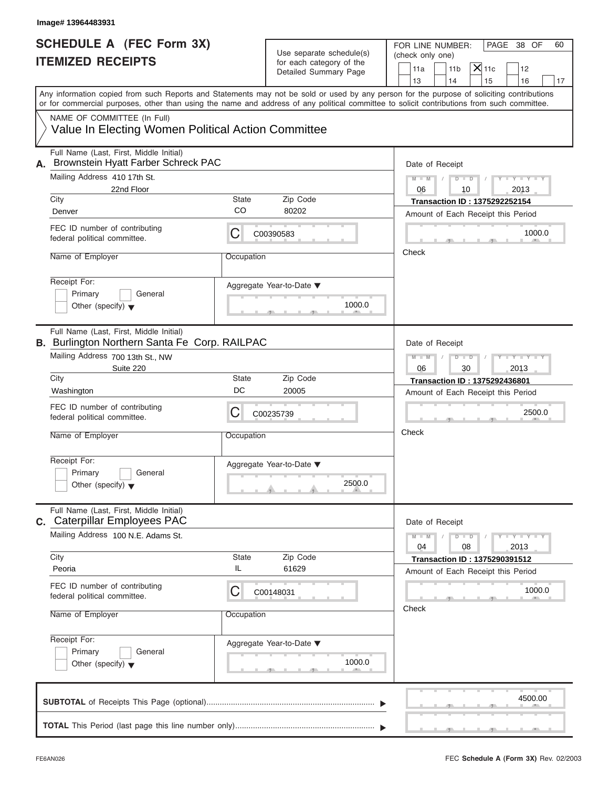| Image# 13964483931                                                                                                                                                                                                              |                    |                                                                               |                                                                                                                                             |
|---------------------------------------------------------------------------------------------------------------------------------------------------------------------------------------------------------------------------------|--------------------|-------------------------------------------------------------------------------|---------------------------------------------------------------------------------------------------------------------------------------------|
| <b>SCHEDULE A (FEC Form 3X)</b><br><b>ITEMIZED RECEIPTS</b>                                                                                                                                                                     |                    | Use separate schedule(s)<br>for each category of the<br>Detailed Summary Page | FOR LINE NUMBER:<br>PAGE 38 OF<br>60<br>(check only one)<br>$X$ 11c<br>11a<br>11 <sub>b</sub><br>12<br>13<br>14<br>15<br>16<br>17           |
| or for commercial purposes, other than using the name and address of any political committee to solicit contributions from such committee.<br>NAME OF COMMITTEE (In Full)<br>Value In Electing Women Political Action Committee |                    |                                                                               | Any information copied from such Reports and Statements may not be sold or used by any person for the purpose of soliciting contributions   |
| Full Name (Last, First, Middle Initial)<br>Brownstein Hyatt Farber Schreck PAC<br>А.<br>Mailing Address 410 17th St.                                                                                                            |                    |                                                                               | Date of Receipt                                                                                                                             |
| 22nd Floor<br>City<br>Denver                                                                                                                                                                                                    | <b>State</b><br>CO | Zip Code<br>80202                                                             | $Y - Y - Y - Y - Y$<br>$M - M$<br>$D$ $D$<br>10<br>2013<br>06<br><b>Transaction ID: 1375292252154</b><br>Amount of Each Receipt this Period |
| FEC ID number of contributing<br>federal political committee.                                                                                                                                                                   | С                  | C00390583                                                                     | 1000.0<br>Check                                                                                                                             |
| Name of Employer<br>Receipt For:<br>Primary<br>General<br>Other (specify) $\blacktriangledown$                                                                                                                                  | Occupation         | Aggregate Year-to-Date ▼<br>1000.0                                            |                                                                                                                                             |
| Full Name (Last, First, Middle Initial)<br><b>B.</b> Burlington Northern Santa Fe Corp. RAILPAC<br>Mailing Address 700 13th St., NW<br>Suite 220                                                                                |                    |                                                                               | Date of Receipt<br>$D - I$<br>Y T Y T Y T<br>$M - M$<br>06<br>30<br>2013                                                                    |
| City<br>Washington                                                                                                                                                                                                              | <b>State</b><br>DC | Zip Code<br>20005                                                             | Transaction ID: 1375292436801<br>Amount of Each Receipt this Period                                                                         |
| FEC ID number of contributing<br>federal political committee.                                                                                                                                                                   | С                  | C00235739                                                                     | 2500.0                                                                                                                                      |
| Name of Employer<br>Receipt For:<br>Primary<br>General<br>Other (specify) $\blacktriangledown$                                                                                                                                  | Occupation         | Aggregate Year-to-Date ▼<br>2500.0                                            | Check                                                                                                                                       |
| Full Name (Last, First, Middle Initial)<br>c. Caterpillar Employees PAC                                                                                                                                                         |                    |                                                                               | Date of Receipt                                                                                                                             |
| Mailing Address 100 N.E. Adams St.<br>City<br>Peoria                                                                                                                                                                            | State<br>IL        | Zip Code<br>61629                                                             | $M - M$<br>$D$ $D$<br>$-1 - Y - 1 - Y - 1$<br>08<br>2013<br>04<br><b>Transaction ID: 1375290391512</b>                                      |
| FEC ID number of contributing<br>federal political committee.<br>Name of Employer                                                                                                                                               | С<br>Occupation    | C00148031                                                                     | Amount of Each Receipt this Period<br>1000.0<br>Check                                                                                       |
| Receipt For:<br>Primary<br>General<br>Other (specify) $\blacktriangledown$                                                                                                                                                      |                    | Aggregate Year-to-Date ▼<br>1000.0                                            |                                                                                                                                             |
|                                                                                                                                                                                                                                 |                    |                                                                               | 4500.00                                                                                                                                     |
|                                                                                                                                                                                                                                 |                    |                                                                               |                                                                                                                                             |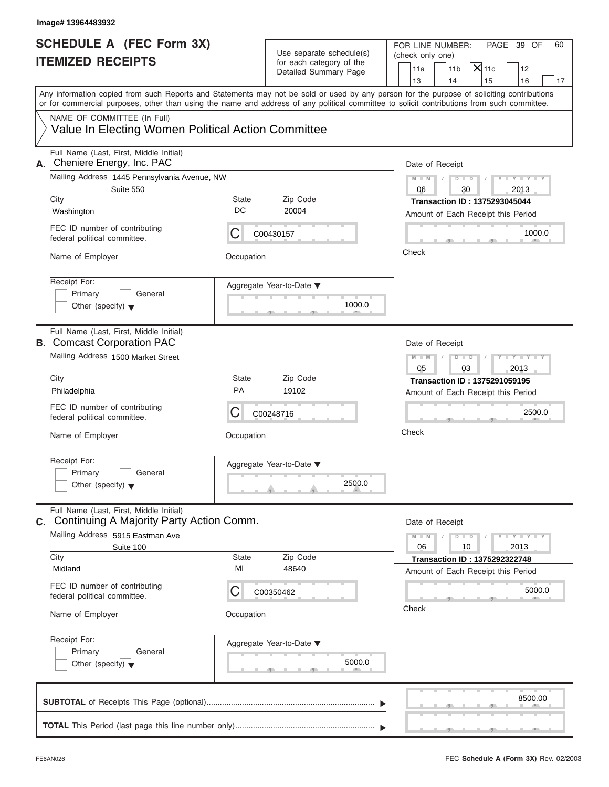| Image# 13964483932                                                                                                                         |             |                                                                               |                                                                                                                                           |
|--------------------------------------------------------------------------------------------------------------------------------------------|-------------|-------------------------------------------------------------------------------|-------------------------------------------------------------------------------------------------------------------------------------------|
| <b>SCHEDULE A (FEC Form 3X)</b><br><b>ITEMIZED RECEIPTS</b>                                                                                |             | Use separate schedule(s)<br>for each category of the<br>Detailed Summary Page | PAGE 39 OF<br>FOR LINE NUMBER:<br>60<br>(check only one)<br>$X$ 11c<br>11a<br>11 <sub>b</sub><br>12<br>13<br>14<br>15<br>16<br>17         |
| or for commercial purposes, other than using the name and address of any political committee to solicit contributions from such committee. |             |                                                                               | Any information copied from such Reports and Statements may not be sold or used by any person for the purpose of soliciting contributions |
| NAME OF COMMITTEE (In Full)<br>Value In Electing Women Political Action Committee                                                          |             |                                                                               |                                                                                                                                           |
| Full Name (Last, First, Middle Initial)<br>Cheniere Energy, Inc. PAC<br>А.                                                                 |             |                                                                               | Date of Receipt                                                                                                                           |
| Mailing Address 1445 Pennsylvania Avenue, NW<br>Suite 550                                                                                  |             |                                                                               | $Y - Y - Y - Y - Y$<br>$M - M$<br>$D$ $D$<br>$\sqrt{ }$<br>06<br>30<br>2013                                                               |
| City<br>Washington                                                                                                                         | State<br>DC | Zip Code<br>20004                                                             | <b>Transaction ID: 1375293045044</b><br>Amount of Each Receipt this Period                                                                |
| FEC ID number of contributing<br>federal political committee.                                                                              | С           | C00430157                                                                     | 1000.0                                                                                                                                    |
| Name of Employer                                                                                                                           | Occupation  |                                                                               | Check                                                                                                                                     |
| Receipt For:<br>Primary<br>General<br>Other (specify) $\blacktriangledown$                                                                 |             | Aggregate Year-to-Date ▼<br>1000.0                                            |                                                                                                                                           |
| Full Name (Last, First, Middle Initial)<br><b>B.</b> Comcast Corporation PAC                                                               |             |                                                                               | Date of Receipt                                                                                                                           |
| Mailing Address 1500 Market Street                                                                                                         |             |                                                                               | $D - I$<br>Y I Y I Y I Y<br>$M - M$<br>2013<br>05<br>03                                                                                   |
| City<br>Philadelphia                                                                                                                       | State<br>PA | Zip Code<br>19102                                                             | Transaction ID: 1375291059195                                                                                                             |
| FEC ID number of contributing<br>federal political committee.                                                                              | С           | C00248716                                                                     | Amount of Each Receipt this Period<br>2500.0                                                                                              |
| Name of Employer                                                                                                                           | Occupation  |                                                                               | Check                                                                                                                                     |
| Receipt For:<br>Primary<br>General<br>Other (specify) $\blacktriangledown$                                                                 |             | Aggregate Year-to-Date ▼<br>2500.0                                            |                                                                                                                                           |
| Full Name (Last, First, Middle Initial)<br>C. Continuing A Majority Party Action Comm.                                                     |             |                                                                               | Date of Receipt                                                                                                                           |
| Mailing Address 5915 Eastman Ave<br>Suite 100                                                                                              |             |                                                                               | $M - M$<br>$D - D$<br>$Y = Y = Y - Y$<br>06<br>10<br>2013                                                                                 |
| City<br>Midland                                                                                                                            | State<br>MI | Zip Code<br>48640                                                             | <b>Transaction ID: 1375292322748</b><br>Amount of Each Receipt this Period                                                                |
| FEC ID number of contributing<br>federal political committee.                                                                              | С           | C00350462                                                                     | 5000.0                                                                                                                                    |
| Name of Employer                                                                                                                           | Occupation  |                                                                               | Check                                                                                                                                     |
| Receipt For:<br>Primary<br>General<br>Other (specify) $\blacktriangledown$                                                                 |             | Aggregate Year-to-Date ▼<br>5000.0                                            |                                                                                                                                           |
|                                                                                                                                            |             |                                                                               | 8500.00                                                                                                                                   |
|                                                                                                                                            |             |                                                                               |                                                                                                                                           |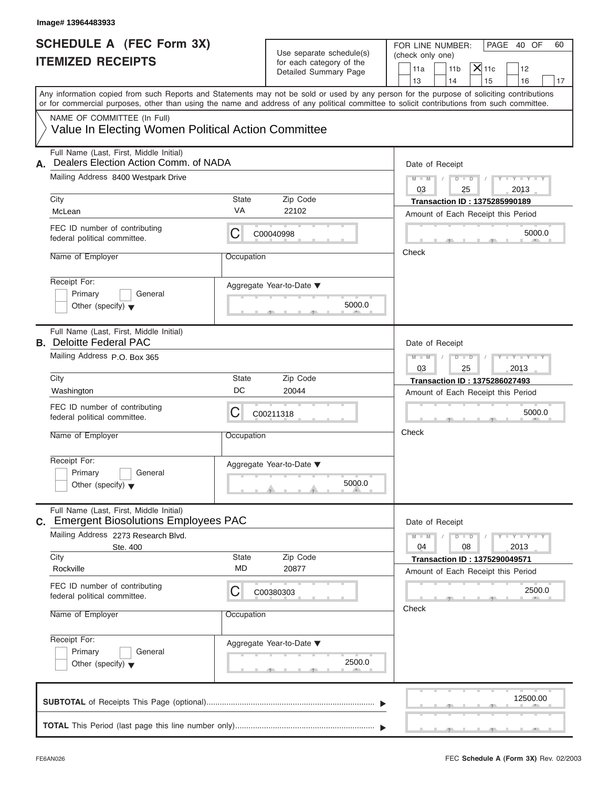| <b>SCHEDULE A (FEC Form 3X)</b><br><b>ITEMIZED RECEIPTS</b>                                                                                                                                                                                                                             |                           | Use separate schedule(s)<br>for each category of the | FOR LINE NUMBER:<br>PAGE 40 OF<br>(check only one)<br>$X _{11c}$  |    |  |
|-----------------------------------------------------------------------------------------------------------------------------------------------------------------------------------------------------------------------------------------------------------------------------------------|---------------------------|------------------------------------------------------|-------------------------------------------------------------------|----|--|
|                                                                                                                                                                                                                                                                                         |                           | Detailed Summary Page                                | 11a<br>11 <sub>b</sub><br>12<br>14<br>13<br>15<br>16              | 17 |  |
| Any information copied from such Reports and Statements may not be sold or used by any person for the purpose of soliciting contributions<br>or for commercial purposes, other than using the name and address of any political committee to solicit contributions from such committee. |                           |                                                      |                                                                   |    |  |
| NAME OF COMMITTEE (In Full)<br>Value In Electing Women Political Action Committee                                                                                                                                                                                                       |                           |                                                      |                                                                   |    |  |
| Full Name (Last, First, Middle Initial)<br>Dealers Election Action Comm. of NADA<br>А.                                                                                                                                                                                                  |                           |                                                      | Date of Receipt                                                   |    |  |
| Mailing Address 8400 Westpark Drive                                                                                                                                                                                                                                                     |                           |                                                      | $Y - Y - Y - Y - Y$<br>$M - M$<br>$D$ $D$<br>03<br>2013<br>25     |    |  |
| City                                                                                                                                                                                                                                                                                    | <b>State</b><br>VA        | Zip Code                                             | <b>Transaction ID: 1375285990189</b>                              |    |  |
| McLean                                                                                                                                                                                                                                                                                  |                           | 22102                                                | Amount of Each Receipt this Period                                |    |  |
| FEC ID number of contributing<br>federal political committee.                                                                                                                                                                                                                           | С                         | C00040998                                            | 5000.0                                                            |    |  |
| Name of Employer                                                                                                                                                                                                                                                                        | Occupation                |                                                      | Check                                                             |    |  |
| Receipt For:<br>Primary<br>General<br>Other (specify) $\blacktriangledown$                                                                                                                                                                                                              |                           | Aggregate Year-to-Date ▼<br>5000.0                   |                                                                   |    |  |
| Full Name (Last, First, Middle Initial)<br><b>B.</b> Deloitte Federal PAC                                                                                                                                                                                                               |                           |                                                      | Date of Receipt                                                   |    |  |
| Mailing Address P.O. Box 365                                                                                                                                                                                                                                                            |                           |                                                      | Y TYTTYTTY<br>$M - M$<br>$D$ $\Box$ $D$<br>03<br>25<br>2013       |    |  |
| City                                                                                                                                                                                                                                                                                    | <b>State</b>              | Zip Code                                             | <b>Transaction ID: 1375286027493</b>                              |    |  |
| Washington                                                                                                                                                                                                                                                                              | DC                        | 20044                                                | Amount of Each Receipt this Period                                |    |  |
| FEC ID number of contributing<br>federal political committee.                                                                                                                                                                                                                           | С                         | C00211318                                            | 5000.0                                                            |    |  |
| Name of Employer                                                                                                                                                                                                                                                                        | Occupation                |                                                      | Check                                                             |    |  |
| Receipt For:<br>Primary<br>General<br>Other (specify) $\blacktriangledown$                                                                                                                                                                                                              |                           | Aggregate Year-to-Date ▼<br>5000.0                   |                                                                   |    |  |
| Full Name (Last, First, Middle Initial)<br>C. Emergent Biosolutions Employees PAC                                                                                                                                                                                                       |                           |                                                      | Date of Receipt                                                   |    |  |
| Mailing Address 2273 Research Blvd.<br>Ste. 400                                                                                                                                                                                                                                         |                           |                                                      | $M - M$<br>$D - D$<br>$Y - I - Y - I - Y - I$<br>04<br>08<br>2013 |    |  |
| City                                                                                                                                                                                                                                                                                    | <b>State</b><br><b>MD</b> | Zip Code                                             | <b>Transaction ID: 1375290049571</b>                              |    |  |
| Rockville                                                                                                                                                                                                                                                                               |                           | 20877                                                | Amount of Each Receipt this Period                                |    |  |
| FEC ID number of contributing<br>federal political committee.                                                                                                                                                                                                                           | С                         | C00380303                                            | 2500.0                                                            |    |  |
| Name of Employer                                                                                                                                                                                                                                                                        | Occupation                |                                                      | Check                                                             |    |  |
| Receipt For:<br>Primary<br>General<br>Other (specify) $\blacktriangledown$                                                                                                                                                                                                              |                           | Aggregate Year-to-Date ▼<br>2500.0                   |                                                                   |    |  |
|                                                                                                                                                                                                                                                                                         |                           |                                                      | 12500.00                                                          |    |  |
|                                                                                                                                                                                                                                                                                         |                           |                                                      |                                                                   |    |  |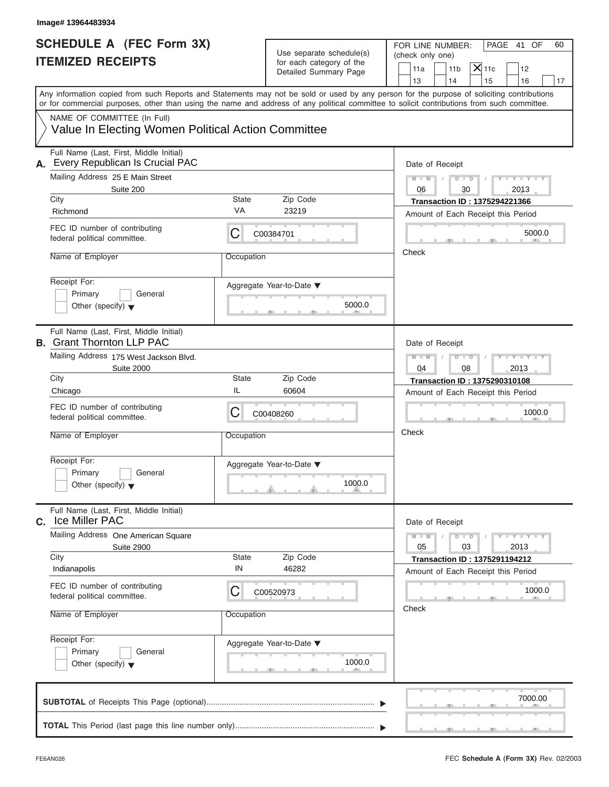| Image# 13964483934                                                                                                                                                                                                                                                                                                     |              |                                                                               |                                                                                                                                   |
|------------------------------------------------------------------------------------------------------------------------------------------------------------------------------------------------------------------------------------------------------------------------------------------------------------------------|--------------|-------------------------------------------------------------------------------|-----------------------------------------------------------------------------------------------------------------------------------|
| <b>SCHEDULE A (FEC Form 3X)</b><br><b>ITEMIZED RECEIPTS</b>                                                                                                                                                                                                                                                            |              | Use separate schedule(s)<br>for each category of the<br>Detailed Summary Page | FOR LINE NUMBER:<br>PAGE 41 OF<br>60<br>(check only one)<br>$X$ 11c<br>11a<br>11 <sub>b</sub><br>12<br>13<br>14<br>15<br>16<br>17 |
| Any information copied from such Reports and Statements may not be sold or used by any person for the purpose of soliciting contributions<br>or for commercial purposes, other than using the name and address of any political committee to solicit contributions from such committee.<br>NAME OF COMMITTEE (In Full) |              |                                                                               |                                                                                                                                   |
| Value In Electing Women Political Action Committee                                                                                                                                                                                                                                                                     |              |                                                                               |                                                                                                                                   |
| Full Name (Last, First, Middle Initial)<br>Every Republican Is Crucial PAC<br>А.                                                                                                                                                                                                                                       |              |                                                                               | Date of Receipt                                                                                                                   |
| Mailing Address 25 E Main Street<br>Suite 200                                                                                                                                                                                                                                                                          |              |                                                                               | $D$ $D$<br>$Y - Y - Y - Y - Y$<br>$M - M$<br>30<br>2013<br>06                                                                     |
| City                                                                                                                                                                                                                                                                                                                   | <b>State</b> | Zip Code                                                                      | <b>Transaction ID: 1375294221366</b>                                                                                              |
| Richmond                                                                                                                                                                                                                                                                                                               | VA           | 23219                                                                         | Amount of Each Receipt this Period                                                                                                |
| FEC ID number of contributing<br>federal political committee.                                                                                                                                                                                                                                                          | С            | C00384701                                                                     | 5000.0                                                                                                                            |
| Name of Employer                                                                                                                                                                                                                                                                                                       | Occupation   |                                                                               | Check                                                                                                                             |
| Receipt For:<br>Primary<br>General<br>Other (specify) $\blacktriangledown$                                                                                                                                                                                                                                             |              | Aggregate Year-to-Date ▼<br>5000.0                                            |                                                                                                                                   |
| Full Name (Last, First, Middle Initial)<br><b>B.</b> Grant Thornton LLP PAC                                                                                                                                                                                                                                            |              |                                                                               | Date of Receipt                                                                                                                   |
| Mailing Address 175 West Jackson Blvd.<br><b>Suite 2000</b>                                                                                                                                                                                                                                                            |              |                                                                               | $D - I$<br>Y T Y T Y T<br>$M - M$<br>04<br>08<br>2013                                                                             |
| City                                                                                                                                                                                                                                                                                                                   | State        | Zip Code                                                                      | Transaction ID: 1375290310108                                                                                                     |
| Chicago                                                                                                                                                                                                                                                                                                                | IL           | 60604                                                                         | Amount of Each Receipt this Period                                                                                                |
| FEC ID number of contributing<br>federal political committee.                                                                                                                                                                                                                                                          | С            | C00408260                                                                     | 1000.0                                                                                                                            |
| Name of Employer                                                                                                                                                                                                                                                                                                       | Occupation   |                                                                               | Check                                                                                                                             |
| Receipt For:<br>Primary<br>General<br>Other (specify) $\blacktriangledown$                                                                                                                                                                                                                                             |              | Aggregate Year-to-Date ▼<br>1000.0                                            |                                                                                                                                   |
| Full Name (Last, First, Middle Initial)<br><b>Ice Miller PAC</b><br>C.                                                                                                                                                                                                                                                 |              |                                                                               | Date of Receipt                                                                                                                   |
| Mailing Address One American Square<br><b>Suite 2900</b>                                                                                                                                                                                                                                                               |              |                                                                               | $M - M$<br>$D$ $D$<br>$Y = Y = Y - Y$<br>2013<br>05<br>03                                                                         |
| City                                                                                                                                                                                                                                                                                                                   | State        | Zip Code                                                                      | <b>Transaction ID: 1375291194212</b>                                                                                              |
| Indianapolis<br>FEC ID number of contributing                                                                                                                                                                                                                                                                          | IN<br>С      | 46282                                                                         | Amount of Each Receipt this Period<br>1000.0                                                                                      |
| federal political committee.<br>Name of Employer                                                                                                                                                                                                                                                                       | Occupation   | C00520973                                                                     | Check                                                                                                                             |
|                                                                                                                                                                                                                                                                                                                        |              |                                                                               |                                                                                                                                   |
| Receipt For:<br>Primary<br>General<br>Other (specify) $\blacktriangledown$                                                                                                                                                                                                                                             |              | Aggregate Year-to-Date ▼<br>1000.0                                            |                                                                                                                                   |
|                                                                                                                                                                                                                                                                                                                        |              |                                                                               | 7000.00                                                                                                                           |
|                                                                                                                                                                                                                                                                                                                        |              |                                                                               |                                                                                                                                   |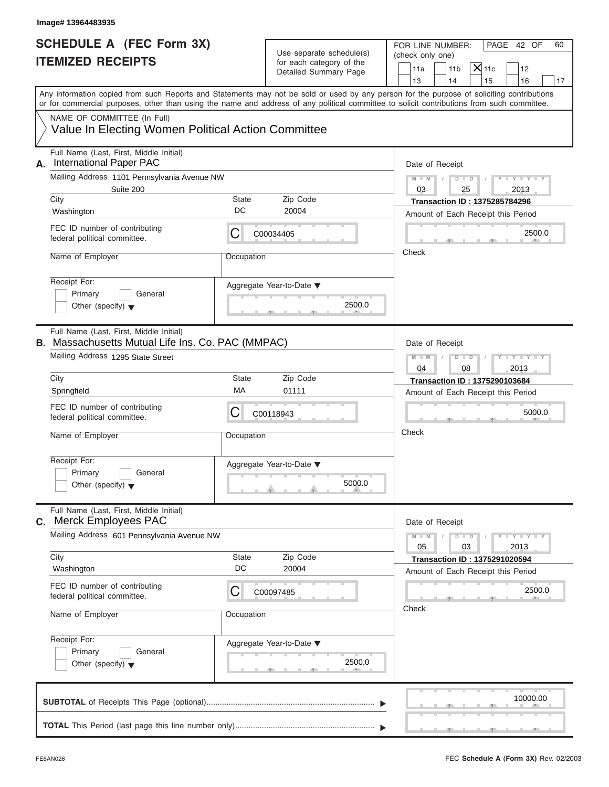| Image# 13964483935                                                                                                                                                                                                                                                                      |             |                                                                               |                                                                                                                                   |
|-----------------------------------------------------------------------------------------------------------------------------------------------------------------------------------------------------------------------------------------------------------------------------------------|-------------|-------------------------------------------------------------------------------|-----------------------------------------------------------------------------------------------------------------------------------|
| <b>SCHEDULE A (FEC Form 3X)</b><br><b>ITEMIZED RECEIPTS</b>                                                                                                                                                                                                                             |             | Use separate schedule(s)<br>for each category of the<br>Detailed Summary Page | FOR LINE NUMBER:<br>PAGE 42 OF<br>60<br>(check only one)<br>$X$ 11c<br>11a<br>11 <sub>b</sub><br>12<br>14<br>13<br>15<br>16<br>17 |
| Any information copied from such Reports and Statements may not be sold or used by any person for the purpose of soliciting contributions<br>or for commercial purposes, other than using the name and address of any political committee to solicit contributions from such committee. |             |                                                                               |                                                                                                                                   |
| NAME OF COMMITTEE (In Full)<br>Value In Electing Women Political Action Committee                                                                                                                                                                                                       |             |                                                                               |                                                                                                                                   |
| Full Name (Last, First, Middle Initial)<br><b>International Paper PAC</b><br>А.                                                                                                                                                                                                         |             |                                                                               | Date of Receipt                                                                                                                   |
| Mailing Address 1101 Pennsylvania Avenue NW<br>Suite 200                                                                                                                                                                                                                                |             |                                                                               | $D$ $D$<br>$Y - Y - Y - Y - Y$<br>$M - M$<br>$\sqrt{ }$<br>03<br>2013<br>25                                                       |
| City                                                                                                                                                                                                                                                                                    | State<br>DC | Zip Code                                                                      | <b>Transaction ID: 1375285784296</b>                                                                                              |
| Washington                                                                                                                                                                                                                                                                              |             | 20004                                                                         | Amount of Each Receipt this Period                                                                                                |
| FEC ID number of contributing<br>federal political committee.                                                                                                                                                                                                                           | С           | C00034405                                                                     | 2500.0                                                                                                                            |
| Name of Employer                                                                                                                                                                                                                                                                        | Occupation  |                                                                               | Check                                                                                                                             |
| Receipt For:<br>Primary<br>General<br>Other (specify) $\blacktriangledown$                                                                                                                                                                                                              |             | Aggregate Year-to-Date ▼<br>2500.0                                            |                                                                                                                                   |
| Full Name (Last, First, Middle Initial)<br><b>B.</b> Massachusetts Mutual Life Ins. Co. PAC (MMPAC)                                                                                                                                                                                     |             |                                                                               | Date of Receipt                                                                                                                   |
| Mailing Address 1295 State Street                                                                                                                                                                                                                                                       |             |                                                                               | $D - I - D$<br>Y I Y I Y I Y<br>$M - M$<br>2013<br>04<br>08                                                                       |
| City                                                                                                                                                                                                                                                                                    | State       | Zip Code                                                                      | <b>Transaction ID: 1375290103684</b>                                                                                              |
| Springfield                                                                                                                                                                                                                                                                             | МA          | 01111                                                                         | Amount of Each Receipt this Period                                                                                                |
| FEC ID number of contributing<br>federal political committee.                                                                                                                                                                                                                           | С           | C00118943                                                                     | 5000.0                                                                                                                            |
| Name of Employer                                                                                                                                                                                                                                                                        | Occupation  |                                                                               | Check                                                                                                                             |
| Receipt For:<br>Primary<br>General<br>Other (specify) $\blacktriangledown$                                                                                                                                                                                                              |             | Aggregate Year-to-Date ▼<br>5000.0                                            |                                                                                                                                   |
| Full Name (Last, First, Middle Initial)<br><b>Merck Employees PAC</b><br>C.                                                                                                                                                                                                             |             |                                                                               | Date of Receipt                                                                                                                   |
| Mailing Address 601 Pennsylvania Avenue NW                                                                                                                                                                                                                                              |             |                                                                               | $M - M$<br>$D - D$<br>$-1 - Y - 1 - Y - 1$<br>05<br>03<br>2013                                                                    |
| City                                                                                                                                                                                                                                                                                    | State       | Zip Code                                                                      | <b>Transaction ID: 1375291020594</b>                                                                                              |
| Washington                                                                                                                                                                                                                                                                              | DC          | 20004                                                                         | Amount of Each Receipt this Period                                                                                                |
| FEC ID number of contributing<br>federal political committee.                                                                                                                                                                                                                           | С           | C00097485                                                                     | 2500.0                                                                                                                            |
| Name of Employer                                                                                                                                                                                                                                                                        | Occupation  |                                                                               | Check                                                                                                                             |
| Receipt For:<br>Primary<br>General<br>Other (specify) $\blacktriangledown$                                                                                                                                                                                                              |             | Aggregate Year-to-Date ▼<br>2500.0                                            |                                                                                                                                   |
|                                                                                                                                                                                                                                                                                         |             |                                                                               | 10000.00                                                                                                                          |
|                                                                                                                                                                                                                                                                                         |             |                                                                               |                                                                                                                                   |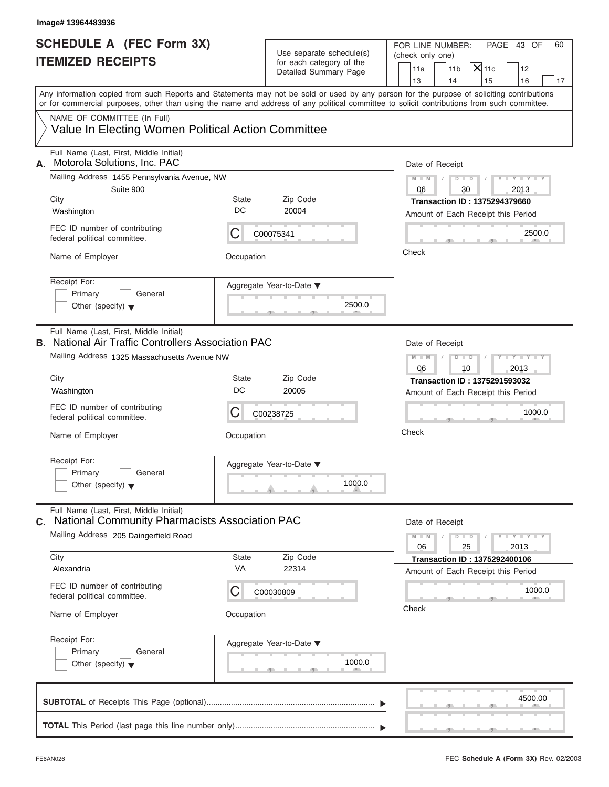| Image# 13964483936                                                                                                                                                                                                                                                                      |             |                                                                               |                                                                                                     |
|-----------------------------------------------------------------------------------------------------------------------------------------------------------------------------------------------------------------------------------------------------------------------------------------|-------------|-------------------------------------------------------------------------------|-----------------------------------------------------------------------------------------------------|
| <b>SCHEDULE A (FEC Form 3X)</b><br><b>ITEMIZED RECEIPTS</b>                                                                                                                                                                                                                             |             | Use separate schedule(s)<br>for each category of the<br>Detailed Summary Page | FOR LINE NUMBER:<br>PAGE 43 OF<br>60<br>(check only one)<br>$X$ 11c<br>11a<br>11 <sub>b</sub><br>12 |
| Any information copied from such Reports and Statements may not be sold or used by any person for the purpose of soliciting contributions<br>or for commercial purposes, other than using the name and address of any political committee to solicit contributions from such committee. |             |                                                                               | 13<br>14<br>15<br>16                                                                                |
| NAME OF COMMITTEE (In Full)<br>Value In Electing Women Political Action Committee                                                                                                                                                                                                       |             |                                                                               |                                                                                                     |
| Full Name (Last, First, Middle Initial)<br>Motorola Solutions, Inc. PAC<br>А.                                                                                                                                                                                                           |             |                                                                               | Date of Receipt                                                                                     |
| Mailing Address 1455 Pennsylvania Avenue, NW<br>Suite 900                                                                                                                                                                                                                               |             |                                                                               | $Y - Y - Y - Y - Y$<br>$M - M$<br>$D$ $D$<br>06<br>30<br>2013                                       |
| City<br>Washington                                                                                                                                                                                                                                                                      | State<br>DC | Zip Code<br>20004                                                             | <b>Transaction ID: 1375294379660</b>                                                                |
| FEC ID number of contributing<br>federal political committee.                                                                                                                                                                                                                           | С           | C00075341                                                                     | Amount of Each Receipt this Period<br>2500.0                                                        |
| Name of Employer                                                                                                                                                                                                                                                                        | Occupation  |                                                                               | Check                                                                                               |
| Receipt For:<br>Primary<br>General<br>Other (specify) $\blacktriangledown$                                                                                                                                                                                                              |             | Aggregate Year-to-Date ▼<br>2500.0                                            |                                                                                                     |
| Full Name (Last, First, Middle Initial)<br><b>B.</b> National Air Traffic Controllers Association PAC                                                                                                                                                                                   |             |                                                                               | Date of Receipt                                                                                     |
| Mailing Address 1325 Massachusetts Avenue NW                                                                                                                                                                                                                                            |             |                                                                               | $D - I - D$<br>Y I Y I Y I Y<br>$M - M$<br>2013<br>06<br>10                                         |
| City                                                                                                                                                                                                                                                                                    | State<br>DC | Zip Code                                                                      | <b>Transaction ID: 1375291593032</b>                                                                |
| Washington                                                                                                                                                                                                                                                                              |             | 20005                                                                         | Amount of Each Receipt this Period                                                                  |
| FEC ID number of contributing<br>federal political committee.                                                                                                                                                                                                                           | С           | C00238725                                                                     | 1000.0                                                                                              |
| Name of Employer                                                                                                                                                                                                                                                                        | Occupation  |                                                                               | Check                                                                                               |
| Receipt For:<br>Primary<br>General<br>Other (specify) $\blacktriangledown$                                                                                                                                                                                                              |             | Aggregate Year-to-Date ▼<br>1000.0                                            |                                                                                                     |
| Full Name (Last, First, Middle Initial)<br><b>National Community Pharmacists Association PAC</b><br>C.                                                                                                                                                                                  |             |                                                                               | Date of Receipt                                                                                     |
| Mailing Address 205 Daingerfield Road                                                                                                                                                                                                                                                   |             |                                                                               | $M - M$<br>$D - D$<br>$-1 - Y - 1 - Y - 1$<br>06<br>25<br>2013                                      |
| City<br>Alexandria                                                                                                                                                                                                                                                                      | State<br>VA | Zip Code<br>22314                                                             | <b>Transaction ID: 1375292400106</b><br>Amount of Each Receipt this Period                          |
| FEC ID number of contributing<br>federal political committee.                                                                                                                                                                                                                           | С           | C00030809                                                                     | 1000.0                                                                                              |
| Name of Employer                                                                                                                                                                                                                                                                        | Occupation  |                                                                               | Check                                                                                               |
| Receipt For:<br>Primary<br>General<br>Other (specify) $\blacktriangledown$                                                                                                                                                                                                              |             | Aggregate Year-to-Date ▼<br>1000.0                                            |                                                                                                     |
|                                                                                                                                                                                                                                                                                         |             |                                                                               | 4500.00                                                                                             |
|                                                                                                                                                                                                                                                                                         |             |                                                                               |                                                                                                     |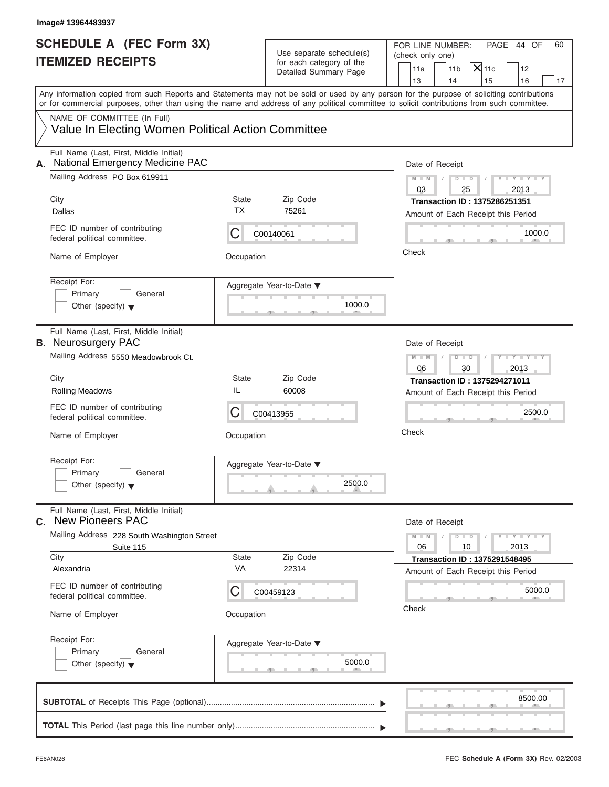| <b>SCHEDULE A (FEC Form 3X)</b><br><b>ITEMIZED RECEIPTS</b>                                                                                |             | Use separate schedule(s)<br>for each category of the | FOR LINE NUMBER:<br>PAGE 44 OF<br>(check only one)                                                                                        |
|--------------------------------------------------------------------------------------------------------------------------------------------|-------------|------------------------------------------------------|-------------------------------------------------------------------------------------------------------------------------------------------|
|                                                                                                                                            |             | Detailed Summary Page                                | $X _{11c}$<br>11a<br>11 <sub>b</sub><br>12<br>14<br>13<br>15<br>16                                                                        |
| or for commercial purposes, other than using the name and address of any political committee to solicit contributions from such committee. |             |                                                      | Any information copied from such Reports and Statements may not be sold or used by any person for the purpose of soliciting contributions |
| NAME OF COMMITTEE (In Full)<br>Value In Electing Women Political Action Committee                                                          |             |                                                      |                                                                                                                                           |
| Full Name (Last, First, Middle Initial)<br><b>National Emergency Medicine PAC</b><br>А.                                                    |             |                                                      | Date of Receipt                                                                                                                           |
| Mailing Address PO Box 619911                                                                                                              |             |                                                      | $Y - Y - Y - Y - Y$<br>$M - M$<br>$D$ $D$<br>03<br>2013<br>25                                                                             |
| City<br>Dallas                                                                                                                             | State<br>ТX | Zip Code<br>75261                                    | <b>Transaction ID: 1375286251351</b><br>Amount of Each Receipt this Period                                                                |
| FEC ID number of contributing<br>federal political committee.                                                                              | С           | C00140061                                            | 1000.0                                                                                                                                    |
| Name of Employer                                                                                                                           | Occupation  |                                                      | Check                                                                                                                                     |
| Receipt For:<br>Primary<br>General<br>Other (specify) $\blacktriangledown$                                                                 |             | Aggregate Year-to-Date ▼<br>1000.0                   |                                                                                                                                           |
| Full Name (Last, First, Middle Initial)<br><b>B.</b> Neurosurgery PAC                                                                      |             |                                                      | Date of Receipt                                                                                                                           |
| Mailing Address 5550 Meadowbrook Ct.                                                                                                       |             |                                                      | Y TYTTYTTY<br>$M - M$<br>$D$ $\Box$ $D$<br>06<br>30<br>2013                                                                               |
| City                                                                                                                                       | State       | Zip Code                                             | Transaction ID: 1375294271011                                                                                                             |
| <b>Rolling Meadows</b>                                                                                                                     | IL          | 60008                                                | Amount of Each Receipt this Period                                                                                                        |
| FEC ID number of contributing<br>federal political committee.                                                                              | С           | C00413955                                            | 2500.0                                                                                                                                    |
| Name of Employer                                                                                                                           | Occupation  |                                                      | Check                                                                                                                                     |
| Receipt For:<br>Primary<br>General<br>Other (specify) $\blacktriangledown$                                                                 |             | Aggregate Year-to-Date ▼<br>2500.0                   |                                                                                                                                           |
| Full Name (Last, First, Middle Initial)<br>C. New Pioneers PAC                                                                             |             |                                                      | Date of Receipt                                                                                                                           |
| Mailing Address 228 South Washington Street<br>Suite 115                                                                                   |             |                                                      | $M - M$<br>$D - D$<br>$Y - I - Y - I - Y - I$<br>06<br>10<br>2013                                                                         |
| City<br>Alexandria                                                                                                                         | State<br>VA | Zip Code<br>22314                                    | <b>Transaction ID: 1375291548495</b>                                                                                                      |
| FEC ID number of contributing<br>federal political committee.                                                                              | С           | C00459123                                            | Amount of Each Receipt this Period<br>5000.0                                                                                              |
| Name of Employer                                                                                                                           | Occupation  |                                                      | Check                                                                                                                                     |
| Receipt For:<br>Primary<br>General<br>Other (specify) $\blacktriangledown$                                                                 |             | Aggregate Year-to-Date ▼<br>5000.0                   |                                                                                                                                           |
|                                                                                                                                            |             |                                                      | 8500.00                                                                                                                                   |
|                                                                                                                                            |             |                                                      |                                                                                                                                           |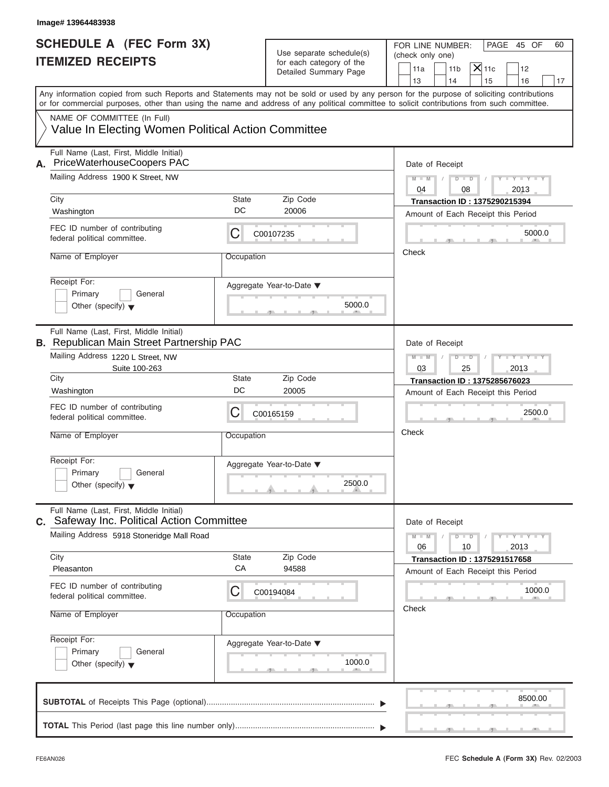| Image# 13964483938                                                                                                                                                                                                                                                                      |             |                                                      |                                             |                 |                                                                            |                             |    |
|-----------------------------------------------------------------------------------------------------------------------------------------------------------------------------------------------------------------------------------------------------------------------------------------|-------------|------------------------------------------------------|---------------------------------------------|-----------------|----------------------------------------------------------------------------|-----------------------------|----|
| <b>SCHEDULE A (FEC Form 3X)</b><br><b>ITEMIZED RECEIPTS</b>                                                                                                                                                                                                                             |             | Use separate schedule(s)<br>for each category of the | FOR LINE NUMBER:<br>(check only one)<br>11a | 11 <sub>b</sub> | $X$ 11c                                                                    | PAGE 45 OF<br>12            | 60 |
|                                                                                                                                                                                                                                                                                         |             | Detailed Summary Page                                | 13                                          | 14              | 15                                                                         | 16                          | 17 |
| Any information copied from such Reports and Statements may not be sold or used by any person for the purpose of soliciting contributions<br>or for commercial purposes, other than using the name and address of any political committee to solicit contributions from such committee. |             |                                                      |                                             |                 |                                                                            |                             |    |
| NAME OF COMMITTEE (In Full)<br>Value In Electing Women Political Action Committee                                                                                                                                                                                                       |             |                                                      |                                             |                 |                                                                            |                             |    |
| Full Name (Last, First, Middle Initial)<br>PriceWaterhouseCoopers PAC<br>А.                                                                                                                                                                                                             |             |                                                      |                                             | Date of Receipt |                                                                            |                             |    |
| Mailing Address 1900 K Street, NW                                                                                                                                                                                                                                                       |             |                                                      | $M - M$<br>04                               | $D$ $D$<br>08   | $\sqrt{ }$                                                                 | $Y - Y - Y - Y - Y$<br>2013 |    |
| City<br>Washington                                                                                                                                                                                                                                                                      | State<br>DC | Zip Code<br>20006                                    |                                             |                 | <b>Transaction ID: 1375290215394</b><br>Amount of Each Receipt this Period |                             |    |
| FEC ID number of contributing<br>federal political committee.                                                                                                                                                                                                                           | С           | C00107235                                            |                                             |                 |                                                                            | 5000.0                      |    |
| Name of Employer                                                                                                                                                                                                                                                                        | Occupation  |                                                      | Check                                       |                 |                                                                            |                             |    |
| Receipt For:<br>Primary<br>General<br>Other (specify) $\blacktriangledown$                                                                                                                                                                                                              |             | Aggregate Year-to-Date ▼<br>5000.0                   |                                             |                 |                                                                            |                             |    |
| Full Name (Last, First, Middle Initial)<br><b>B.</b> Republican Main Street Partnership PAC                                                                                                                                                                                             |             |                                                      |                                             | Date of Receipt |                                                                            |                             |    |
| Mailing Address 1220 L Street, NW<br>Suite 100-263                                                                                                                                                                                                                                      |             |                                                      | $M - M$<br>03                               | $D - I$<br>25   |                                                                            | $Y - Y - Y - Y - Y$<br>2013 |    |
| City                                                                                                                                                                                                                                                                                    | State       | Zip Code                                             |                                             |                 | Transaction ID: 1375285676023                                              |                             |    |
| Washington                                                                                                                                                                                                                                                                              | DC          | 20005                                                |                                             |                 | Amount of Each Receipt this Period                                         |                             |    |
| FEC ID number of contributing<br>federal political committee.                                                                                                                                                                                                                           | С           | C00165159                                            |                                             |                 |                                                                            | 2500.0                      |    |
| Name of Employer                                                                                                                                                                                                                                                                        | Occupation  |                                                      | Check                                       |                 |                                                                            |                             |    |
| Receipt For:<br>Primary<br>General<br>Other (specify) $\blacktriangledown$                                                                                                                                                                                                              |             | Aggregate Year-to-Date ▼<br>2500.0                   |                                             |                 |                                                                            |                             |    |
| Full Name (Last, First, Middle Initial)<br>C. Safeway Inc. Political Action Committee                                                                                                                                                                                                   |             |                                                      |                                             | Date of Receipt |                                                                            |                             |    |
| Mailing Address 5918 Stoneridge Mall Road                                                                                                                                                                                                                                               |             |                                                      | $M - M$<br>06                               | $D$ $\Box$ $D$  | 10                                                                         | $Y - Y - Y - Y - I$<br>2013 |    |
| City<br>Pleasanton                                                                                                                                                                                                                                                                      | State<br>CA | Zip Code<br>94588                                    |                                             |                 | <b>Transaction ID: 1375291517658</b><br>Amount of Each Receipt this Period |                             |    |
| FEC ID number of contributing<br>federal political committee.                                                                                                                                                                                                                           | С           | C00194084                                            |                                             |                 |                                                                            | 1000.0                      |    |
| Name of Employer                                                                                                                                                                                                                                                                        | Occupation  |                                                      | Check                                       |                 |                                                                            |                             |    |
| Receipt For:<br>Primary<br>General<br>Other (specify) $\blacktriangledown$                                                                                                                                                                                                              |             | Aggregate Year-to-Date ▼<br>1000.0                   |                                             |                 |                                                                            |                             |    |
|                                                                                                                                                                                                                                                                                         |             |                                                      |                                             |                 |                                                                            | 8500.00                     |    |
|                                                                                                                                                                                                                                                                                         |             |                                                      |                                             |                 |                                                                            |                             |    |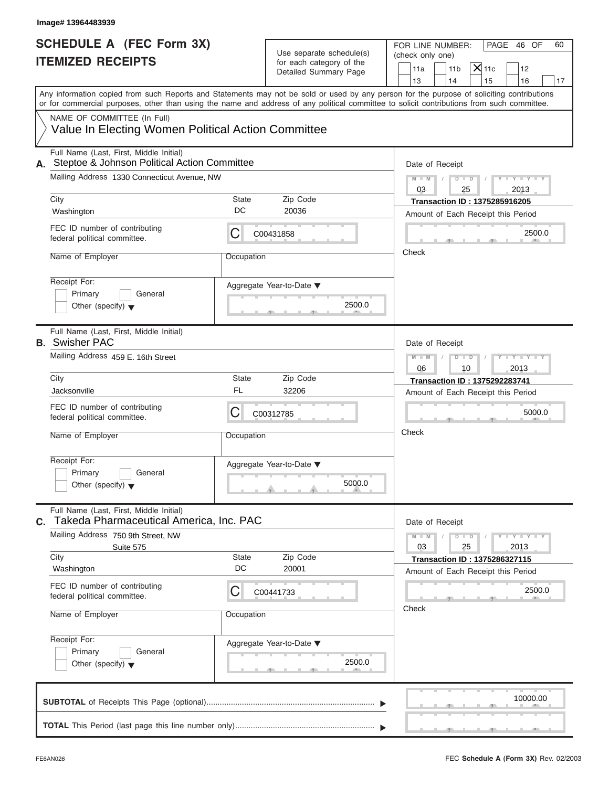| <b>SCHEDULE A (FEC Form 3X)</b>                                                            |             |                                                   | FOR LINE NUMBER:<br>PAGE 46 OF<br>60                                                                                                                                                                                                                                                    |  |  |  |
|--------------------------------------------------------------------------------------------|-------------|---------------------------------------------------|-----------------------------------------------------------------------------------------------------------------------------------------------------------------------------------------------------------------------------------------------------------------------------------------|--|--|--|
| <b>ITEMIZED RECEIPTS</b>                                                                   |             | Use separate schedule(s)                          | (check only one)                                                                                                                                                                                                                                                                        |  |  |  |
|                                                                                            |             | for each category of the<br>Detailed Summary Page | $ \mathsf{X} $ 11c<br>11a<br>11 <sub>b</sub><br>12                                                                                                                                                                                                                                      |  |  |  |
|                                                                                            |             |                                                   | 13<br>14<br>15<br>16                                                                                                                                                                                                                                                                    |  |  |  |
|                                                                                            |             |                                                   | Any information copied from such Reports and Statements may not be sold or used by any person for the purpose of soliciting contributions<br>or for commercial purposes, other than using the name and address of any political committee to solicit contributions from such committee. |  |  |  |
| NAME OF COMMITTEE (In Full)<br>Value In Electing Women Political Action Committee          |             |                                                   |                                                                                                                                                                                                                                                                                         |  |  |  |
| Full Name (Last, First, Middle Initial)<br>A. Steptoe & Johnson Political Action Committee |             |                                                   | Date of Receipt                                                                                                                                                                                                                                                                         |  |  |  |
| Mailing Address 1330 Connecticut Avenue, NW                                                |             |                                                   | $D$ $\Box$ $D$<br>$Y - Y - Y - Y - Y$<br>$M - M$<br>$\sqrt{2}$<br>$\sqrt{2}$<br>03<br>2013<br>25                                                                                                                                                                                        |  |  |  |
| City                                                                                       | State       | Zip Code                                          | <b>Transaction ID: 1375285916205</b>                                                                                                                                                                                                                                                    |  |  |  |
| Washington                                                                                 | DC          | 20036                                             | Amount of Each Receipt this Period                                                                                                                                                                                                                                                      |  |  |  |
| FEC ID number of contributing<br>federal political committee.                              | С           | C00431858                                         | 2500.0                                                                                                                                                                                                                                                                                  |  |  |  |
| Name of Employer                                                                           | Occupation  |                                                   | Check                                                                                                                                                                                                                                                                                   |  |  |  |
| Receipt For:                                                                               |             | Aggregate Year-to-Date ▼                          |                                                                                                                                                                                                                                                                                         |  |  |  |
| Primary<br>General                                                                         |             |                                                   |                                                                                                                                                                                                                                                                                         |  |  |  |
| Other (specify) $\blacktriangledown$                                                       |             | 2500.0                                            |                                                                                                                                                                                                                                                                                         |  |  |  |
| Full Name (Last, First, Middle Initial)<br><b>B.</b> Swisher PAC                           |             |                                                   | Date of Receipt                                                                                                                                                                                                                                                                         |  |  |  |
| Mailing Address 459 E. 16th Street                                                         |             |                                                   | $Y = Y = Y' - Y'$<br>$M - M$<br>$D - D$                                                                                                                                                                                                                                                 |  |  |  |
| City                                                                                       | State       | Zip Code                                          | 06<br>10<br>2013<br><b>Transaction ID: 1375292283741</b>                                                                                                                                                                                                                                |  |  |  |
| Jacksonville                                                                               | FL          | 32206                                             | Amount of Each Receipt this Period                                                                                                                                                                                                                                                      |  |  |  |
| FEC ID number of contributing<br>federal political committee.                              | С           | C00312785                                         | 5000.0                                                                                                                                                                                                                                                                                  |  |  |  |
| Name of Employer                                                                           | Occupation  |                                                   | Check                                                                                                                                                                                                                                                                                   |  |  |  |
|                                                                                            |             |                                                   |                                                                                                                                                                                                                                                                                         |  |  |  |
| Receipt For:                                                                               |             | Aggregate Year-to-Date ▼                          |                                                                                                                                                                                                                                                                                         |  |  |  |
| Primary<br>General<br>Other (specify) $\blacktriangledown$                                 |             | 5000.0                                            |                                                                                                                                                                                                                                                                                         |  |  |  |
| Full Name (Last, First, Middle Initial)<br>Takeda Pharmaceutical America, Inc. PAC         |             |                                                   | Date of Receipt                                                                                                                                                                                                                                                                         |  |  |  |
| Mailing Address 750 9th Street, NW                                                         |             |                                                   | $M - M$<br>$D$ $\Box$ $D$<br>$-\gamma$ - $-\gamma$ -                                                                                                                                                                                                                                    |  |  |  |
| Suite 575                                                                                  |             |                                                   | 03<br>25<br>2013                                                                                                                                                                                                                                                                        |  |  |  |
| City<br>Washington                                                                         | State<br>DC | Zip Code<br>20001                                 | <b>Transaction ID: 1375286327115</b>                                                                                                                                                                                                                                                    |  |  |  |
| FEC ID number of contributing                                                              | С           | C00441733                                         | Amount of Each Receipt this Period<br>2500.0                                                                                                                                                                                                                                            |  |  |  |
| federal political committee.                                                               |             |                                                   | Check                                                                                                                                                                                                                                                                                   |  |  |  |
| Name of Employer                                                                           | Occupation  |                                                   |                                                                                                                                                                                                                                                                                         |  |  |  |
| Receipt For:                                                                               |             | Aggregate Year-to-Date ▼                          |                                                                                                                                                                                                                                                                                         |  |  |  |
| Primary<br>General<br>Other (specify) $\blacktriangledown$                                 |             | 2500.0                                            |                                                                                                                                                                                                                                                                                         |  |  |  |
|                                                                                            |             |                                                   | 10000.00                                                                                                                                                                                                                                                                                |  |  |  |
|                                                                                            |             |                                                   |                                                                                                                                                                                                                                                                                         |  |  |  |
|                                                                                            |             |                                                   |                                                                                                                                                                                                                                                                                         |  |  |  |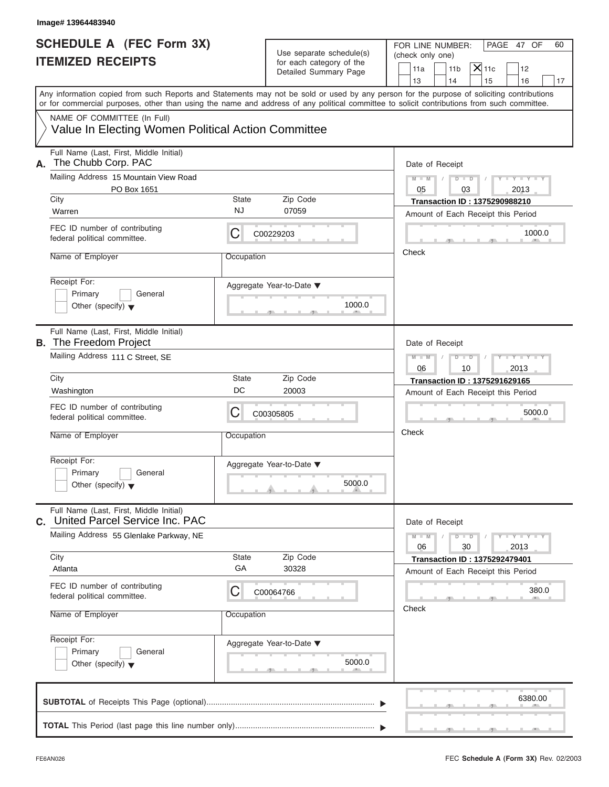| Image# 13964483940                                                                                                                                                                                                                                                                      |              |                                                                               |                                                                                                                                   |
|-----------------------------------------------------------------------------------------------------------------------------------------------------------------------------------------------------------------------------------------------------------------------------------------|--------------|-------------------------------------------------------------------------------|-----------------------------------------------------------------------------------------------------------------------------------|
| <b>SCHEDULE A (FEC Form 3X)</b><br><b>ITEMIZED RECEIPTS</b>                                                                                                                                                                                                                             |              | Use separate schedule(s)<br>for each category of the<br>Detailed Summary Page | FOR LINE NUMBER:<br>PAGE 47 OF<br>60<br>(check only one)<br>$X$ 11c<br>11 <sub>b</sub><br>12<br>11a<br>13<br>14<br>15<br>16<br>17 |
| Any information copied from such Reports and Statements may not be sold or used by any person for the purpose of soliciting contributions<br>or for commercial purposes, other than using the name and address of any political committee to solicit contributions from such committee. |              |                                                                               |                                                                                                                                   |
| NAME OF COMMITTEE (In Full)<br>Value In Electing Women Political Action Committee                                                                                                                                                                                                       |              |                                                                               |                                                                                                                                   |
| Full Name (Last, First, Middle Initial)<br>The Chubb Corp. PAC<br>А.                                                                                                                                                                                                                    |              |                                                                               | Date of Receipt                                                                                                                   |
| Mailing Address 15 Mountain View Road<br>PO Box 1651                                                                                                                                                                                                                                    |              |                                                                               | $Y - Y - Y - Y - Y$<br>$M - M$<br>$D$ $D$<br>2013<br>05<br>03                                                                     |
| City                                                                                                                                                                                                                                                                                    | <b>State</b> | Zip Code                                                                      | <b>Transaction ID: 1375290988210</b>                                                                                              |
| Warren                                                                                                                                                                                                                                                                                  | NJ           | 07059                                                                         | Amount of Each Receipt this Period                                                                                                |
| FEC ID number of contributing<br>federal political committee.                                                                                                                                                                                                                           | С            | C00229203                                                                     | 1000.0                                                                                                                            |
| Name of Employer                                                                                                                                                                                                                                                                        | Occupation   |                                                                               | Check                                                                                                                             |
| Receipt For:<br>Primary<br>General<br>Other (specify) $\blacktriangledown$                                                                                                                                                                                                              |              | Aggregate Year-to-Date ▼<br>1000.0                                            |                                                                                                                                   |
| Full Name (Last, First, Middle Initial)<br><b>B.</b> The Freedom Project                                                                                                                                                                                                                |              |                                                                               | Date of Receipt                                                                                                                   |
| Mailing Address 111 C Street, SE                                                                                                                                                                                                                                                        |              |                                                                               | $D - I$<br>Y T Y T Y T<br>$M - M$<br>2013<br>06<br>10                                                                             |
| City                                                                                                                                                                                                                                                                                    | State        | Zip Code                                                                      | <b>Transaction ID: 1375291629165</b>                                                                                              |
| Washington                                                                                                                                                                                                                                                                              | DC           | 20003                                                                         | Amount of Each Receipt this Period                                                                                                |
| FEC ID number of contributing<br>federal political committee.                                                                                                                                                                                                                           | С            | C00305805                                                                     | 5000.0                                                                                                                            |
| Name of Employer                                                                                                                                                                                                                                                                        | Occupation   |                                                                               | Check                                                                                                                             |
| Receipt For:<br>Primary<br>General<br>Other (specify) $\blacktriangledown$                                                                                                                                                                                                              |              | Aggregate Year-to-Date ▼<br>5000.0                                            |                                                                                                                                   |
| Full Name (Last, First, Middle Initial)<br>United Parcel Service Inc. PAC<br>C.                                                                                                                                                                                                         |              |                                                                               | Date of Receipt                                                                                                                   |
| Mailing Address 55 Glenlake Parkway, NE                                                                                                                                                                                                                                                 |              |                                                                               | $M - M$<br>$D$ $\Box$ $D$<br>$Y + Y + Y + Y$<br>06<br>30<br>2013                                                                  |
| City                                                                                                                                                                                                                                                                                    | State        | Zip Code                                                                      | <b>Transaction ID: 1375292479401</b>                                                                                              |
| Atlanta                                                                                                                                                                                                                                                                                 | GА           | 30328                                                                         | Amount of Each Receipt this Period                                                                                                |
| FEC ID number of contributing<br>federal political committee.                                                                                                                                                                                                                           | С            | C00064766                                                                     | 380.0                                                                                                                             |
| Name of Employer                                                                                                                                                                                                                                                                        | Occupation   |                                                                               | Check                                                                                                                             |
| Receipt For:<br>Primary<br>General<br>Other (specify) $\blacktriangledown$                                                                                                                                                                                                              |              | Aggregate Year-to-Date ▼<br>5000.0                                            |                                                                                                                                   |
|                                                                                                                                                                                                                                                                                         |              |                                                                               | 6380.00                                                                                                                           |
|                                                                                                                                                                                                                                                                                         |              |                                                                               |                                                                                                                                   |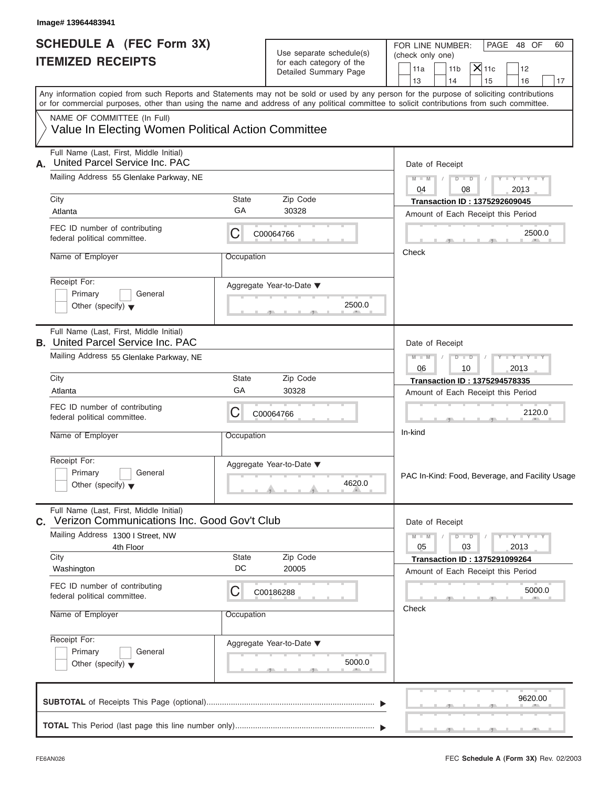| Image# 13964483941                                                                           |            |                                                      |                                                                                                                                                                                                                                                                                         |
|----------------------------------------------------------------------------------------------|------------|------------------------------------------------------|-----------------------------------------------------------------------------------------------------------------------------------------------------------------------------------------------------------------------------------------------------------------------------------------|
| <b>SCHEDULE A (FEC Form 3X)</b><br><b>ITEMIZED RECEIPTS</b>                                  |            | Use separate schedule(s)<br>for each category of the | FOR LINE NUMBER:<br>PAGE 48 OF<br>60<br>(check only one)<br>$X$ 11c<br>11a<br>11 <sub>b</sub><br>12                                                                                                                                                                                     |
|                                                                                              |            | Detailed Summary Page                                | 13<br>14<br>15<br>16<br>17                                                                                                                                                                                                                                                              |
|                                                                                              |            |                                                      | Any information copied from such Reports and Statements may not be sold or used by any person for the purpose of soliciting contributions<br>or for commercial purposes, other than using the name and address of any political committee to solicit contributions from such committee. |
| NAME OF COMMITTEE (In Full)                                                                  |            |                                                      |                                                                                                                                                                                                                                                                                         |
| Value In Electing Women Political Action Committee                                           |            |                                                      |                                                                                                                                                                                                                                                                                         |
| Full Name (Last, First, Middle Initial)<br>United Parcel Service Inc. PAC<br>А.              |            |                                                      | Date of Receipt                                                                                                                                                                                                                                                                         |
| Mailing Address 55 Glenlake Parkway, NE                                                      |            |                                                      | $Y - Y - Y - Y - Y$<br>$M - M$ /<br>$\begin{array}{c c c c c c} \hline \multicolumn{3}{ c }{\textbf{D} \textbf{I} \textbf{I} \textbf{D} \textbf{I}} & \textbf{1} \end{array}$<br>04<br>2013<br>08                                                                                       |
| City                                                                                         | State      | Zip Code                                             | <b>Transaction ID: 1375292609045</b>                                                                                                                                                                                                                                                    |
| Atlanta                                                                                      | GA         | 30328                                                | Amount of Each Receipt this Period                                                                                                                                                                                                                                                      |
| FEC ID number of contributing<br>federal political committee.                                | С          | C00064766                                            | 2500.0                                                                                                                                                                                                                                                                                  |
| Name of Employer                                                                             | Occupation |                                                      | Check                                                                                                                                                                                                                                                                                   |
| Receipt For:<br>Primary<br>General                                                           |            | Aggregate Year-to-Date ▼                             |                                                                                                                                                                                                                                                                                         |
| Other (specify) $\blacktriangledown$                                                         |            | 2500.0                                               |                                                                                                                                                                                                                                                                                         |
| Full Name (Last, First, Middle Initial)<br><b>B.</b> United Parcel Service Inc. PAC          |            |                                                      | Date of Receipt                                                                                                                                                                                                                                                                         |
| Mailing Address 55 Glenlake Parkway, NE                                                      |            |                                                      | $Y = Y = Y' - Y'$<br>$M - M$<br>$D$ $D$<br>$\sqrt{ }$<br>06<br>10<br>2013                                                                                                                                                                                                               |
| City                                                                                         | State      | Zip Code                                             | <b>Transaction ID: 1375294578335</b>                                                                                                                                                                                                                                                    |
| Atlanta                                                                                      | GA         | 30328                                                | Amount of Each Receipt this Period                                                                                                                                                                                                                                                      |
| FEC ID number of contributing<br>federal political committee.                                | С          | C00064766                                            | 2120.0                                                                                                                                                                                                                                                                                  |
| Name of Employer                                                                             | Occupation |                                                      | In-kind                                                                                                                                                                                                                                                                                 |
| Receipt For:                                                                                 |            | Aggregate Year-to-Date ▼                             |                                                                                                                                                                                                                                                                                         |
| Primary<br>General<br>Other (specify) $\blacktriangledown$                                   |            | 4620.0                                               | PAC In-Kind: Food, Beverage, and Facility Usage                                                                                                                                                                                                                                         |
| Full Name (Last, First, Middle Initial)<br>Verizon Communications Inc. Good Gov't Club<br>C. |            |                                                      | Date of Receipt                                                                                                                                                                                                                                                                         |
| Mailing Address 1300 I Street, NW<br>4th Floor                                               |            |                                                      | $M - M$<br>$\mathbf{I} = \mathbf{Y} - \mathbf{I} - \mathbf{Y} - \mathbf{I}$<br>$D$ $D$<br>05<br>03<br>2013                                                                                                                                                                              |
| City                                                                                         | State      | Zip Code                                             | <b>Transaction ID: 1375291099264</b>                                                                                                                                                                                                                                                    |
| Washington                                                                                   | DC         | 20005                                                | Amount of Each Receipt this Period                                                                                                                                                                                                                                                      |
| FEC ID number of contributing<br>federal political committee.                                | С          | C00186288                                            | 5000.0                                                                                                                                                                                                                                                                                  |
| Name of Employer                                                                             | Occupation |                                                      | Check                                                                                                                                                                                                                                                                                   |
| Receipt For:                                                                                 |            | Aggregate Year-to-Date ▼                             |                                                                                                                                                                                                                                                                                         |
| Primary<br>General<br>Other (specify) $\blacktriangledown$                                   |            | 5000.0                                               |                                                                                                                                                                                                                                                                                         |
|                                                                                              |            |                                                      | 9620.00                                                                                                                                                                                                                                                                                 |
|                                                                                              |            |                                                      |                                                                                                                                                                                                                                                                                         |
|                                                                                              |            |                                                      |                                                                                                                                                                                                                                                                                         |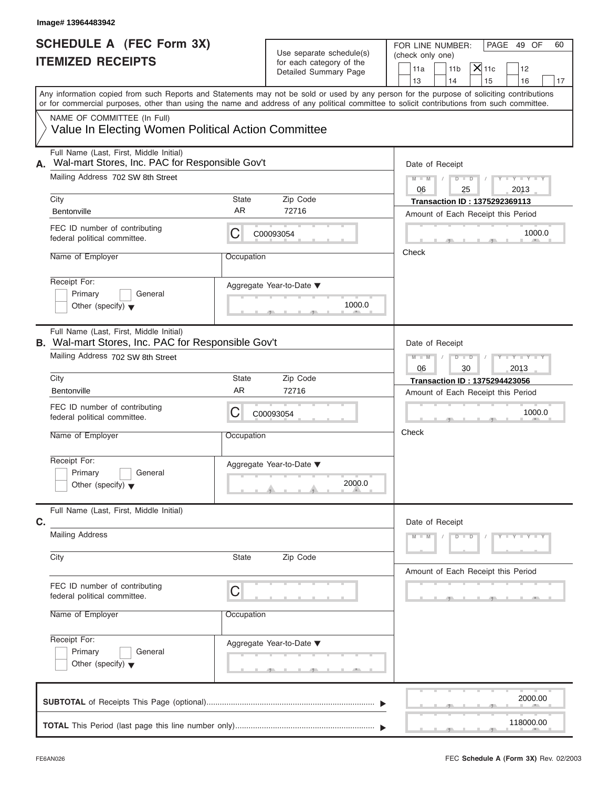| Image# 13964483942                                                                               |                    |                                                                               |                                                                                                                                                                                                                                                                                         |
|--------------------------------------------------------------------------------------------------|--------------------|-------------------------------------------------------------------------------|-----------------------------------------------------------------------------------------------------------------------------------------------------------------------------------------------------------------------------------------------------------------------------------------|
| <b>SCHEDULE A (FEC Form 3X)</b><br><b>ITEMIZED RECEIPTS</b>                                      |                    | Use separate schedule(s)<br>for each category of the<br>Detailed Summary Page | FOR LINE NUMBER:<br>PAGE 49 OF<br>60<br>(check only one)<br>$ \mathsf{X} $ 11c<br>11 <sub>b</sub><br>11a<br>12<br>13<br>14<br>15<br>16<br>17                                                                                                                                            |
|                                                                                                  |                    |                                                                               | Any information copied from such Reports and Statements may not be sold or used by any person for the purpose of soliciting contributions<br>or for commercial purposes, other than using the name and address of any political committee to solicit contributions from such committee. |
| NAME OF COMMITTEE (In Full)<br>Value In Electing Women Political Action Committee                |                    |                                                                               |                                                                                                                                                                                                                                                                                         |
| Full Name (Last, First, Middle Initial)<br>Wal-mart Stores, Inc. PAC for Responsible Gov't<br>А. |                    |                                                                               | Date of Receipt                                                                                                                                                                                                                                                                         |
| Mailing Address 702 SW 8th Street<br>City                                                        | State              | Zip Code                                                                      | $M - M$<br>$D$ $D$<br>$Y - Y - Y - Y - Y$<br>2013<br>06<br>25                                                                                                                                                                                                                           |
| Bentonville                                                                                      | AR                 | 72716                                                                         | Transaction ID: 1375292369113<br>Amount of Each Receipt this Period                                                                                                                                                                                                                     |
| FEC ID number of contributing<br>federal political committee.                                    | С                  | C00093054                                                                     | 1000.0                                                                                                                                                                                                                                                                                  |
| Name of Employer                                                                                 | Occupation         |                                                                               | Check                                                                                                                                                                                                                                                                                   |
| Receipt For:<br>Primary<br>General<br>Other (specify) $\blacktriangledown$                       |                    | Aggregate Year-to-Date ▼<br>1000.0                                            |                                                                                                                                                                                                                                                                                         |
| Full Name (Last, First, Middle Initial)<br>B. Wal-mart Stores, Inc. PAC for Responsible Gov't    |                    |                                                                               | Date of Receipt                                                                                                                                                                                                                                                                         |
| Mailing Address 702 SW 8th Street                                                                |                    |                                                                               | Y TYTTYTTY<br>$M - M$<br>$D$ $\Box$ $D$<br>06<br>30<br>2013                                                                                                                                                                                                                             |
| City                                                                                             | State<br><b>AR</b> | Zip Code                                                                      | <b>Transaction ID: 1375294423056</b>                                                                                                                                                                                                                                                    |
| Bentonville                                                                                      |                    | 72716                                                                         | Amount of Each Receipt this Period                                                                                                                                                                                                                                                      |
| FEC ID number of contributing<br>federal political committee.                                    | С                  | C00093054                                                                     | 1000.0                                                                                                                                                                                                                                                                                  |
| Name of Employer                                                                                 | Occupation         |                                                                               | Check                                                                                                                                                                                                                                                                                   |
| Receipt For:<br>Primary<br>General<br>Other (specify) $\blacktriangledown$                       |                    | Aggregate Year-to-Date ▼<br>2000.0                                            |                                                                                                                                                                                                                                                                                         |
| Full Name (Last, First, Middle Initial)<br>C.                                                    |                    |                                                                               | Date of Receipt                                                                                                                                                                                                                                                                         |
| <b>Mailing Address</b>                                                                           |                    |                                                                               | $M - M$<br>$D$ $\Box$ $D$<br>$Y - Y - Y - Y$                                                                                                                                                                                                                                            |
| City                                                                                             | State              | Zip Code                                                                      | Amount of Each Receipt this Period                                                                                                                                                                                                                                                      |
| FEC ID number of contributing<br>federal political committee.                                    | С                  |                                                                               |                                                                                                                                                                                                                                                                                         |
| Name of Employer                                                                                 | Occupation         |                                                                               |                                                                                                                                                                                                                                                                                         |
| Receipt For:<br>Primary<br>General<br>Other (specify) $\blacktriangledown$                       |                    | Aggregate Year-to-Date ▼                                                      |                                                                                                                                                                                                                                                                                         |
|                                                                                                  |                    |                                                                               | 2000.00                                                                                                                                                                                                                                                                                 |
|                                                                                                  |                    |                                                                               | 118000.00                                                                                                                                                                                                                                                                               |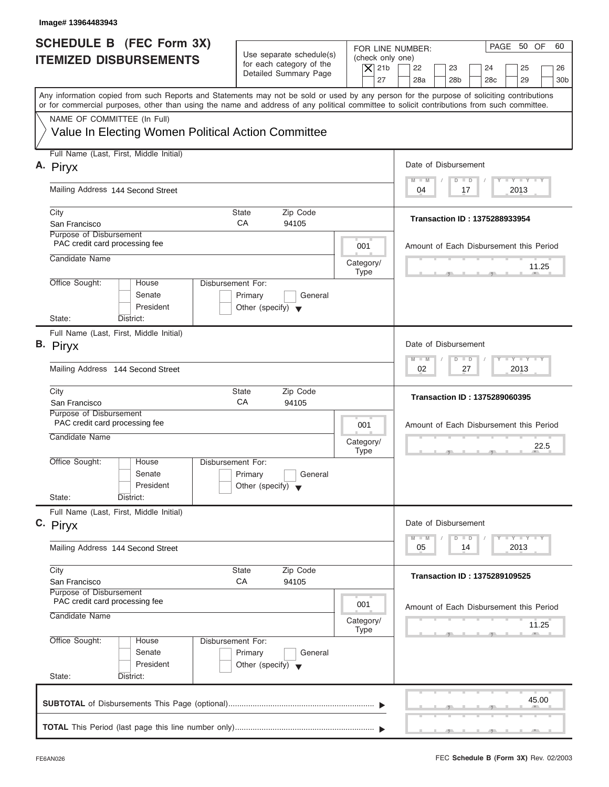| Image# 13964483943                                                                                                                                                                                                                                                                      |                                                            |                          |                                                                                                  |
|-----------------------------------------------------------------------------------------------------------------------------------------------------------------------------------------------------------------------------------------------------------------------------------------|------------------------------------------------------------|--------------------------|--------------------------------------------------------------------------------------------------|
| SCHEDULE B (FEC Form 3X)<br><b>ITEMIZED DISBURSEMENTS</b>                                                                                                                                                                                                                               | Use separate schedule(s)                                   | (check only one)         | PAGE 50 OF<br>60<br>FOR LINE NUMBER:                                                             |
|                                                                                                                                                                                                                                                                                         | for each category of the<br>Detailed Summary Page          | $ \mathsf{X} $ 21b<br>27 | 22<br>23<br>24<br>25<br>26<br>28a<br>28 <sub>b</sub><br>28 <sub>c</sub><br>29<br>30 <sub>b</sub> |
| Any information copied from such Reports and Statements may not be sold or used by any person for the purpose of soliciting contributions<br>or for commercial purposes, other than using the name and address of any political committee to solicit contributions from such committee. |                                                            |                          |                                                                                                  |
| NAME OF COMMITTEE (In Full)<br>Value In Electing Women Political Action Committee                                                                                                                                                                                                       |                                                            |                          |                                                                                                  |
| Full Name (Last, First, Middle Initial)                                                                                                                                                                                                                                                 |                                                            |                          |                                                                                                  |
| A. Piryx                                                                                                                                                                                                                                                                                |                                                            |                          | Date of Disbursement<br>$T - Y = T - Y = T - Y$<br>$M - M$<br>$D$ $D$                            |
| Mailing Address 144 Second Street                                                                                                                                                                                                                                                       |                                                            |                          | 2013<br>04<br>17                                                                                 |
| City<br>San Francisco                                                                                                                                                                                                                                                                   | <b>State</b><br>Zip Code<br>CA<br>94105                    |                          | Transaction ID: 1375288933954                                                                    |
| Purpose of Disbursement<br>PAC credit card processing fee                                                                                                                                                                                                                               |                                                            | 001                      | Amount of Each Disbursement this Period                                                          |
| Candidate Name                                                                                                                                                                                                                                                                          |                                                            | Category/<br><b>Type</b> | 11.25                                                                                            |
| Office Sought:<br>Disbursement For:<br>House<br>Senate<br>President                                                                                                                                                                                                                     | Primary<br>General<br>Other (specify) $\blacktriangledown$ |                          |                                                                                                  |
| State:<br>District:                                                                                                                                                                                                                                                                     |                                                            |                          |                                                                                                  |
| Full Name (Last, First, Middle Initial)<br>B. Piryx                                                                                                                                                                                                                                     |                                                            |                          | Date of Disbursement                                                                             |
| Mailing Address 144 Second Street                                                                                                                                                                                                                                                       |                                                            |                          | $-1 - Y - 1 - Y - 1 - Y$<br>$M - M$<br>$D$ $D$<br>2013<br>02<br>27                               |
| City<br>San Francisco                                                                                                                                                                                                                                                                   | Zip Code<br><b>State</b><br>CA<br>94105                    |                          | <b>Transaction ID: 1375289060395</b>                                                             |
| Purpose of Disbursement<br>PAC credit card processing fee                                                                                                                                                                                                                               |                                                            | 001                      | Amount of Each Disbursement this Period                                                          |
| Candidate Name                                                                                                                                                                                                                                                                          |                                                            | Category/<br><b>Type</b> | 22.5<br>$-7$<br>$\overline{2}$                                                                   |
| Office Sought:<br>House<br>Disbursement For:<br>Senate<br>President                                                                                                                                                                                                                     | Primary<br>General<br>Other (specify) $\blacktriangledown$ |                          |                                                                                                  |
| State:<br>District:                                                                                                                                                                                                                                                                     |                                                            |                          |                                                                                                  |
| Full Name (Last, First, Middle Initial)<br>C. Piryx                                                                                                                                                                                                                                     |                                                            |                          | Date of Disbursement                                                                             |
| Mailing Address 144 Second Street                                                                                                                                                                                                                                                       |                                                            |                          | $T - Y$ $T - Y$ $T - Y$<br>$M - M$<br>D<br>$\Box$<br>2013<br>05<br>14                            |
| City<br>San Francisco                                                                                                                                                                                                                                                                   | <b>State</b><br>Zip Code<br>СA<br>94105                    |                          | <b>Transaction ID: 1375289109525</b>                                                             |
| Purpose of Disbursement<br>PAC credit card processing fee                                                                                                                                                                                                                               |                                                            | 001                      |                                                                                                  |
| Candidate Name                                                                                                                                                                                                                                                                          |                                                            | Category/<br><b>Type</b> | Amount of Each Disbursement this Period<br>11.25                                                 |
| Office Sought:<br>Disbursement For:<br>House<br>Senate<br>President                                                                                                                                                                                                                     | Primary<br>General<br>Other (specify) $\blacktriangledown$ |                          |                                                                                                  |
| State:<br>District:                                                                                                                                                                                                                                                                     |                                                            |                          |                                                                                                  |
|                                                                                                                                                                                                                                                                                         |                                                            |                          | 45.00                                                                                            |
|                                                                                                                                                                                                                                                                                         |                                                            |                          |                                                                                                  |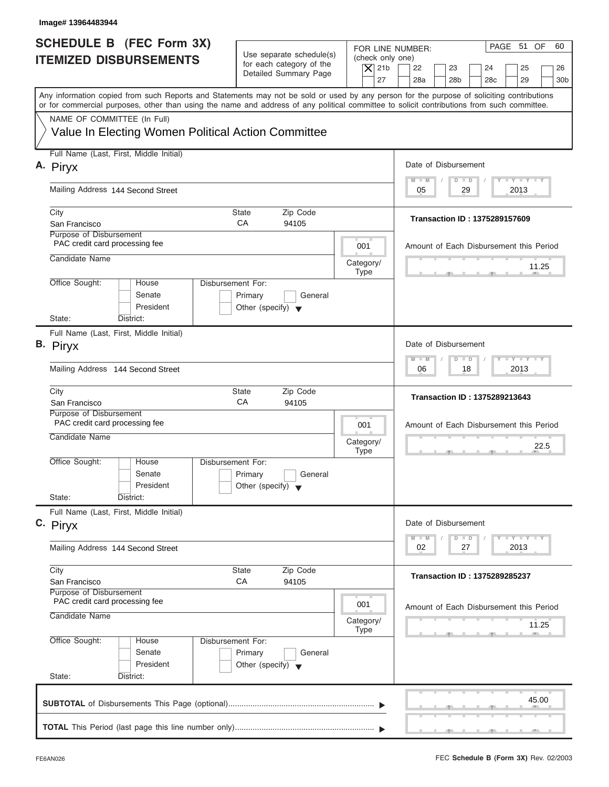| Image# 13964483944                                                                                                                                                                                                                                                                                                     |                                                                                                                               |                                                                                                                                          |
|------------------------------------------------------------------------------------------------------------------------------------------------------------------------------------------------------------------------------------------------------------------------------------------------------------------------|-------------------------------------------------------------------------------------------------------------------------------|------------------------------------------------------------------------------------------------------------------------------------------|
| SCHEDULE B (FEC Form 3X)<br><b>ITEMIZED DISBURSEMENTS</b>                                                                                                                                                                                                                                                              | Use separate schedule(s)<br>(check only one)<br>for each category of the<br>$\overline{X}$ 21b<br>Detailed Summary Page<br>27 | PAGE 51 OF<br>60<br>FOR LINE NUMBER:<br>22<br>23<br>24<br>25<br>26<br>28a<br>28 <sub>b</sub><br>29<br>28 <sub>c</sub><br>30 <sub>b</sub> |
| Any information copied from such Reports and Statements may not be sold or used by any person for the purpose of soliciting contributions<br>or for commercial purposes, other than using the name and address of any political committee to solicit contributions from such committee.<br>NAME OF COMMITTEE (In Full) |                                                                                                                               |                                                                                                                                          |
| Value In Electing Women Political Action Committee                                                                                                                                                                                                                                                                     |                                                                                                                               |                                                                                                                                          |
| Full Name (Last, First, Middle Initial)<br>A. Piryx                                                                                                                                                                                                                                                                    |                                                                                                                               | Date of Disbursement                                                                                                                     |
| Mailing Address 144 Second Street                                                                                                                                                                                                                                                                                      |                                                                                                                               | $T - Y = T - Y = T - Y$<br>$M - M$<br>$D$ $D$<br>29<br>2013<br>05                                                                        |
| City<br>San Francisco<br>Purpose of Disbursement                                                                                                                                                                                                                                                                       | State<br>Zip Code<br>CA<br>94105                                                                                              | Transaction ID: 1375289157609                                                                                                            |
| PAC credit card processing fee<br>Candidate Name                                                                                                                                                                                                                                                                       | 001                                                                                                                           | Amount of Each Disbursement this Period                                                                                                  |
| Office Sought:<br>Disbursement For:<br>House                                                                                                                                                                                                                                                                           | Category/<br><b>Type</b>                                                                                                      | 11.25                                                                                                                                    |
| Senate<br>President<br>State:<br>District:                                                                                                                                                                                                                                                                             | Primary<br>General<br>Other (specify) $\blacktriangledown$                                                                    |                                                                                                                                          |
| Full Name (Last, First, Middle Initial)<br>B. Piryx                                                                                                                                                                                                                                                                    |                                                                                                                               | Date of Disbursement                                                                                                                     |
| Mailing Address 144 Second Street                                                                                                                                                                                                                                                                                      |                                                                                                                               | <b>LEYTEY LEY</b><br>$M - M$<br>$D$ $D$<br>2013<br>06<br>18                                                                              |
| City<br>San Francisco                                                                                                                                                                                                                                                                                                  | Zip Code<br><b>State</b><br>CA<br>94105                                                                                       | <b>Transaction ID: 1375289213643</b>                                                                                                     |
| Purpose of Disbursement<br>PAC credit card processing fee<br>Candidate Name                                                                                                                                                                                                                                            | 001<br>Category/<br><b>Type</b>                                                                                               | Amount of Each Disbursement this Period<br>22.5<br>$-7$                                                                                  |
| Office Sought:<br>House<br>Disbursement For:<br>Senate<br>President                                                                                                                                                                                                                                                    | Primary<br>General<br>Other (specify) $\blacktriangledown$                                                                    |                                                                                                                                          |
| State:<br>District:<br>Full Name (Last, First, Middle Initial)                                                                                                                                                                                                                                                         |                                                                                                                               |                                                                                                                                          |
| C. Piryx<br>Mailing Address 144 Second Street                                                                                                                                                                                                                                                                          |                                                                                                                               | Date of Disbursement<br>$T - Y$ $T - Y$ $T - Y$<br>$M - M$<br>D<br>$\Box$<br>2013<br>02<br>27                                            |
| City                                                                                                                                                                                                                                                                                                                   | Zip Code<br>State                                                                                                             | <b>Transaction ID: 1375289285237</b>                                                                                                     |
| San Francisco<br>Purpose of Disbursement<br>PAC credit card processing fee                                                                                                                                                                                                                                             | СA<br>94105                                                                                                                   |                                                                                                                                          |
| Candidate Name                                                                                                                                                                                                                                                                                                         | 001<br>Category/<br><b>Type</b>                                                                                               | Amount of Each Disbursement this Period<br>11.25                                                                                         |
| Office Sought:<br>Disbursement For:<br>House<br>Senate<br>President<br>State:<br>District:                                                                                                                                                                                                                             | Primary<br>General<br>Other (specify) $\blacktriangledown$                                                                    |                                                                                                                                          |
|                                                                                                                                                                                                                                                                                                                        |                                                                                                                               | 45.00                                                                                                                                    |
|                                                                                                                                                                                                                                                                                                                        |                                                                                                                               |                                                                                                                                          |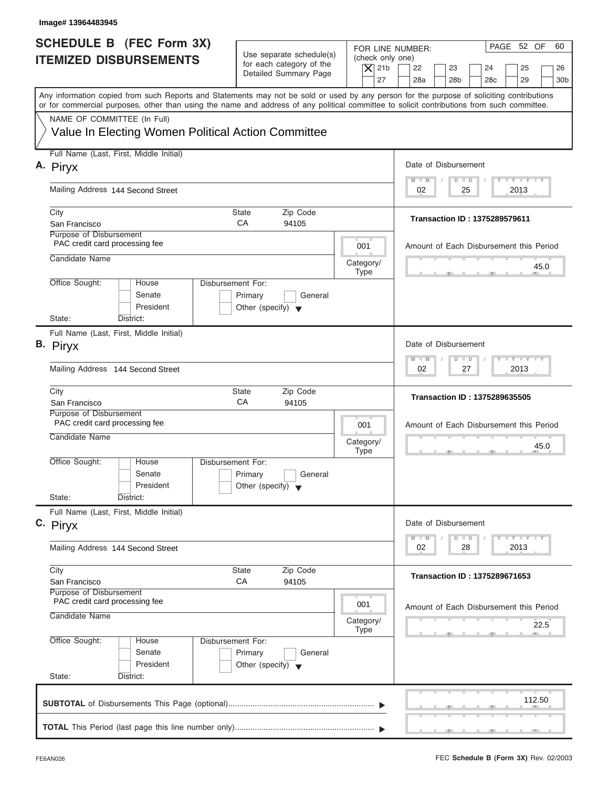| Image# 13964483945                                                                                                                                                                                                                                                                                                     |                                                                                                     |                                                                                                                                                                    |
|------------------------------------------------------------------------------------------------------------------------------------------------------------------------------------------------------------------------------------------------------------------------------------------------------------------------|-----------------------------------------------------------------------------------------------------|--------------------------------------------------------------------------------------------------------------------------------------------------------------------|
| SCHEDULE B (FEC Form 3X)<br><b>ITEMIZED DISBURSEMENTS</b>                                                                                                                                                                                                                                                              | Use separate schedule(s)<br>for each category of the<br>$\overline{X}$ 21b<br>Detailed Summary Page | PAGE 52 OF<br>60<br>FOR LINE NUMBER:<br>(check only one)<br>22<br>23<br>24<br>25<br>26<br>27<br>28a<br>28 <sub>b</sub><br>29<br>28 <sub>c</sub><br>30 <sub>b</sub> |
| Any information copied from such Reports and Statements may not be sold or used by any person for the purpose of soliciting contributions<br>or for commercial purposes, other than using the name and address of any political committee to solicit contributions from such committee.<br>NAME OF COMMITTEE (In Full) |                                                                                                     |                                                                                                                                                                    |
| Value In Electing Women Political Action Committee                                                                                                                                                                                                                                                                     |                                                                                                     |                                                                                                                                                                    |
| Full Name (Last, First, Middle Initial)<br>A. Piryx                                                                                                                                                                                                                                                                    |                                                                                                     | Date of Disbursement                                                                                                                                               |
| Mailing Address 144 Second Street                                                                                                                                                                                                                                                                                      |                                                                                                     | $T - Y = T - Y = T - Y$<br>$M - M$<br>$D$ $D$<br>2013<br>02<br>25                                                                                                  |
| City<br>San Francisco                                                                                                                                                                                                                                                                                                  | State<br>Zip Code<br>CA<br>94105                                                                    | Transaction ID: 1375289579611                                                                                                                                      |
| Purpose of Disbursement<br>PAC credit card processing fee                                                                                                                                                                                                                                                              | 001                                                                                                 | Amount of Each Disbursement this Period                                                                                                                            |
| Candidate Name                                                                                                                                                                                                                                                                                                         | Category/<br><b>Type</b>                                                                            | 45.0                                                                                                                                                               |
| Office Sought:<br>House<br>Senate<br>President                                                                                                                                                                                                                                                                         | Disbursement For:<br>Primary<br>General<br>Other (specify) $\blacktriangledown$                     |                                                                                                                                                                    |
| State:<br>District:<br>Full Name (Last, First, Middle Initial)                                                                                                                                                                                                                                                         |                                                                                                     |                                                                                                                                                                    |
| B. Piryx                                                                                                                                                                                                                                                                                                               |                                                                                                     | Date of Disbursement<br><b>LEYTEY LEY</b><br>$M - M$<br>$D$ $D$                                                                                                    |
| Mailing Address 144 Second Street                                                                                                                                                                                                                                                                                      |                                                                                                     | 2013<br>02<br>27                                                                                                                                                   |
| City<br>San Francisco                                                                                                                                                                                                                                                                                                  | Zip Code<br><b>State</b><br>CA<br>94105                                                             | <b>Transaction ID: 1375289635505</b>                                                                                                                               |
| Purpose of Disbursement<br>PAC credit card processing fee<br>Candidate Name                                                                                                                                                                                                                                            | 001<br>Category/                                                                                    | Amount of Each Disbursement this Period<br>45.0                                                                                                                    |
| Office Sought:<br>House<br>Senate<br>President                                                                                                                                                                                                                                                                         | <b>Type</b><br>Disbursement For:<br>Primary<br>General<br>Other (specify) $\blacktriangledown$      | $-7$                                                                                                                                                               |
| State:<br>District:<br>Full Name (Last, First, Middle Initial)                                                                                                                                                                                                                                                         |                                                                                                     |                                                                                                                                                                    |
| C. Piryx                                                                                                                                                                                                                                                                                                               |                                                                                                     | Date of Disbursement<br>$T - Y$ $T - Y$<br>$M - M$<br>D<br>$\Box$                                                                                                  |
| Mailing Address 144 Second Street                                                                                                                                                                                                                                                                                      |                                                                                                     | 2013<br>02<br>28                                                                                                                                                   |
| City<br>San Francisco<br>Purpose of Disbursement                                                                                                                                                                                                                                                                       | Zip Code<br>State<br>СA<br>94105                                                                    | <b>Transaction ID: 1375289671653</b>                                                                                                                               |
| PAC credit card processing fee<br>Candidate Name                                                                                                                                                                                                                                                                       | 001<br>Category/<br><b>Type</b>                                                                     | Amount of Each Disbursement this Period<br>22.5                                                                                                                    |
| Office Sought:<br>House<br>Senate<br>President<br>State:<br>District:                                                                                                                                                                                                                                                  | Disbursement For:<br>Primary<br>General<br>Other (specify) $\blacktriangledown$                     |                                                                                                                                                                    |
|                                                                                                                                                                                                                                                                                                                        |                                                                                                     | 112.50                                                                                                                                                             |
|                                                                                                                                                                                                                                                                                                                        |                                                                                                     |                                                                                                                                                                    |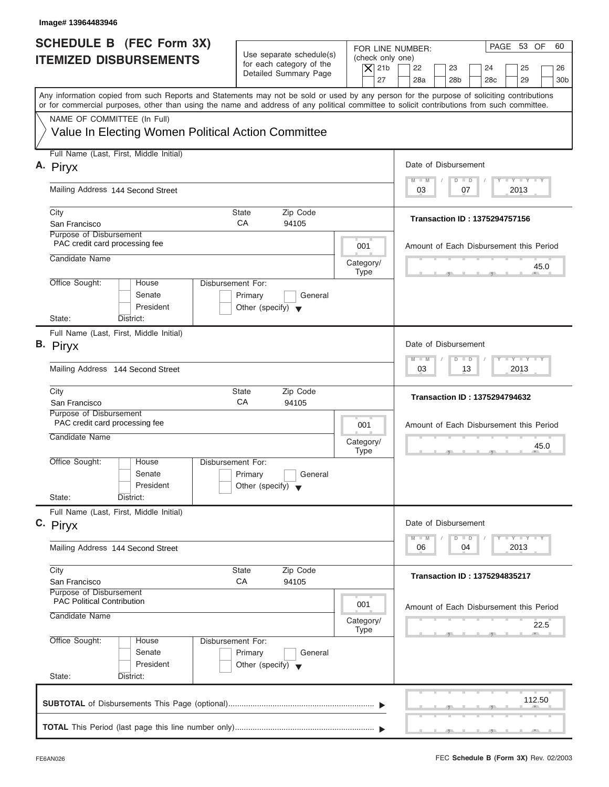| Image# 13964483946                                                                                                                                                                                                                                                                      |                                                                                                     |                                                                                                                                                                    |
|-----------------------------------------------------------------------------------------------------------------------------------------------------------------------------------------------------------------------------------------------------------------------------------------|-----------------------------------------------------------------------------------------------------|--------------------------------------------------------------------------------------------------------------------------------------------------------------------|
| <b>SCHEDULE B</b> (FEC Form 3X)<br><b>ITEMIZED DISBURSEMENTS</b>                                                                                                                                                                                                                        | Use separate schedule(s)<br>for each category of the<br>$\overline{X}$ 21b<br>Detailed Summary Page | PAGE 53 OF<br>60<br>FOR LINE NUMBER:<br>(check only one)<br>22<br>23<br>24<br>25<br>26<br>27<br>28a<br>28 <sub>b</sub><br>29<br>28 <sub>c</sub><br>30 <sub>b</sub> |
| Any information copied from such Reports and Statements may not be sold or used by any person for the purpose of soliciting contributions<br>or for commercial purposes, other than using the name and address of any political committee to solicit contributions from such committee. |                                                                                                     |                                                                                                                                                                    |
| NAME OF COMMITTEE (In Full)<br>Value In Electing Women Political Action Committee                                                                                                                                                                                                       |                                                                                                     |                                                                                                                                                                    |
| Full Name (Last, First, Middle Initial)<br>A. Piryx                                                                                                                                                                                                                                     |                                                                                                     | Date of Disbursement                                                                                                                                               |
| Mailing Address 144 Second Street                                                                                                                                                                                                                                                       |                                                                                                     | $T - Y = T - Y = T - Y$<br>$D$ $D$<br>$M - M$<br>2013<br>03<br>07                                                                                                  |
| City<br>San Francisco                                                                                                                                                                                                                                                                   | State<br>Zip Code<br>CA<br>94105                                                                    | Transaction ID: 1375294757156                                                                                                                                      |
| Purpose of Disbursement<br>PAC credit card processing fee                                                                                                                                                                                                                               | 001                                                                                                 | Amount of Each Disbursement this Period                                                                                                                            |
| Candidate Name                                                                                                                                                                                                                                                                          | Category/<br><b>Type</b>                                                                            | 45.0                                                                                                                                                               |
| Office Sought:<br>House<br>Senate<br>President                                                                                                                                                                                                                                          | Disbursement For:<br>Primary<br>General<br>Other (specify) $\blacktriangledown$                     |                                                                                                                                                                    |
| State:<br>District:<br>Full Name (Last, First, Middle Initial)                                                                                                                                                                                                                          |                                                                                                     |                                                                                                                                                                    |
| B. Piryx                                                                                                                                                                                                                                                                                |                                                                                                     | Date of Disbursement<br><b>LEYTEY LEY</b><br>$M - M$<br>$\Box$<br>$\Box$                                                                                           |
| Mailing Address 144 Second Street                                                                                                                                                                                                                                                       |                                                                                                     | 2013<br>03<br>13                                                                                                                                                   |
| City<br>San Francisco                                                                                                                                                                                                                                                                   | Zip Code<br><b>State</b><br>CA<br>94105                                                             | <b>Transaction ID: 1375294794632</b>                                                                                                                               |
| Purpose of Disbursement<br>PAC credit card processing fee<br>Candidate Name                                                                                                                                                                                                             | 001<br>Category/                                                                                    | Amount of Each Disbursement this Period<br>45.0                                                                                                                    |
| Office Sought:<br>House<br>Senate<br>President                                                                                                                                                                                                                                          | <b>Type</b><br>Disbursement For:<br>Primary<br>General<br>Other (specify) $\blacktriangledown$      | $-7$                                                                                                                                                               |
| State:<br>District:<br>Full Name (Last, First, Middle Initial)                                                                                                                                                                                                                          |                                                                                                     |                                                                                                                                                                    |
| C. Piryx                                                                                                                                                                                                                                                                                |                                                                                                     | Date of Disbursement<br>$T - Y$ $T - Y$<br>$M - M$<br>D<br>$\Box$                                                                                                  |
| Mailing Address 144 Second Street                                                                                                                                                                                                                                                       |                                                                                                     | 2013<br>06<br>04                                                                                                                                                   |
| City<br>San Francisco<br>Purpose of Disbursement                                                                                                                                                                                                                                        | Zip Code<br>State<br>СA<br>94105                                                                    | <b>Transaction ID: 1375294835217</b>                                                                                                                               |
| <b>PAC Political Contribution</b><br>Candidate Name                                                                                                                                                                                                                                     | 001<br>Category/                                                                                    | Amount of Each Disbursement this Period<br>22.5                                                                                                                    |
| Office Sought:<br>House<br>Senate<br>President<br>State:<br>District:                                                                                                                                                                                                                   | <b>Type</b><br>Disbursement For:<br>Primary<br>General<br>Other (specify) $\blacktriangledown$      |                                                                                                                                                                    |
|                                                                                                                                                                                                                                                                                         |                                                                                                     | 112.50                                                                                                                                                             |
|                                                                                                                                                                                                                                                                                         |                                                                                                     |                                                                                                                                                                    |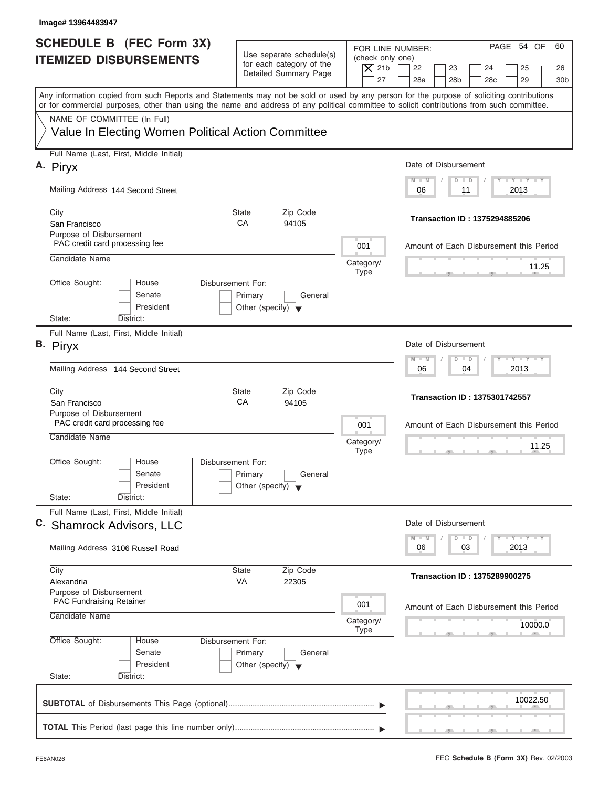| Image# 13964483947                                                                                                                                                                                                                                                                      |                                                                                 |                                                                  |                                                                                                                                                                                                                                                              |
|-----------------------------------------------------------------------------------------------------------------------------------------------------------------------------------------------------------------------------------------------------------------------------------------|---------------------------------------------------------------------------------|------------------------------------------------------------------|--------------------------------------------------------------------------------------------------------------------------------------------------------------------------------------------------------------------------------------------------------------|
| <b>SCHEDULE B</b> (FEC Form 3X)<br><b>ITEMIZED DISBURSEMENTS</b>                                                                                                                                                                                                                        | Use separate schedule(s)<br>for each category of the<br>Detailed Summary Page   | FOR LINE NUMBER:<br>(check only one)<br>$\overline{X}$ 21b<br>27 | PAGE 54 OF<br>60<br>22<br>23<br>24<br>25<br>26<br>28a<br>28 <sub>b</sub><br>29<br>28 <sub>c</sub><br>30 <sub>b</sub>                                                                                                                                         |
| Any information copied from such Reports and Statements may not be sold or used by any person for the purpose of soliciting contributions<br>or for commercial purposes, other than using the name and address of any political committee to solicit contributions from such committee. |                                                                                 |                                                                  |                                                                                                                                                                                                                                                              |
| NAME OF COMMITTEE (In Full)<br>Value In Electing Women Political Action Committee                                                                                                                                                                                                       |                                                                                 |                                                                  |                                                                                                                                                                                                                                                              |
| Full Name (Last, First, Middle Initial)<br>A. Piryx                                                                                                                                                                                                                                     |                                                                                 |                                                                  | Date of Disbursement                                                                                                                                                                                                                                         |
| Mailing Address 144 Second Street                                                                                                                                                                                                                                                       |                                                                                 |                                                                  | $T - Y = T - Y = T - Y$<br>$M - M$<br>$D$ $D$<br>2013<br>06<br>11                                                                                                                                                                                            |
| City<br>San Francisco                                                                                                                                                                                                                                                                   | State<br>Zip Code<br>CA<br>94105                                                |                                                                  | Transaction ID: 1375294885206                                                                                                                                                                                                                                |
| Purpose of Disbursement<br>PAC credit card processing fee                                                                                                                                                                                                                               |                                                                                 | 001                                                              | Amount of Each Disbursement this Period                                                                                                                                                                                                                      |
| Candidate Name                                                                                                                                                                                                                                                                          |                                                                                 | Category/<br><b>Type</b>                                         | 11.25                                                                                                                                                                                                                                                        |
| Office Sought:<br>House<br>Senate<br>President                                                                                                                                                                                                                                          | Disbursement For:<br>Primary<br>General<br>Other (specify) $\blacktriangledown$ |                                                                  |                                                                                                                                                                                                                                                              |
| State:<br>District:<br>Full Name (Last, First, Middle Initial)<br>B. Piryx                                                                                                                                                                                                              |                                                                                 |                                                                  | Date of Disbursement                                                                                                                                                                                                                                         |
| Mailing Address 144 Second Street                                                                                                                                                                                                                                                       |                                                                                 |                                                                  | <b>LEYTEY LEY</b><br>$M - M$<br>$D$ $D$<br>2013<br>06<br>04                                                                                                                                                                                                  |
| City<br>San Francisco                                                                                                                                                                                                                                                                   | Zip Code<br><b>State</b><br>CA<br>94105                                         |                                                                  | <b>Transaction ID: 1375301742557</b>                                                                                                                                                                                                                         |
| Purpose of Disbursement<br>PAC credit card processing fee<br>Candidate Name                                                                                                                                                                                                             |                                                                                 | 001<br>Category/<br><b>Type</b>                                  | Amount of Each Disbursement this Period<br>11.25                                                                                                                                                                                                             |
| Office Sought:<br>House<br>Senate<br>President<br>State:<br>District:                                                                                                                                                                                                                   | Disbursement For:<br>Primary<br>General<br>Other (specify) $\blacktriangledown$ |                                                                  |                                                                                                                                                                                                                                                              |
| Full Name (Last, First, Middle Initial)<br>C. Shamrock Advisors, LLC                                                                                                                                                                                                                    |                                                                                 |                                                                  | Date of Disbursement<br>$\frac{1}{2}$ $\frac{1}{2}$ $\frac{1}{2}$ $\frac{1}{2}$ $\frac{1}{2}$ $\frac{1}{2}$ $\frac{1}{2}$ $\frac{1}{2}$ $\frac{1}{2}$ $\frac{1}{2}$ $\frac{1}{2}$ $\frac{1}{2}$ $\frac{1}{2}$<br>$M - M$<br>$\widehat{\mathsf{D}}$<br>$\Box$ |
| Mailing Address 3106 Russell Road                                                                                                                                                                                                                                                       |                                                                                 |                                                                  | 2013<br>06<br>03                                                                                                                                                                                                                                             |
| City<br>Alexandria                                                                                                                                                                                                                                                                      | Zip Code<br>State<br>VA<br>22305                                                |                                                                  | <b>Transaction ID: 1375289900275</b>                                                                                                                                                                                                                         |
| Purpose of Disbursement<br>PAC Fundraising Retainer<br>Candidate Name                                                                                                                                                                                                                   |                                                                                 | 001<br>Category/                                                 | Amount of Each Disbursement this Period<br>10000.0                                                                                                                                                                                                           |
| Office Sought:<br>House<br>Senate<br>President<br>State:<br>District:                                                                                                                                                                                                                   | Disbursement For:<br>Primary<br>General<br>Other (specify) $\blacktriangledown$ | <b>Type</b>                                                      |                                                                                                                                                                                                                                                              |
|                                                                                                                                                                                                                                                                                         |                                                                                 |                                                                  | 10022.50                                                                                                                                                                                                                                                     |
|                                                                                                                                                                                                                                                                                         |                                                                                 |                                                                  |                                                                                                                                                                                                                                                              |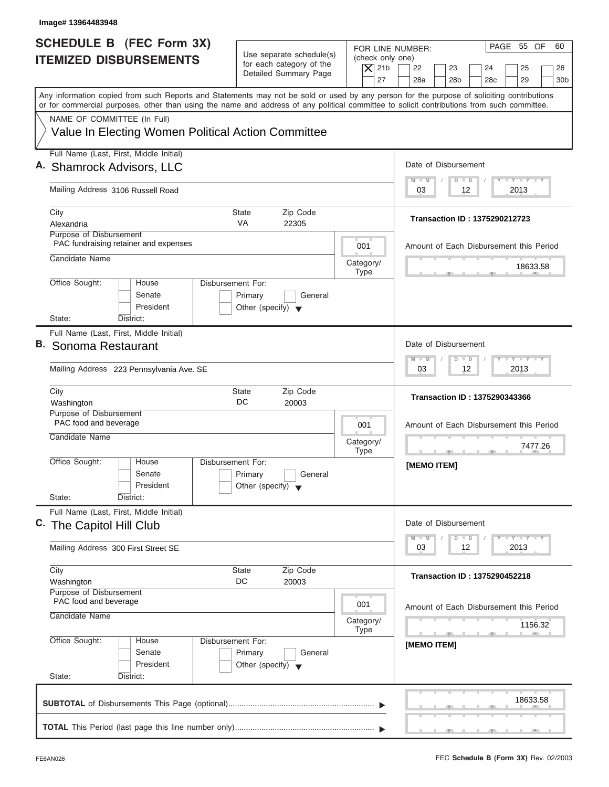| <b>SCHEDULE B (FEC Form 3X)</b><br>Use separate schedule(s)<br><b>ITEMIZED DISBURSEMENTS</b><br>for each category of the<br>Detailed Summary Page<br>Any information copied from such Reports and Statements may not be sold or used by any person for the purpose of soliciting contributions<br>or for commercial purposes, other than using the name and address of any political committee to solicit contributions from such committee.<br>NAME OF COMMITTEE (In Full)<br>Value In Electing Women Political Action Committee<br>Full Name (Last, First, Middle Initial)<br>Mailing Address 3106 Russell Road<br>City<br>Zip Code<br>State<br><b>VA</b><br>Alexandria<br>22305<br>Purpose of Disbursement<br>PAC fundraising retainer and expenses<br>Candidate Name<br>Office Sought:<br><b>Disbursement For:</b><br>House<br>Senate<br>Primary<br>General<br>President<br>Other (specify) $\blacktriangledown$<br>State:<br>District:<br>Full Name (Last, First, Middle Initial)<br>Mailing Address 223 Pennsylvania Ave. SE<br>City<br>Zip Code<br><b>State</b><br>DC<br>Washington<br>20003 | FOR LINE NUMBER:<br>(check only one)<br>$ \mathsf{X} $ 21b<br>27<br>001 | PAGE 55 OF<br>60<br>22<br>23<br>25<br>24<br>26<br>28a<br>28 <sub>b</sub><br>28 <sub>c</sub><br>29<br>30 <sub>b</sub><br>Date of Disbursement<br>$T - Y = T - Y = T - Y$<br>$D$ $D$<br>$M - M$<br>03<br>2013<br>12 |
|-----------------------------------------------------------------------------------------------------------------------------------------------------------------------------------------------------------------------------------------------------------------------------------------------------------------------------------------------------------------------------------------------------------------------------------------------------------------------------------------------------------------------------------------------------------------------------------------------------------------------------------------------------------------------------------------------------------------------------------------------------------------------------------------------------------------------------------------------------------------------------------------------------------------------------------------------------------------------------------------------------------------------------------------------------------------------------------------------------|-------------------------------------------------------------------------|-------------------------------------------------------------------------------------------------------------------------------------------------------------------------------------------------------------------|
| A. Shamrock Advisors, LLC<br>B. Sonoma Restaurant                                                                                                                                                                                                                                                                                                                                                                                                                                                                                                                                                                                                                                                                                                                                                                                                                                                                                                                                                                                                                                                   |                                                                         |                                                                                                                                                                                                                   |
|                                                                                                                                                                                                                                                                                                                                                                                                                                                                                                                                                                                                                                                                                                                                                                                                                                                                                                                                                                                                                                                                                                     |                                                                         |                                                                                                                                                                                                                   |
|                                                                                                                                                                                                                                                                                                                                                                                                                                                                                                                                                                                                                                                                                                                                                                                                                                                                                                                                                                                                                                                                                                     |                                                                         |                                                                                                                                                                                                                   |
|                                                                                                                                                                                                                                                                                                                                                                                                                                                                                                                                                                                                                                                                                                                                                                                                                                                                                                                                                                                                                                                                                                     |                                                                         |                                                                                                                                                                                                                   |
|                                                                                                                                                                                                                                                                                                                                                                                                                                                                                                                                                                                                                                                                                                                                                                                                                                                                                                                                                                                                                                                                                                     |                                                                         |                                                                                                                                                                                                                   |
|                                                                                                                                                                                                                                                                                                                                                                                                                                                                                                                                                                                                                                                                                                                                                                                                                                                                                                                                                                                                                                                                                                     |                                                                         | Transaction ID: 1375290212723                                                                                                                                                                                     |
|                                                                                                                                                                                                                                                                                                                                                                                                                                                                                                                                                                                                                                                                                                                                                                                                                                                                                                                                                                                                                                                                                                     |                                                                         | Amount of Each Disbursement this Period                                                                                                                                                                           |
|                                                                                                                                                                                                                                                                                                                                                                                                                                                                                                                                                                                                                                                                                                                                                                                                                                                                                                                                                                                                                                                                                                     | Category/<br><b>Type</b>                                                | 18633.58                                                                                                                                                                                                          |
|                                                                                                                                                                                                                                                                                                                                                                                                                                                                                                                                                                                                                                                                                                                                                                                                                                                                                                                                                                                                                                                                                                     |                                                                         |                                                                                                                                                                                                                   |
|                                                                                                                                                                                                                                                                                                                                                                                                                                                                                                                                                                                                                                                                                                                                                                                                                                                                                                                                                                                                                                                                                                     |                                                                         | Date of Disbursement<br>$-1 - Y - 1 - Y - 1 - Y$<br>$M - M$<br>$\overline{D}$<br>$\Box$<br>2013<br>03<br>12                                                                                                       |
|                                                                                                                                                                                                                                                                                                                                                                                                                                                                                                                                                                                                                                                                                                                                                                                                                                                                                                                                                                                                                                                                                                     |                                                                         | <b>Transaction ID: 1375290343366</b>                                                                                                                                                                              |
| Purpose of Disbursement<br>PAC food and beverage<br>Candidate Name                                                                                                                                                                                                                                                                                                                                                                                                                                                                                                                                                                                                                                                                                                                                                                                                                                                                                                                                                                                                                                  | 001<br>Category/<br><b>Type</b>                                         | Amount of Each Disbursement this Period<br>7477.26                                                                                                                                                                |
| Office Sought:<br>House<br>Disbursement For:<br>Senate<br>Primary<br>General<br>President<br>Other (specify) $\blacktriangledown$<br>State:<br>District:                                                                                                                                                                                                                                                                                                                                                                                                                                                                                                                                                                                                                                                                                                                                                                                                                                                                                                                                            |                                                                         | [MEMO ITEM]                                                                                                                                                                                                       |
| Full Name (Last, First, Middle Initial)<br>C. The Capitol Hill Club                                                                                                                                                                                                                                                                                                                                                                                                                                                                                                                                                                                                                                                                                                                                                                                                                                                                                                                                                                                                                                 |                                                                         | Date of Disbursement<br>$T - Y$ $T - Y$<br>$M - M$<br>$\Box$<br>D                                                                                                                                                 |
| Mailing Address 300 First Street SE                                                                                                                                                                                                                                                                                                                                                                                                                                                                                                                                                                                                                                                                                                                                                                                                                                                                                                                                                                                                                                                                 |                                                                         | 2013<br>03<br>12                                                                                                                                                                                                  |
| City<br>Zip Code<br><b>State</b><br>DC<br>20003<br>Washington                                                                                                                                                                                                                                                                                                                                                                                                                                                                                                                                                                                                                                                                                                                                                                                                                                                                                                                                                                                                                                       |                                                                         | <b>Transaction ID: 1375290452218</b>                                                                                                                                                                              |
| Purpose of Disbursement<br>PAC food and beverage<br>Candidate Name                                                                                                                                                                                                                                                                                                                                                                                                                                                                                                                                                                                                                                                                                                                                                                                                                                                                                                                                                                                                                                  | 001<br>Category/<br><b>Type</b>                                         | Amount of Each Disbursement this Period<br>1156.32                                                                                                                                                                |
| Office Sought:<br>Disbursement For:<br>House<br>Senate<br>Primary<br>General<br>President<br>Other (specify) $\blacktriangledown$<br>State:<br>District:                                                                                                                                                                                                                                                                                                                                                                                                                                                                                                                                                                                                                                                                                                                                                                                                                                                                                                                                            |                                                                         | [MEMO ITEM]                                                                                                                                                                                                       |
|                                                                                                                                                                                                                                                                                                                                                                                                                                                                                                                                                                                                                                                                                                                                                                                                                                                                                                                                                                                                                                                                                                     |                                                                         |                                                                                                                                                                                                                   |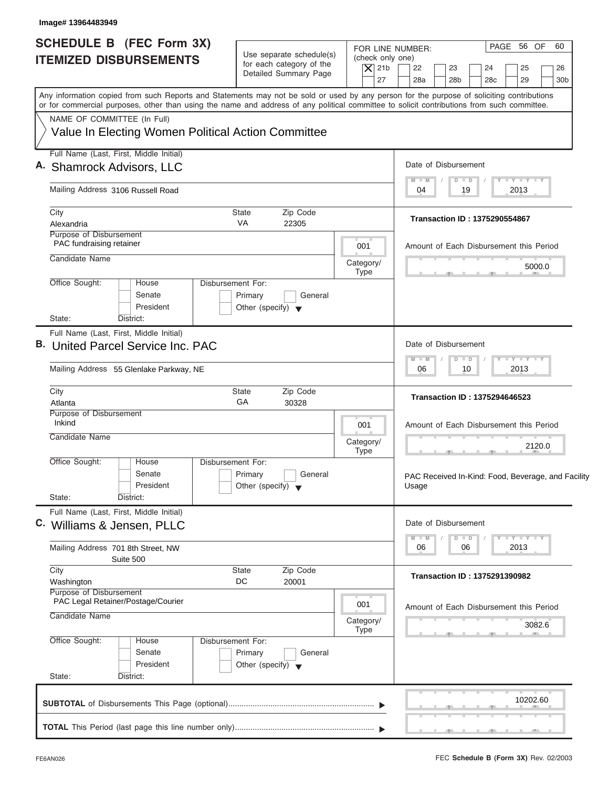| Image# 13964483949                                                                                                                                                                                                                                                                      |                                                      |                          |                                            |                                                    |
|-----------------------------------------------------------------------------------------------------------------------------------------------------------------------------------------------------------------------------------------------------------------------------------------|------------------------------------------------------|--------------------------|--------------------------------------------|----------------------------------------------------|
| <b>SCHEDULE B (FEC Form 3X)</b>                                                                                                                                                                                                                                                         |                                                      | FOR LINE NUMBER:         |                                            | PAGE 56 OF<br>60                                   |
| <b>ITEMIZED DISBURSEMENTS</b>                                                                                                                                                                                                                                                           | Use separate schedule(s)<br>for each category of the | (check only one)         |                                            |                                                    |
|                                                                                                                                                                                                                                                                                         | Detailed Summary Page                                | $\overline{X}$ 21b<br>27 | 22<br>23<br>28a<br>28 <sub>b</sub>         | 24<br>25<br>26<br>28c<br>29<br>30 <sub>b</sub>     |
|                                                                                                                                                                                                                                                                                         |                                                      |                          |                                            |                                                    |
| Any information copied from such Reports and Statements may not be sold or used by any person for the purpose of soliciting contributions<br>or for commercial purposes, other than using the name and address of any political committee to solicit contributions from such committee. |                                                      |                          |                                            |                                                    |
| NAME OF COMMITTEE (In Full)                                                                                                                                                                                                                                                             |                                                      |                          |                                            |                                                    |
| Value In Electing Women Political Action Committee                                                                                                                                                                                                                                      |                                                      |                          |                                            |                                                    |
| Full Name (Last, First, Middle Initial)                                                                                                                                                                                                                                                 |                                                      |                          |                                            |                                                    |
| A. Shamrock Advisors, LLC                                                                                                                                                                                                                                                               |                                                      |                          | Date of Disbursement                       |                                                    |
| Mailing Address 3106 Russell Road                                                                                                                                                                                                                                                       |                                                      |                          | $M - M$<br>$\Box$<br>$\Box$<br>19<br>04    | <b>TY TY TY</b><br>2013                            |
| City                                                                                                                                                                                                                                                                                    | State<br>Zip Code                                    |                          |                                            |                                                    |
| Alexandria                                                                                                                                                                                                                                                                              | VA<br>22305                                          |                          | <b>Transaction ID: 1375290554867</b>       |                                                    |
| Purpose of Disbursement<br>PAC fundraising retainer                                                                                                                                                                                                                                     |                                                      | 001                      |                                            | Amount of Each Disbursement this Period            |
| Candidate Name                                                                                                                                                                                                                                                                          |                                                      | Category/                |                                            |                                                    |
|                                                                                                                                                                                                                                                                                         |                                                      | <b>Type</b>              |                                            | 5000.0                                             |
| Office Sought:<br>House<br>Senate                                                                                                                                                                                                                                                       | <b>Disbursement For:</b><br>General                  |                          |                                            |                                                    |
| President                                                                                                                                                                                                                                                                               | Primary<br>Other (specify) $\blacktriangledown$      |                          |                                            |                                                    |
| State:<br>District:                                                                                                                                                                                                                                                                     |                                                      |                          |                                            |                                                    |
| Full Name (Last, First, Middle Initial)                                                                                                                                                                                                                                                 |                                                      |                          |                                            |                                                    |
| <b>B.</b> United Parcel Service Inc. PAC                                                                                                                                                                                                                                                |                                                      |                          | Date of Disbursement                       |                                                    |
| Mailing Address 55 Glenlake Parkway, NE                                                                                                                                                                                                                                                 |                                                      |                          | $M - M$<br>$\blacksquare$<br>D<br>06<br>10 | $-1 - Y - 1 - Y - 1 - Y$<br>2013                   |
|                                                                                                                                                                                                                                                                                         |                                                      |                          |                                            |                                                    |
| City<br>Atlanta                                                                                                                                                                                                                                                                         | <b>State</b><br>Zip Code<br>GA<br>30328              |                          | <b>Transaction ID: 1375294646523</b>       |                                                    |
| Purpose of Disbursement                                                                                                                                                                                                                                                                 |                                                      |                          |                                            |                                                    |
| Inkind                                                                                                                                                                                                                                                                                  |                                                      | 001                      |                                            | Amount of Each Disbursement this Period            |
| Candidate Name                                                                                                                                                                                                                                                                          |                                                      | Category/                |                                            | 2120.0                                             |
| Office Sought:<br>House                                                                                                                                                                                                                                                                 | Disbursement For:                                    | <b>Type</b>              |                                            | $-7$                                               |
| Senate                                                                                                                                                                                                                                                                                  | Primary<br>General                                   |                          |                                            | PAC Received In-Kind: Food, Beverage, and Facility |
| President                                                                                                                                                                                                                                                                               | Other (specify) $\blacktriangledown$                 |                          | Usage                                      |                                                    |
| State:<br>District:                                                                                                                                                                                                                                                                     |                                                      |                          |                                            |                                                    |
| Full Name (Last, First, Middle Initial)                                                                                                                                                                                                                                                 |                                                      |                          | Date of Disbursement                       |                                                    |
| C. Williams & Jensen, PLLC                                                                                                                                                                                                                                                              |                                                      |                          | M<br>W<br>D<br>$\blacksquare$              | $T - Y$ $T - Y$                                    |
| Mailing Address 701 8th Street, NW                                                                                                                                                                                                                                                      |                                                      |                          | 06<br>06                                   | 2013                                               |
| Suite 500<br>City                                                                                                                                                                                                                                                                       | Zip Code<br><b>State</b>                             |                          |                                            |                                                    |
| Washington                                                                                                                                                                                                                                                                              | DC<br>20001                                          |                          | <b>Transaction ID: 1375291390982</b>       |                                                    |
| Purpose of Disbursement<br>PAC Legal Retainer/Postage/Courier                                                                                                                                                                                                                           |                                                      |                          |                                            |                                                    |
| Candidate Name                                                                                                                                                                                                                                                                          |                                                      | 001                      |                                            | Amount of Each Disbursement this Period            |
|                                                                                                                                                                                                                                                                                         |                                                      | Category/<br>Type        |                                            | 3082.6                                             |
| Office Sought:<br>House                                                                                                                                                                                                                                                                 | Disbursement For:                                    |                          |                                            |                                                    |
| Senate                                                                                                                                                                                                                                                                                  | Primary<br>General                                   |                          |                                            |                                                    |
| President<br>State:<br>District:                                                                                                                                                                                                                                                        | Other (specify) $\blacktriangledown$                 |                          |                                            |                                                    |
|                                                                                                                                                                                                                                                                                         |                                                      |                          |                                            |                                                    |
|                                                                                                                                                                                                                                                                                         |                                                      |                          |                                            | 10202.60                                           |
|                                                                                                                                                                                                                                                                                         |                                                      |                          |                                            |                                                    |
|                                                                                                                                                                                                                                                                                         |                                                      |                          |                                            |                                                    |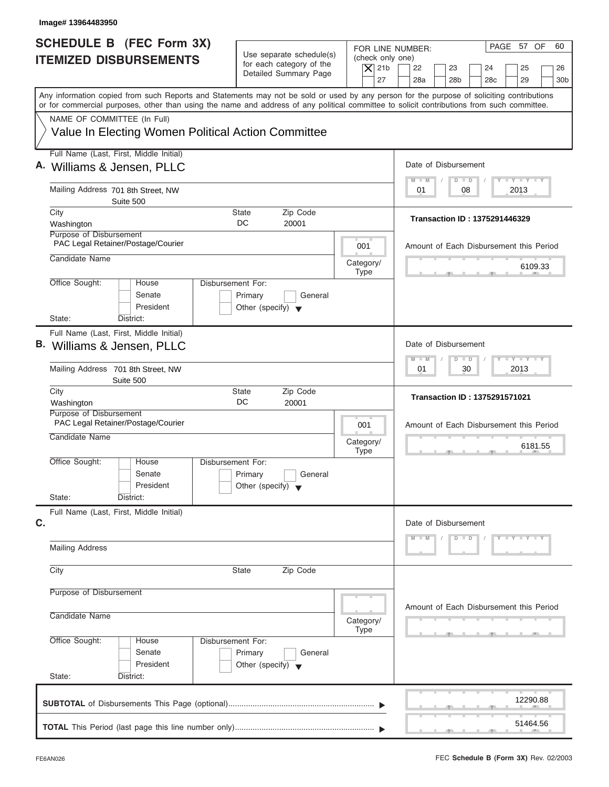| Image# 13964483950                                                                                                                                                                                                                                                                      |                                                                               |                                                                  |                                                                                                                      |
|-----------------------------------------------------------------------------------------------------------------------------------------------------------------------------------------------------------------------------------------------------------------------------------------|-------------------------------------------------------------------------------|------------------------------------------------------------------|----------------------------------------------------------------------------------------------------------------------|
| SCHEDULE B (FEC Form 3X)<br><b>ITEMIZED DISBURSEMENTS</b>                                                                                                                                                                                                                               | Use separate schedule(s)<br>for each category of the<br>Detailed Summary Page | FOR LINE NUMBER:<br>(check only one)<br>$\overline{X}$ 21b<br>27 | PAGE 57 OF<br>60<br>22<br>23<br>24<br>25<br>26<br>28a<br>28 <sub>b</sub><br>29<br>28 <sub>c</sub><br>30 <sub>b</sub> |
| Any information copied from such Reports and Statements may not be sold or used by any person for the purpose of soliciting contributions<br>or for commercial purposes, other than using the name and address of any political committee to solicit contributions from such committee. |                                                                               |                                                                  |                                                                                                                      |
| NAME OF COMMITTEE (In Full)<br>Value In Electing Women Political Action Committee                                                                                                                                                                                                       |                                                                               |                                                                  |                                                                                                                      |
| Full Name (Last, First, Middle Initial)<br>A. Williams & Jensen, PLLC                                                                                                                                                                                                                   |                                                                               |                                                                  | Date of Disbursement                                                                                                 |
| Mailing Address 701 8th Street, NW<br>Suite 500                                                                                                                                                                                                                                         |                                                                               |                                                                  | $T - Y = T - Y = T - Y$<br>$M - M$<br>$D$ $D$<br>08<br>2013<br>01                                                    |
| City<br>Washington                                                                                                                                                                                                                                                                      | Zip Code<br>State<br>DC<br>20001                                              |                                                                  | Transaction ID: 1375291446329                                                                                        |
| Purpose of Disbursement<br>PAC Legal Retainer/Postage/Courier                                                                                                                                                                                                                           |                                                                               | 001                                                              | Amount of Each Disbursement this Period                                                                              |
| Candidate Name                                                                                                                                                                                                                                                                          |                                                                               | Category/<br><b>Type</b>                                         | 6109.33                                                                                                              |
| Office Sought:<br>Disbursement For:<br>House<br>Senate<br>President<br>State:<br>District:                                                                                                                                                                                              | Primary<br>General<br>Other (specify) $\blacktriangledown$                    |                                                                  |                                                                                                                      |
| Full Name (Last, First, Middle Initial)<br>B. Williams & Jensen, PLLC                                                                                                                                                                                                                   |                                                                               |                                                                  | Date of Disbursement<br>$-1 - Y - 1 - Y - 1 - Y$<br>$\Box$<br>$M - M$<br>$\overline{D}$                              |
| Mailing Address 701 8th Street, NW<br>Suite 500                                                                                                                                                                                                                                         |                                                                               |                                                                  | 2013<br>01<br>30                                                                                                     |
| City<br>Washington                                                                                                                                                                                                                                                                      | Zip Code<br><b>State</b><br>DC<br>20001                                       |                                                                  | <b>Transaction ID: 1375291571021</b>                                                                                 |
| Purpose of Disbursement<br>PAC Legal Retainer/Postage/Courier<br>Candidate Name                                                                                                                                                                                                         |                                                                               | 001                                                              | Amount of Each Disbursement this Period                                                                              |
|                                                                                                                                                                                                                                                                                         |                                                                               | Category/<br><b>Type</b>                                         | 6181.55<br>$-7$                                                                                                      |
| Office Sought:<br>House<br>Disbursement For:<br>Senate<br>President<br>State:                                                                                                                                                                                                           | Primary<br>General<br>Other (specify) $\blacktriangledown$                    |                                                                  |                                                                                                                      |
| District:<br>Full Name (Last, First, Middle Initial)                                                                                                                                                                                                                                    |                                                                               |                                                                  |                                                                                                                      |
| C.<br><b>Mailing Address</b>                                                                                                                                                                                                                                                            |                                                                               |                                                                  | Date of Disbursement<br>$D$ $D$<br>$Y - Y - Y - Y - Y$<br>$M - M$                                                    |
| City                                                                                                                                                                                                                                                                                    | Zip Code<br><b>State</b>                                                      |                                                                  |                                                                                                                      |
|                                                                                                                                                                                                                                                                                         |                                                                               |                                                                  |                                                                                                                      |
| Purpose of Disbursement<br>Candidate Name                                                                                                                                                                                                                                               |                                                                               | Category/                                                        | Amount of Each Disbursement this Period                                                                              |
| Office Sought:<br>Disbursement For:<br>House<br>Senate<br>President<br>State:<br>District:                                                                                                                                                                                              | Primary<br>General<br>Other (specify) $\blacktriangledown$                    | Type                                                             |                                                                                                                      |
|                                                                                                                                                                                                                                                                                         |                                                                               |                                                                  | 12290.88                                                                                                             |
|                                                                                                                                                                                                                                                                                         |                                                                               |                                                                  | 51464.56                                                                                                             |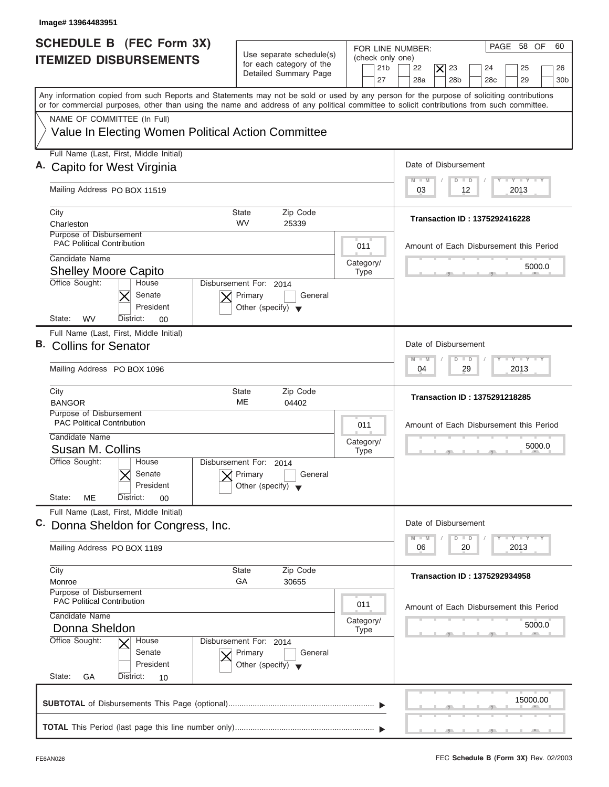| Image# 13964483951                                                                                                                                                                                                                                                                      |                                                                               |                                                               |                                                                                                                                                 |
|-----------------------------------------------------------------------------------------------------------------------------------------------------------------------------------------------------------------------------------------------------------------------------------------|-------------------------------------------------------------------------------|---------------------------------------------------------------|-------------------------------------------------------------------------------------------------------------------------------------------------|
| <b>SCHEDULE B</b> (FEC Form 3X)<br><b>ITEMIZED DISBURSEMENTS</b>                                                                                                                                                                                                                        | Use separate schedule(s)<br>for each category of the<br>Detailed Summary Page | FOR LINE NUMBER:<br>(check only one)<br>21 <sub>b</sub><br>27 | PAGE 58 OF<br>60<br>22<br>$ \boldsymbol{\times} $<br>23<br>25<br>24<br>26<br>28a<br>28 <sub>b</sub><br>28 <sub>c</sub><br>29<br>30 <sub>b</sub> |
| Any information copied from such Reports and Statements may not be sold or used by any person for the purpose of soliciting contributions<br>or for commercial purposes, other than using the name and address of any political committee to solicit contributions from such committee. |                                                                               |                                                               |                                                                                                                                                 |
| NAME OF COMMITTEE (In Full)<br>Value In Electing Women Political Action Committee                                                                                                                                                                                                       |                                                                               |                                                               |                                                                                                                                                 |
| Full Name (Last, First, Middle Initial)<br>A. Capito for West Virginia                                                                                                                                                                                                                  |                                                                               |                                                               | Date of Disbursement                                                                                                                            |
| Mailing Address PO BOX 11519                                                                                                                                                                                                                                                            |                                                                               |                                                               | $I - Y - I - Y - I - Y$<br>$M - M$<br>$D$ $D$<br>2013<br>03<br>12                                                                               |
| City<br>Charleston                                                                                                                                                                                                                                                                      | Zip Code<br>State<br>WV<br>25339                                              |                                                               | Transaction ID: 1375292416228                                                                                                                   |
| Purpose of Disbursement<br><b>PAC Political Contribution</b><br>Candidate Name                                                                                                                                                                                                          |                                                                               | 011                                                           | Amount of Each Disbursement this Period                                                                                                         |
| <b>Shelley Moore Capito</b><br>Office Sought:<br>House                                                                                                                                                                                                                                  | Disbursement For: 2014                                                        | Category/<br><b>Type</b>                                      | 5000.0                                                                                                                                          |
| Senate<br>President<br>State:<br>WV<br>District:<br>00                                                                                                                                                                                                                                  | Primary<br>General<br>Other (specify) $\blacktriangledown$                    |                                                               |                                                                                                                                                 |
| Full Name (Last, First, Middle Initial)<br>B. Collins for Senator                                                                                                                                                                                                                       |                                                                               |                                                               | Date of Disbursement                                                                                                                            |
| Mailing Address PO BOX 1096                                                                                                                                                                                                                                                             |                                                                               |                                                               | $-1 - Y - 1 - Y - 1 - Y$<br>$M - M$<br>$\Box$<br>D<br>29<br>2013<br>04                                                                          |
| City<br><b>BANGOR</b>                                                                                                                                                                                                                                                                   | <b>State</b><br>Zip Code<br>ME<br>04402                                       |                                                               | <b>Transaction ID: 1375291218285</b>                                                                                                            |
| Purpose of Disbursement<br><b>PAC Political Contribution</b><br>Candidate Name                                                                                                                                                                                                          |                                                                               | 011                                                           | Amount of Each Disbursement this Period                                                                                                         |
| Susan M. Collins<br>Office Sought:<br>House                                                                                                                                                                                                                                             | Disbursement For:<br>2014                                                     | Category/<br><b>Type</b>                                      | 5000.0                                                                                                                                          |
| Senate<br>President<br>State:<br>ME<br>District:<br>$00\,$                                                                                                                                                                                                                              | Primary<br>General<br>Other (specify)                                         |                                                               |                                                                                                                                                 |
| Full Name (Last, First, Middle Initial)<br>C. Donna Sheldon for Congress, Inc.                                                                                                                                                                                                          |                                                                               |                                                               | Date of Disbursement                                                                                                                            |
| Mailing Address PO BOX 1189                                                                                                                                                                                                                                                             |                                                                               |                                                               | $\mathbf{I}$ $\mathbf{Y}$ $\mathbf{I}$ $\mathbf{Y}$ $\mathbf{I}$ $\mathbf{Y}$<br>$M - M$<br>D<br>$\Box$<br>06<br>20<br>2013                     |
| City<br>Monroe                                                                                                                                                                                                                                                                          | Zip Code<br><b>State</b><br>GA<br>30655                                       |                                                               | Transaction ID: 1375292934958                                                                                                                   |
| Purpose of Disbursement<br><b>PAC Political Contribution</b><br>Candidate Name                                                                                                                                                                                                          |                                                                               | 011                                                           | Amount of Each Disbursement this Period                                                                                                         |
| Donna Sheldon<br>Office Sought:<br>House                                                                                                                                                                                                                                                | Disbursement For: 2014                                                        | Category/<br><b>Type</b>                                      | 5000.0                                                                                                                                          |
| Senate<br>President<br>State:<br>District:<br>GA<br>10                                                                                                                                                                                                                                  | Primary<br>General<br>Other (specify) $\blacktriangledown$                    |                                                               |                                                                                                                                                 |
|                                                                                                                                                                                                                                                                                         |                                                                               |                                                               | 15000.00                                                                                                                                        |
|                                                                                                                                                                                                                                                                                         |                                                                               |                                                               |                                                                                                                                                 |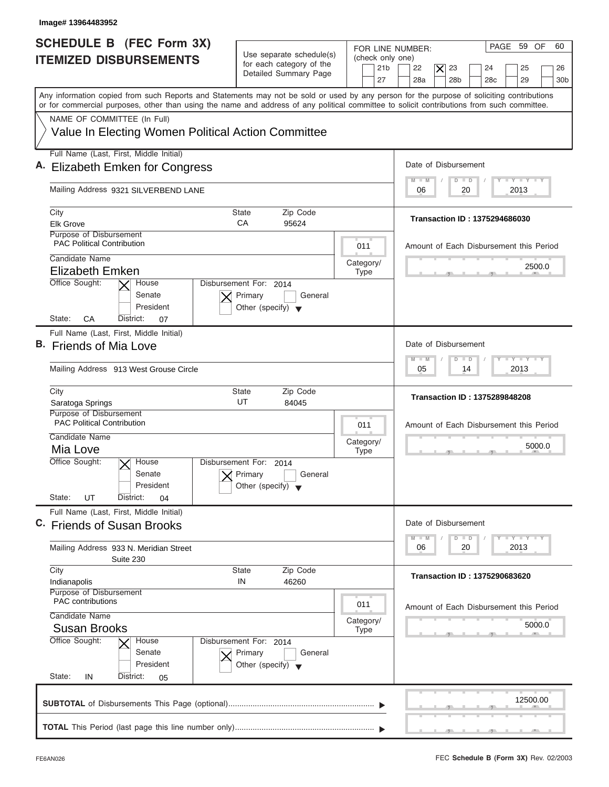| Image# 13964483952                                                                                                                                                                                                                                                                      |                                                                                      |                                                               |                                                                                                                                  |
|-----------------------------------------------------------------------------------------------------------------------------------------------------------------------------------------------------------------------------------------------------------------------------------------|--------------------------------------------------------------------------------------|---------------------------------------------------------------|----------------------------------------------------------------------------------------------------------------------------------|
| <b>SCHEDULE B</b> (FEC Form 3X)<br><b>ITEMIZED DISBURSEMENTS</b>                                                                                                                                                                                                                        | Use separate schedule(s)<br>for each category of the<br>Detailed Summary Page        | FOR LINE NUMBER:<br>(check only one)<br>21 <sub>b</sub><br>27 | PAGE 59 OF<br>60<br>22<br>$\times$<br>23<br>24<br>25<br>26<br>28a<br>28 <sub>b</sub><br>28 <sub>c</sub><br>29<br>30 <sub>b</sub> |
| Any information copied from such Reports and Statements may not be sold or used by any person for the purpose of soliciting contributions<br>or for commercial purposes, other than using the name and address of any political committee to solicit contributions from such committee. |                                                                                      |                                                               |                                                                                                                                  |
| NAME OF COMMITTEE (In Full)<br>Value In Electing Women Political Action Committee                                                                                                                                                                                                       |                                                                                      |                                                               |                                                                                                                                  |
| Full Name (Last, First, Middle Initial)<br>A. Elizabeth Emken for Congress                                                                                                                                                                                                              |                                                                                      |                                                               | Date of Disbursement                                                                                                             |
| Mailing Address 9321 SILVERBEND LANE                                                                                                                                                                                                                                                    |                                                                                      |                                                               | $I - Y - I - Y - I - Y$<br>$D$ $D$<br>$M - M$<br>2013<br>06<br>20                                                                |
| City<br><b>Elk Grove</b>                                                                                                                                                                                                                                                                | Zip Code<br>State<br>CA<br>95624                                                     |                                                               | Transaction ID: 1375294686030                                                                                                    |
| Purpose of Disbursement<br><b>PAC Political Contribution</b><br>Candidate Name                                                                                                                                                                                                          |                                                                                      | 011                                                           | Amount of Each Disbursement this Period                                                                                          |
| <b>Elizabeth Emken</b><br>Office Sought:<br>House                                                                                                                                                                                                                                       | Disbursement For: 2014                                                               | Category/<br><b>Type</b>                                      | 2500.0                                                                                                                           |
| Senate<br>President<br>State:<br>СA<br>District:<br>07                                                                                                                                                                                                                                  | Primary<br>General<br>Other (specify) $\blacktriangledown$                           |                                                               |                                                                                                                                  |
| Full Name (Last, First, Middle Initial)<br>B. Friends of Mia Love                                                                                                                                                                                                                       |                                                                                      |                                                               | Date of Disbursement                                                                                                             |
| Mailing Address 913 West Grouse Circle                                                                                                                                                                                                                                                  |                                                                                      |                                                               | $-1$ $-1$ $-1$ $-1$ $-1$<br>$M - M$<br>$\blacksquare$<br>D<br>2013<br>05<br>14                                                   |
| City<br>Saratoga Springs                                                                                                                                                                                                                                                                | State<br>Zip Code<br>UT<br>84045                                                     |                                                               | <b>Transaction ID: 1375289848208</b>                                                                                             |
| Purpose of Disbursement<br><b>PAC Political Contribution</b><br>Candidate Name                                                                                                                                                                                                          |                                                                                      | 011                                                           | Amount of Each Disbursement this Period                                                                                          |
| Mia Love<br>Office Sought:<br>$\overline{X}$ House<br>Senate                                                                                                                                                                                                                            | Disbursement For:<br>2014<br>Primary<br>General                                      | Category/<br><b>Type</b>                                      | 5000.0<br>__                                                                                                                     |
| President<br>State:<br>UT<br>District:<br>04                                                                                                                                                                                                                                            | Other (specify)                                                                      |                                                               |                                                                                                                                  |
| Full Name (Last, First, Middle Initial)<br>C. Friends of Susan Brooks                                                                                                                                                                                                                   |                                                                                      |                                                               | Date of Disbursement<br>$\mathbf{I}$ $\mathbf{Y}$ $\mathbf{I}$ $\mathbf{Y}$ $\mathbf{I}$ $\mathbf{Y}$<br>$M - M$<br>$\Box$<br>D  |
| Mailing Address 933 N. Meridian Street<br>Suite 230                                                                                                                                                                                                                                     |                                                                                      |                                                               | 2013<br>06<br>20                                                                                                                 |
| City<br>Indianapolis<br>Purpose of Disbursement                                                                                                                                                                                                                                         | State<br>Zip Code<br>IN<br>46260                                                     |                                                               | <b>Transaction ID: 1375290683620</b>                                                                                             |
| <b>PAC</b> contributions<br>Candidate Name                                                                                                                                                                                                                                              |                                                                                      | 011                                                           | Amount of Each Disbursement this Period                                                                                          |
| <b>Susan Brooks</b><br>Office Sought:<br>House<br>Senate<br>President<br>State:<br>IN<br>District:<br>05                                                                                                                                                                                | Disbursement For: 2014<br>Primary<br>General<br>Other (specify) $\blacktriangledown$ | Category/<br><b>Type</b>                                      | 5000.0                                                                                                                           |
|                                                                                                                                                                                                                                                                                         |                                                                                      |                                                               | 12500.00                                                                                                                         |
|                                                                                                                                                                                                                                                                                         |                                                                                      |                                                               | ___                                                                                                                              |